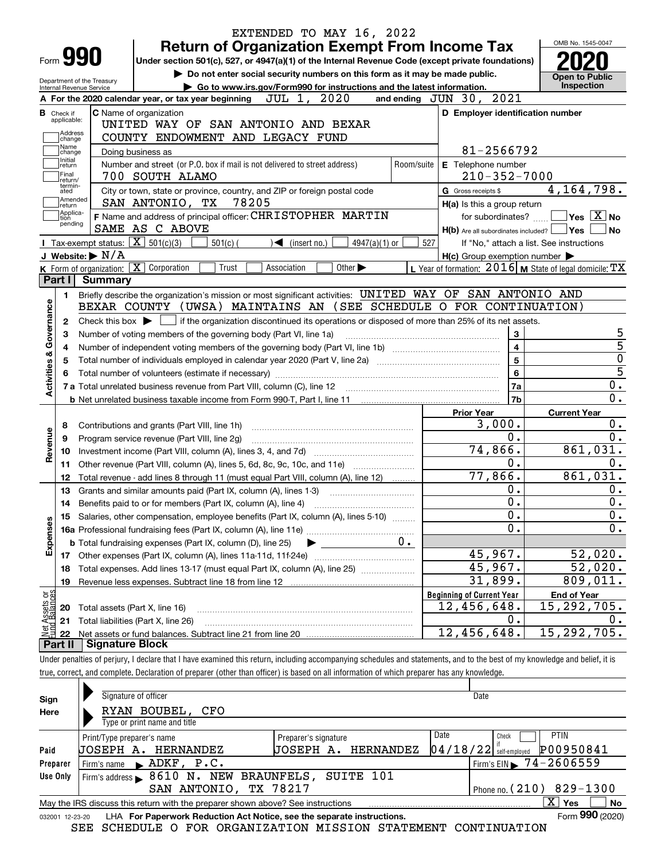| EXTENDED TO MAY 16, 2022                                                                                                                                                      |            |                                                           | OMB No. 1545-0047                      |
|-------------------------------------------------------------------------------------------------------------------------------------------------------------------------------|------------|-----------------------------------------------------------|----------------------------------------|
| <b>Return of Organization Exempt From Income Tax</b><br>Form <b>990</b><br>Under section 501(c), 527, or 4947(a)(1) of the Internal Revenue Code (except private foundations) |            |                                                           |                                        |
| Do not enter social security numbers on this form as it may be made public.                                                                                                   |            |                                                           |                                        |
| Department of the Treasury<br>Go to www.irs.gov/Form990 for instructions and the latest information.<br><b>Internal Revenue Service</b>                                       |            |                                                           | <b>Open to Public</b><br>Inspection    |
| JUL 1, 2020<br>A For the 2020 calendar year, or tax year beginning                                                                                                            |            | and ending $JUN$ $30$ , $2021$                            |                                        |
| <b>C</b> Name of organization<br><b>B</b> Check if                                                                                                                            |            | D Employer identification number                          |                                        |
| applicable:<br>UNITED WAY OF SAN ANTONIO AND BEXAR                                                                                                                            |            |                                                           |                                        |
| Address<br>COUNTY ENDOWMENT AND LEGACY FUND<br>change                                                                                                                         |            |                                                           |                                        |
| Name<br>Doing business as<br>change                                                                                                                                           |            | 81-2566792                                                |                                        |
| Initial<br>Number and street (or P.O. box if mail is not delivered to street address)<br>return                                                                               | Room/suite | E Telephone number                                        |                                        |
| Final<br>700 SOUTH ALAMO<br>return/                                                                                                                                           |            | $210 - 352 - 7000$                                        |                                        |
| termin-<br>City or town, state or province, country, and ZIP or foreign postal code<br>ated                                                                                   |            | G Gross receipts \$                                       | 4, 164, 798.                           |
| Amended<br>78205<br>SAN ANTONIO, TX<br> return                                                                                                                                |            | H(a) Is this a group return                               |                                        |
| Applica-<br>F Name and address of principal officer: CHRISTOPHER MARTIN<br>tion                                                                                               |            | for subordinates?                                         | $\sqrt{}$ Yes $\sqrt{}$ X $\sqrt{}$ No |
| pending<br>SAME AS C ABOVE                                                                                                                                                    |            | $H(b)$ Are all subordinates included? $\Box$ Yes          | No                                     |
| Tax-exempt status: $\boxed{\mathbf{X}}$ 501(c)(3)<br>$501(c)$ (<br>$\blacktriangleleft$ (insert no.)<br>$4947(a)(1)$ or                                                       | 527        | If "No," attach a list. See instructions                  |                                        |
| J Website: $\triangleright$ N/A                                                                                                                                               |            | $H(c)$ Group exemption number $\blacktriangleright$       |                                        |
| K Form of organization: X Corporation<br>Trust<br>Association<br>Other $\blacktriangleright$                                                                                  |            | L Year of formation: $2016$ M State of legal domicile: TX |                                        |
| Part I Summary                                                                                                                                                                |            |                                                           |                                        |
| Briefly describe the organization's mission or most significant activities: UNITED WAY OF SAN ANTONIO AND<br>1.                                                               |            |                                                           |                                        |
| Activities & Governance<br>BEXAR COUNTY (UWSA) MAINTAINS AN (SEE SCHEDULE O FOR CONTINUATION)                                                                                 |            |                                                           |                                        |
| Check this box $\blacktriangleright$ $\Box$ if the organization discontinued its operations or disposed of more than 25% of its net assets.<br>2                              |            |                                                           |                                        |
| Number of voting members of the governing body (Part VI, line 1a)<br>З                                                                                                        |            | 3                                                         | 5                                      |
| 4                                                                                                                                                                             |            | $\overline{\mathbf{4}}$                                   | $\overline{5}$                         |
|                                                                                                                                                                               |            | $\overline{5}$                                            | $\overline{0}$                         |
|                                                                                                                                                                               |            | $6\phantom{a}$                                            | $\overline{5}$                         |
| 7 a Total unrelated business revenue from Part VIII, column (C), line 12 [11] [12] [11] [12] [11] [11] [12] [1                                                                |            | 7a                                                        | 0.                                     |
|                                                                                                                                                                               |            | 7b                                                        | $\overline{0}$ .                       |
|                                                                                                                                                                               |            | <b>Prior Year</b>                                         | <b>Current Year</b>                    |
| 8                                                                                                                                                                             |            | 3,000.<br>0.                                              | $0$ .<br>0.                            |
| Program service revenue (Part VIII, line 2g)<br>9                                                                                                                             |            | 74,866.                                                   | 861,031.                               |
| Revenue<br>10                                                                                                                                                                 |            | $0$ .                                                     | Ο.                                     |
| 11                                                                                                                                                                            |            | 77,866.                                                   | 861,031.                               |
| Total revenue - add lines 8 through 11 (must equal Part VIII, column (A), line 12)<br>12                                                                                      |            | 0.                                                        | 0.                                     |
| Grants and similar amounts paid (Part IX, column (A), lines 1-3)<br>13                                                                                                        |            | $\overline{0}$ .                                          | $0$ .                                  |
| Benefits paid to or for members (Part IX, column (A), line 4)<br>14                                                                                                           |            | $\overline{0}$ .                                          | $\overline{\mathbf{0}}$ .              |
| 15 Salaries, other compensation, employee benefits (Part IX, column (A), lines 5-10)                                                                                          |            | $\mathbf{0}$ .                                            | $\mathbf 0$ .                          |
| Expenses                                                                                                                                                                      | $0 \cdot$  |                                                           |                                        |
| <b>b</b> Total fundraising expenses (Part IX, column (D), line 25)                                                                                                            |            | 45,967.                                                   | 52,020.                                |
| Total expenses. Add lines 13-17 (must equal Part IX, column (A), line 25)                                                                                                     |            | 45,967.                                                   | 52,020.                                |
| 18<br>19                                                                                                                                                                      |            | 31,899.                                                   | 809,011.                               |
|                                                                                                                                                                               |            | <b>Beginning of Current Year</b>                          | <b>End of Year</b>                     |
| t Assets or<br>id Balances<br>Total assets (Part X, line 16)<br>20                                                                                                            |            | 12,456,648.                                               | 15,292,705.                            |
| Total liabilities (Part X, line 26)<br>21                                                                                                                                     |            | 0.                                                        | 0.                                     |
| 혧<br>22                                                                                                                                                                       |            | 12,456,648.                                               | 15, 292, 705.                          |
| <b>Signature Block</b><br>Part II                                                                                                                                             |            |                                                           |                                        |
| Under penalties of perjury, I declare that I have examined this return, including accompanying schedules and statements, and to the best of my knowledge and belief, it is    |            |                                                           |                                        |
| true, correct, and complete. Declaration of preparer (other than officer) is based on all information of which preparer has any knowledge.                                    |            |                                                           |                                        |
|                                                                                                                                                                               |            |                                                           |                                        |
| Signature of officer<br>Sign                                                                                                                                                  |            | Date                                                      |                                        |
| RYAN BOUBEL, CFO<br>Here                                                                                                                                                      |            |                                                           |                                        |
| Type or print name and title                                                                                                                                                  |            |                                                           |                                        |

| Paid     | Print/Type preparer's name<br><b>JOSEPH A. HERNANDEZ</b>                                                                         | Date<br><b>PTIN</b><br>Check<br>$04/18/22$ self-employed P00950841 |  |  |  |  |  |  |  |  |
|----------|----------------------------------------------------------------------------------------------------------------------------------|--------------------------------------------------------------------|--|--|--|--|--|--|--|--|
| Preparer | <b>JOSEPH A. HERNANDEZ</b><br>$'$ Firm's EIN $\blacktriangleright$ 74-2606559<br>$\blacktriangleright$ ADKF, P.C.<br>Firm's name |                                                                    |  |  |  |  |  |  |  |  |
| Use Only | Firm's address > 8610 N. NEW BRAUNFELS, SUITE 101                                                                                |                                                                    |  |  |  |  |  |  |  |  |
|          | Phone no. $(210)$ 829-1300<br>SAN ANTONIO, TX 78217                                                                              |                                                                    |  |  |  |  |  |  |  |  |
|          | Yes<br><b>No</b><br>May the IRS discuss this return with the preparer shown above? See instructions                              |                                                                    |  |  |  |  |  |  |  |  |
|          | $\sim$                                                                                                                           |                                                                    |  |  |  |  |  |  |  |  |

|  | 032001 12-23-20 LHA For Paperwork Reduction Act Notice, see the separate instructions. |  | Form 990 (2020) |
|--|----------------------------------------------------------------------------------------|--|-----------------|
|  | SEE SCHEDULE O FOR ORGANIZATION MISSION STATEMENT CONTINUATION                         |  |                 |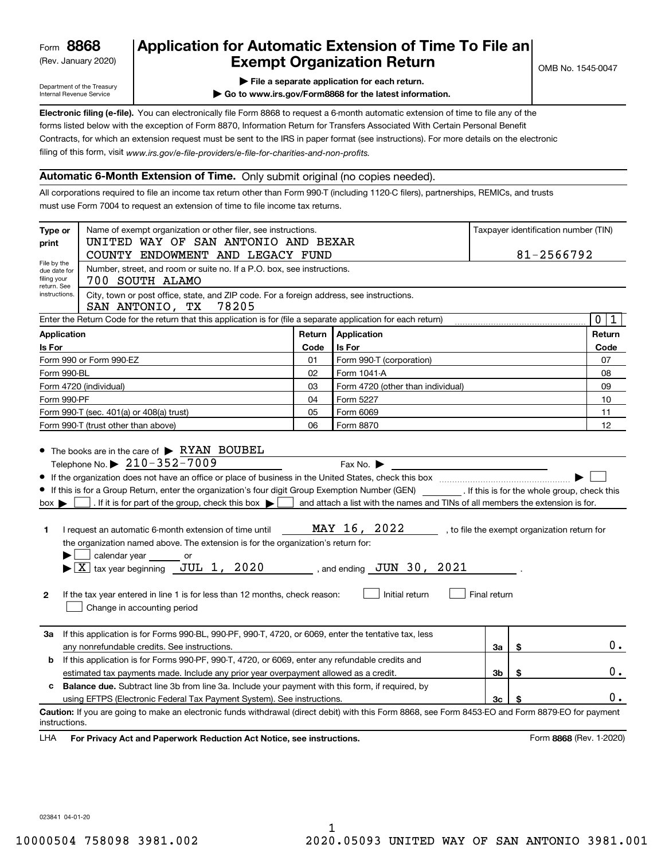(Rev. January 2020)

## **Application for Automatic Extension of Time To File an Exempt Organization Return**

Department of the Treasury Internal Revenue Service

- **| File a separate application for each return.**
- **| Go to www.irs.gov/Form8868 for the latest information.**

**Electronic filing (e-file).**  You can electronically file Form 8868 to request a 6-month automatic extension of time to file any of the filing of this form, visit www.irs.gov/e-file-providers/e-file-for-charities-and-non-profits. forms listed below with the exception of Form 8870, Information Return for Transfers Associated With Certain Personal Benefit Contracts, for which an extension request must be sent to the IRS in paper format (see instructions). For more details on the electronic

#### **Automatic 6-Month Extension of Time.** Only submit original (no copies needed).

All corporations required to file an income tax return other than Form 990-T (including 1120-C filers), partnerships, REMICs, and trusts must use Form 7004 to request an extension of time to file income tax returns.

| Type or                                                                                                                                              | Name of exempt organization or other filer, see instructions.                                                                                                                                                                                                                                                                                                                                                                                  |      | Taxpayer identification number (TIN)                                                                                                                          |              |    |                                              |  |  |  |  |
|------------------------------------------------------------------------------------------------------------------------------------------------------|------------------------------------------------------------------------------------------------------------------------------------------------------------------------------------------------------------------------------------------------------------------------------------------------------------------------------------------------------------------------------------------------------------------------------------------------|------|---------------------------------------------------------------------------------------------------------------------------------------------------------------|--------------|----|----------------------------------------------|--|--|--|--|
| print                                                                                                                                                | UNITED WAY OF SAN ANTONIO AND BEXAR                                                                                                                                                                                                                                                                                                                                                                                                            |      | 81-2566792                                                                                                                                                    |              |    |                                              |  |  |  |  |
| File by the                                                                                                                                          | COUNTY ENDOWMENT AND LEGACY FUND                                                                                                                                                                                                                                                                                                                                                                                                               |      |                                                                                                                                                               |              |    |                                              |  |  |  |  |
| due date for<br>filing your                                                                                                                          | Number, street, and room or suite no. If a P.O. box, see instructions.<br>700 SOUTH ALAMO                                                                                                                                                                                                                                                                                                                                                      |      |                                                                                                                                                               |              |    |                                              |  |  |  |  |
| return. See<br>City, town or post office, state, and ZIP code. For a foreign address, see instructions.<br>instructions.<br>SAN ANTONIO, TX<br>78205 |                                                                                                                                                                                                                                                                                                                                                                                                                                                |      |                                                                                                                                                               |              |    |                                              |  |  |  |  |
|                                                                                                                                                      | Enter the Return Code for the return that this application is for (file a separate application for each return)                                                                                                                                                                                                                                                                                                                                |      |                                                                                                                                                               |              |    | $\mathbf 0$<br>1                             |  |  |  |  |
| Return<br>Application<br><b>Application</b>                                                                                                          |                                                                                                                                                                                                                                                                                                                                                                                                                                                |      |                                                                                                                                                               |              |    |                                              |  |  |  |  |
| Is For                                                                                                                                               |                                                                                                                                                                                                                                                                                                                                                                                                                                                | Code | Is For                                                                                                                                                        |              |    | Code                                         |  |  |  |  |
|                                                                                                                                                      | Form 990 or Form 990-EZ                                                                                                                                                                                                                                                                                                                                                                                                                        | 01   | Form 990-T (corporation)                                                                                                                                      |              |    | 07                                           |  |  |  |  |
| Form 990-BL                                                                                                                                          |                                                                                                                                                                                                                                                                                                                                                                                                                                                | 02   | Form 1041-A                                                                                                                                                   |              |    | 08                                           |  |  |  |  |
|                                                                                                                                                      | Form 4720 (individual)                                                                                                                                                                                                                                                                                                                                                                                                                         | 03   | Form 4720 (other than individual)                                                                                                                             |              |    | 09                                           |  |  |  |  |
| Form 990-PF                                                                                                                                          |                                                                                                                                                                                                                                                                                                                                                                                                                                                | 04   | Form 5227                                                                                                                                                     |              |    | 10                                           |  |  |  |  |
|                                                                                                                                                      | Form 990-T (sec. 401(a) or 408(a) trust)                                                                                                                                                                                                                                                                                                                                                                                                       | 05   | Form 6069                                                                                                                                                     |              |    | 11                                           |  |  |  |  |
|                                                                                                                                                      | Form 990-T (trust other than above)                                                                                                                                                                                                                                                                                                                                                                                                            | 06   | Form 8870                                                                                                                                                     |              |    | 12                                           |  |  |  |  |
| $box \blacktriangleright$<br>1.<br>$\mathbf{2}$                                                                                                      | . If it is for part of the group, check this box $\blacktriangleright$ [<br>I request an automatic 6-month extension of time until<br>the organization named above. The extension is for the organization's return for:<br>calendar year ______<br>or<br>$\blacktriangleright$ $\boxed{\text{X}}$ tax year beginning JUL 1, 2020<br>If the tax year entered in line 1 is for less than 12 months, check reason:<br>Change in accounting period |      | and attach a list with the names and TINs of all members the extension is for.<br>MAY 16, 2022<br>$\sim$ , and ending $\sigma$ JUN 30, 2021<br>Initial return | Final return |    | , to file the exempt organization return for |  |  |  |  |
| За                                                                                                                                                   | If this application is for Forms 990-BL, 990-PF, 990-T, 4720, or 6069, enter the tentative tax, less<br>any nonrefundable credits. See instructions.                                                                                                                                                                                                                                                                                           |      |                                                                                                                                                               | За           | \$ | 0.                                           |  |  |  |  |
| b                                                                                                                                                    | If this application is for Forms 990-PF, 990-T, 4720, or 6069, enter any refundable credits and                                                                                                                                                                                                                                                                                                                                                |      |                                                                                                                                                               |              |    |                                              |  |  |  |  |
| 3b<br>\$<br>estimated tax payments made. Include any prior year overpayment allowed as a credit.                                                     |                                                                                                                                                                                                                                                                                                                                                                                                                                                |      |                                                                                                                                                               |              |    |                                              |  |  |  |  |
| c                                                                                                                                                    | <b>Balance due.</b> Subtract line 3b from line 3a. Include your payment with this form, if required, by                                                                                                                                                                                                                                                                                                                                        |      |                                                                                                                                                               |              |    |                                              |  |  |  |  |
| using EFTPS (Electronic Federal Tax Payment System). See instructions.<br>3c<br>\$                                                                   |                                                                                                                                                                                                                                                                                                                                                                                                                                                |      |                                                                                                                                                               |              |    |                                              |  |  |  |  |
| instructions.                                                                                                                                        | Caution: If you are going to make an electronic funds withdrawal (direct debit) with this Form 8868, see Form 8453-EO and Form 8879-EO for payment                                                                                                                                                                                                                                                                                             |      |                                                                                                                                                               |              |    |                                              |  |  |  |  |
| LHA                                                                                                                                                  | For Privacy Act and Paperwork Reduction Act Notice, see instructions.                                                                                                                                                                                                                                                                                                                                                                          |      |                                                                                                                                                               |              |    | Form 8868 (Rev. 1-2020)                      |  |  |  |  |

023841 04-01-20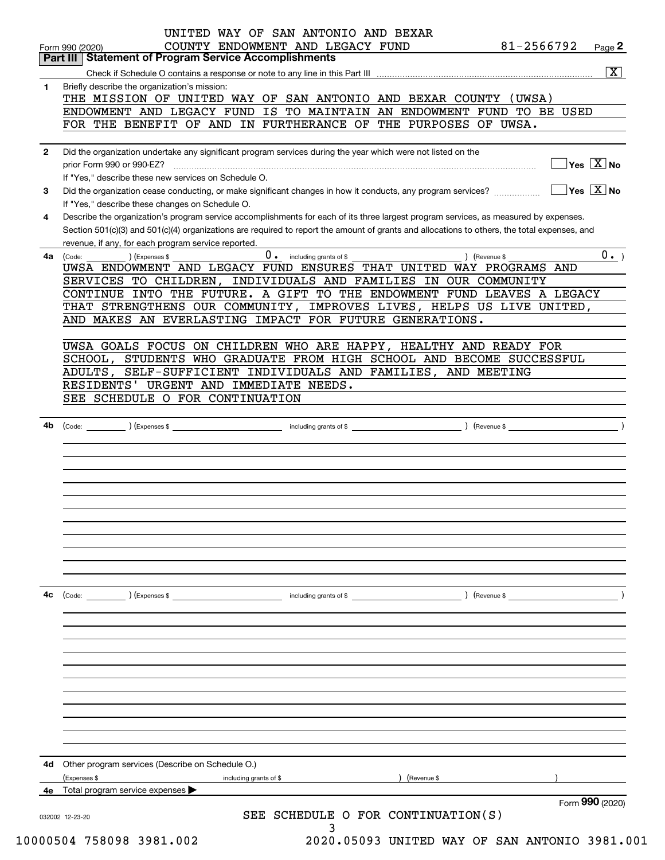|    | Part III   Statement of Program Service Accomplishments                                                                                                                                                   |
|----|-----------------------------------------------------------------------------------------------------------------------------------------------------------------------------------------------------------|
|    | $\overline{\mathbf{x}}$                                                                                                                                                                                   |
| 1  | Briefly describe the organization's mission:                                                                                                                                                              |
|    | THE MISSION OF UNITED WAY OF SAN ANTONIO AND BEXAR COUNTY (UWSA)                                                                                                                                          |
|    | ENDOWMENT AND LEGACY FUND IS TO MAINTAIN AN ENDOWMENT FUND TO BE USED                                                                                                                                     |
|    | FOR THE BENEFIT OF AND IN FURTHERANCE OF THE PURPOSES OF UWSA.                                                                                                                                            |
| 2  | Did the organization undertake any significant program services during the year which were not listed on the                                                                                              |
|    | $\sqrt{\mathsf{Yes}\ \boxed{\mathrm{X}}}$ No                                                                                                                                                              |
|    | If "Yes," describe these new services on Schedule O.                                                                                                                                                      |
| 3  | $\sqrt{}$ Yes $\sqrt{}$ X $\sqrt{}$ No<br>Did the organization cease conducting, or make significant changes in how it conducts, any program services?<br>If "Yes," describe these changes on Schedule O. |
| 4  | Describe the organization's program service accomplishments for each of its three largest program services, as measured by expenses.                                                                      |
|    | Section 501(c)(3) and 501(c)(4) organizations are required to report the amount of grants and allocations to others, the total expenses, and                                                              |
|    | revenue, if any, for each program service reported.                                                                                                                                                       |
| 4a | 0. including grants of \$<br>0.<br>$\sqrt{$ (Revenue \$<br>(Code:<br>) (Expenses \$                                                                                                                       |
|    | UWSA ENDOWMENT AND LEGACY FUND ENSURES THAT UNITED WAY PROGRAMS AND                                                                                                                                       |
|    | SERVICES TO CHILDREN, INDIVIDUALS AND FAMILIES IN OUR COMMUNITY                                                                                                                                           |
|    | CONTINUE INTO THE FUTURE. A GIFT TO THE ENDOWMENT FUND LEAVES A LEGACY                                                                                                                                    |
|    | THAT STRENGTHENS OUR COMMUNITY, IMPROVES LIVES, HELPS US LIVE UNITED,                                                                                                                                     |
|    | AND MAKES AN EVERLASTING IMPACT FOR FUTURE GENERATIONS.                                                                                                                                                   |
|    |                                                                                                                                                                                                           |
|    | UWSA GOALS FOCUS ON CHILDREN WHO ARE HAPPY, HEALTHY AND READY FOR                                                                                                                                         |
|    | SCHOOL, STUDENTS WHO GRADUATE FROM HIGH SCHOOL AND BECOME SUCCESSFUL                                                                                                                                      |
|    | SELF-SUFFICIENT INDIVIDUALS AND FAMILIES, AND MEETING<br>ADULTS,                                                                                                                                          |
|    | RESIDENTS' URGENT AND IMMEDIATE NEEDS.                                                                                                                                                                    |
|    | SEE SCHEDULE O FOR CONTINUATION                                                                                                                                                                           |
|    |                                                                                                                                                                                                           |
| 4b |                                                                                                                                                                                                           |
|    |                                                                                                                                                                                                           |
|    |                                                                                                                                                                                                           |
|    |                                                                                                                                                                                                           |
|    |                                                                                                                                                                                                           |
|    |                                                                                                                                                                                                           |
|    |                                                                                                                                                                                                           |
|    |                                                                                                                                                                                                           |
|    |                                                                                                                                                                                                           |
|    |                                                                                                                                                                                                           |
|    |                                                                                                                                                                                                           |
|    |                                                                                                                                                                                                           |
|    |                                                                                                                                                                                                           |
|    |                                                                                                                                                                                                           |
| 4c | ) (Revenue \$<br>$\left(\text{Code:} \right)$ $\left(\text{Expenses $}\right)$                                                                                                                            |
|    |                                                                                                                                                                                                           |
|    |                                                                                                                                                                                                           |
|    |                                                                                                                                                                                                           |
|    |                                                                                                                                                                                                           |
|    |                                                                                                                                                                                                           |
|    |                                                                                                                                                                                                           |
|    |                                                                                                                                                                                                           |
|    |                                                                                                                                                                                                           |
|    | Other program services (Describe on Schedule O.)                                                                                                                                                          |
| 4d | (Revenue \$<br>(Expenses \$<br>including grants of \$                                                                                                                                                     |
|    |                                                                                                                                                                                                           |
| 4е | Total program service expenses<br>Form 990 (2020)                                                                                                                                                         |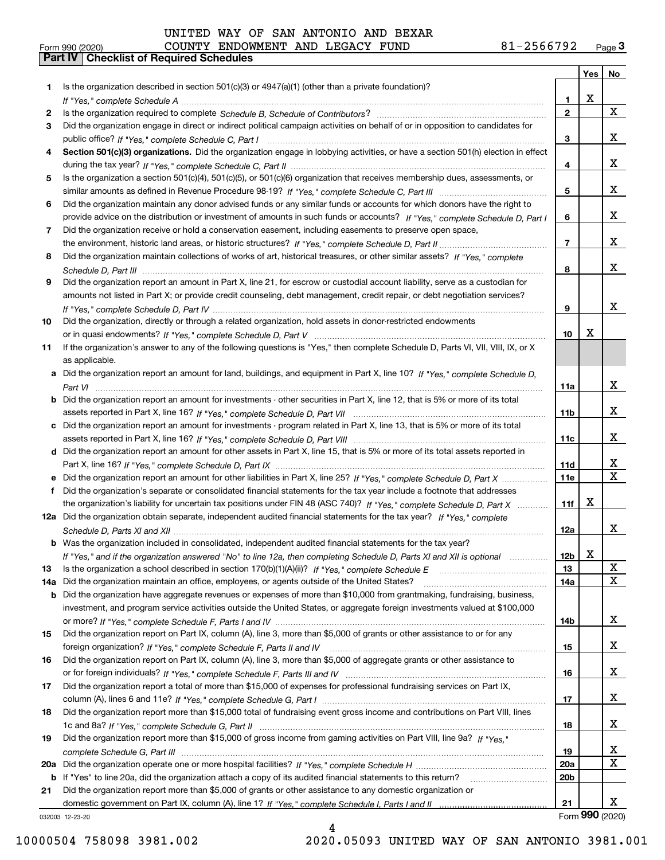# Form 990 (2020) COUNTY ENDOWMENT AND LEGACY FUND 81-2566792 <sub>Page</sub> 3<br>**Part IV | Checklist of Required Schedules**

| Is the organization described in section $501(c)(3)$ or $4947(a)(1)$ (other than a private foundation)?<br>1.<br>х<br>1<br>X<br>$\mathbf{2}$<br>2<br>Did the organization engage in direct or indirect political campaign activities on behalf of or in opposition to candidates for<br>3<br>x<br>3<br>Section 501(c)(3) organizations. Did the organization engage in lobbying activities, or have a section 501(h) election in effect<br>4<br>x<br>4<br>Is the organization a section 501(c)(4), 501(c)(5), or 501(c)(6) organization that receives membership dues, assessments, or<br>5<br>x<br>5<br>Did the organization maintain any donor advised funds or any similar funds or accounts for which donors have the right to<br>6<br>x<br>provide advice on the distribution or investment of amounts in such funds or accounts? If "Yes," complete Schedule D, Part I<br>6<br>Did the organization receive or hold a conservation easement, including easements to preserve open space,<br>7<br>x<br>$\overline{7}$<br>Did the organization maintain collections of works of art, historical treasures, or other similar assets? If "Yes," complete<br>8<br>X<br>8<br>Did the organization report an amount in Part X, line 21, for escrow or custodial account liability, serve as a custodian for<br>9<br>amounts not listed in Part X; or provide credit counseling, debt management, credit repair, or debt negotiation services?<br>x<br>9<br>Did the organization, directly or through a related organization, hold assets in donor-restricted endowments<br>х<br>10<br>If the organization's answer to any of the following questions is "Yes," then complete Schedule D, Parts VI, VII, VIII, IX, or X<br>as applicable.<br>a Did the organization report an amount for land, buildings, and equipment in Part X, line 10? If "Yes," complete Schedule D,<br>x<br>11a<br><b>b</b> Did the organization report an amount for investments - other securities in Part X, line 12, that is 5% or more of its total<br>X<br>11 <sub>b</sub><br>c Did the organization report an amount for investments - program related in Part X, line 13, that is 5% or more of its total<br>х<br>11c<br>d Did the organization report an amount for other assets in Part X, line 15, that is 5% or more of its total assets reported in<br>X<br>11d<br>$\overline{\mathbf{X}}$<br>Did the organization report an amount for other liabilities in Part X, line 25? If "Yes," complete Schedule D, Part X<br><b>11e</b><br>е<br>Did the organization's separate or consolidated financial statements for the tax year include a footnote that addresses<br>f<br>x<br>the organization's liability for uncertain tax positions under FIN 48 (ASC 740)? If "Yes," complete Schedule D. Part X<br>11f<br>12a Did the organization obtain separate, independent audited financial statements for the tax year? If "Yes," complete<br>X<br>12a<br><b>b</b> Was the organization included in consolidated, independent audited financial statements for the tax year?<br>X<br>12 <sub>b</sub><br>If "Yes," and if the organization answered "No" to line 12a, then completing Schedule D, Parts XI and XII is optional<br>$\mathbf X$<br>13<br>13<br>$\mathbf X$<br>Did the organization maintain an office, employees, or agents outside of the United States?<br>14a<br>14a<br>b Did the organization have aggregate revenues or expenses of more than \$10,000 from grantmaking, fundraising, business,<br>investment, and program service activities outside the United States, or aggregate foreign investments valued at \$100,000<br>X<br>14b<br>Did the organization report on Part IX, column (A), line 3, more than \$5,000 of grants or other assistance to or for any<br>15<br>X<br>15<br>Did the organization report on Part IX, column (A), line 3, more than \$5,000 of aggregate grants or other assistance to<br>16<br>X<br>16<br>Did the organization report a total of more than \$15,000 of expenses for professional fundraising services on Part IX,<br>17<br>x<br>17<br>Did the organization report more than \$15,000 total of fundraising event gross income and contributions on Part VIII, lines<br>18<br>x<br>18<br>Did the organization report more than \$15,000 of gross income from gaming activities on Part VIII, line 9a? If "Yes."<br>19<br>x<br>19<br>X<br>20a<br>20a<br>If "Yes" to line 20a, did the organization attach a copy of its audited financial statements to this return?<br>20 <sub>b</sub><br>b<br>Did the organization report more than \$5,000 of grants or other assistance to any domestic organization or<br>21<br>x<br>21<br>Form 990 (2020)<br>032003 12-23-20 |    |  | Yes   No |
|----------------------------------------------------------------------------------------------------------------------------------------------------------------------------------------------------------------------------------------------------------------------------------------------------------------------------------------------------------------------------------------------------------------------------------------------------------------------------------------------------------------------------------------------------------------------------------------------------------------------------------------------------------------------------------------------------------------------------------------------------------------------------------------------------------------------------------------------------------------------------------------------------------------------------------------------------------------------------------------------------------------------------------------------------------------------------------------------------------------------------------------------------------------------------------------------------------------------------------------------------------------------------------------------------------------------------------------------------------------------------------------------------------------------------------------------------------------------------------------------------------------------------------------------------------------------------------------------------------------------------------------------------------------------------------------------------------------------------------------------------------------------------------------------------------------------------------------------------------------------------------------------------------------------------------------------------------------------------------------------------------------------------------------------------------------------------------------------------------------------------------------------------------------------------------------------------------------------------------------------------------------------------------------------------------------------------------------------------------------------------------------------------------------------------------------------------------------------------------------------------------------------------------------------------------------------------------------------------------------------------------------------------------------------------------------------------------------------------------------------------------------------------------------------------------------------------------------------------------------------------------------------------------------------------------------------------------------------------------------------------------------------------------------------------------------------------------------------------------------------------------------------------------------------------------------------------------------------------------------------------------------------------------------------------------------------------------------------------------------------------------------------------------------------------------------------------------------------------------------------------------------------------------------------------------------------------------------------------------------------------------------------------------------------------------------------------------------------------------------------------------------------------------------------------------------------------------------------------------------------------------------------------------------------------------------------------------------------------------------------------------------------------------------------------------------------------------------------------------------------------------------------------------------------------------------------------------------------------------------------------------------------------------------------------------------------------------------------------------------------------------------------------------------------------------------------------------------------------------------------------------------------------------------------------------------------------------------------------------------------------------------------------------------------------------------------------------------|----|--|----------|
|                                                                                                                                                                                                                                                                                                                                                                                                                                                                                                                                                                                                                                                                                                                                                                                                                                                                                                                                                                                                                                                                                                                                                                                                                                                                                                                                                                                                                                                                                                                                                                                                                                                                                                                                                                                                                                                                                                                                                                                                                                                                                                                                                                                                                                                                                                                                                                                                                                                                                                                                                                                                                                                                                                                                                                                                                                                                                                                                                                                                                                                                                                                                                                                                                                                                                                                                                                                                                                                                                                                                                                                                                                                                                                                                                                                                                                                                                                                                                                                                                                                                                                                                                                                                                                                                                                                                                                                                                                                                                                                                                                                                                                                                                                                |    |  |          |
|                                                                                                                                                                                                                                                                                                                                                                                                                                                                                                                                                                                                                                                                                                                                                                                                                                                                                                                                                                                                                                                                                                                                                                                                                                                                                                                                                                                                                                                                                                                                                                                                                                                                                                                                                                                                                                                                                                                                                                                                                                                                                                                                                                                                                                                                                                                                                                                                                                                                                                                                                                                                                                                                                                                                                                                                                                                                                                                                                                                                                                                                                                                                                                                                                                                                                                                                                                                                                                                                                                                                                                                                                                                                                                                                                                                                                                                                                                                                                                                                                                                                                                                                                                                                                                                                                                                                                                                                                                                                                                                                                                                                                                                                                                                |    |  |          |
|                                                                                                                                                                                                                                                                                                                                                                                                                                                                                                                                                                                                                                                                                                                                                                                                                                                                                                                                                                                                                                                                                                                                                                                                                                                                                                                                                                                                                                                                                                                                                                                                                                                                                                                                                                                                                                                                                                                                                                                                                                                                                                                                                                                                                                                                                                                                                                                                                                                                                                                                                                                                                                                                                                                                                                                                                                                                                                                                                                                                                                                                                                                                                                                                                                                                                                                                                                                                                                                                                                                                                                                                                                                                                                                                                                                                                                                                                                                                                                                                                                                                                                                                                                                                                                                                                                                                                                                                                                                                                                                                                                                                                                                                                                                |    |  |          |
|                                                                                                                                                                                                                                                                                                                                                                                                                                                                                                                                                                                                                                                                                                                                                                                                                                                                                                                                                                                                                                                                                                                                                                                                                                                                                                                                                                                                                                                                                                                                                                                                                                                                                                                                                                                                                                                                                                                                                                                                                                                                                                                                                                                                                                                                                                                                                                                                                                                                                                                                                                                                                                                                                                                                                                                                                                                                                                                                                                                                                                                                                                                                                                                                                                                                                                                                                                                                                                                                                                                                                                                                                                                                                                                                                                                                                                                                                                                                                                                                                                                                                                                                                                                                                                                                                                                                                                                                                                                                                                                                                                                                                                                                                                                |    |  |          |
|                                                                                                                                                                                                                                                                                                                                                                                                                                                                                                                                                                                                                                                                                                                                                                                                                                                                                                                                                                                                                                                                                                                                                                                                                                                                                                                                                                                                                                                                                                                                                                                                                                                                                                                                                                                                                                                                                                                                                                                                                                                                                                                                                                                                                                                                                                                                                                                                                                                                                                                                                                                                                                                                                                                                                                                                                                                                                                                                                                                                                                                                                                                                                                                                                                                                                                                                                                                                                                                                                                                                                                                                                                                                                                                                                                                                                                                                                                                                                                                                                                                                                                                                                                                                                                                                                                                                                                                                                                                                                                                                                                                                                                                                                                                |    |  |          |
|                                                                                                                                                                                                                                                                                                                                                                                                                                                                                                                                                                                                                                                                                                                                                                                                                                                                                                                                                                                                                                                                                                                                                                                                                                                                                                                                                                                                                                                                                                                                                                                                                                                                                                                                                                                                                                                                                                                                                                                                                                                                                                                                                                                                                                                                                                                                                                                                                                                                                                                                                                                                                                                                                                                                                                                                                                                                                                                                                                                                                                                                                                                                                                                                                                                                                                                                                                                                                                                                                                                                                                                                                                                                                                                                                                                                                                                                                                                                                                                                                                                                                                                                                                                                                                                                                                                                                                                                                                                                                                                                                                                                                                                                                                                |    |  |          |
|                                                                                                                                                                                                                                                                                                                                                                                                                                                                                                                                                                                                                                                                                                                                                                                                                                                                                                                                                                                                                                                                                                                                                                                                                                                                                                                                                                                                                                                                                                                                                                                                                                                                                                                                                                                                                                                                                                                                                                                                                                                                                                                                                                                                                                                                                                                                                                                                                                                                                                                                                                                                                                                                                                                                                                                                                                                                                                                                                                                                                                                                                                                                                                                                                                                                                                                                                                                                                                                                                                                                                                                                                                                                                                                                                                                                                                                                                                                                                                                                                                                                                                                                                                                                                                                                                                                                                                                                                                                                                                                                                                                                                                                                                                                |    |  |          |
|                                                                                                                                                                                                                                                                                                                                                                                                                                                                                                                                                                                                                                                                                                                                                                                                                                                                                                                                                                                                                                                                                                                                                                                                                                                                                                                                                                                                                                                                                                                                                                                                                                                                                                                                                                                                                                                                                                                                                                                                                                                                                                                                                                                                                                                                                                                                                                                                                                                                                                                                                                                                                                                                                                                                                                                                                                                                                                                                                                                                                                                                                                                                                                                                                                                                                                                                                                                                                                                                                                                                                                                                                                                                                                                                                                                                                                                                                                                                                                                                                                                                                                                                                                                                                                                                                                                                                                                                                                                                                                                                                                                                                                                                                                                |    |  |          |
|                                                                                                                                                                                                                                                                                                                                                                                                                                                                                                                                                                                                                                                                                                                                                                                                                                                                                                                                                                                                                                                                                                                                                                                                                                                                                                                                                                                                                                                                                                                                                                                                                                                                                                                                                                                                                                                                                                                                                                                                                                                                                                                                                                                                                                                                                                                                                                                                                                                                                                                                                                                                                                                                                                                                                                                                                                                                                                                                                                                                                                                                                                                                                                                                                                                                                                                                                                                                                                                                                                                                                                                                                                                                                                                                                                                                                                                                                                                                                                                                                                                                                                                                                                                                                                                                                                                                                                                                                                                                                                                                                                                                                                                                                                                |    |  |          |
|                                                                                                                                                                                                                                                                                                                                                                                                                                                                                                                                                                                                                                                                                                                                                                                                                                                                                                                                                                                                                                                                                                                                                                                                                                                                                                                                                                                                                                                                                                                                                                                                                                                                                                                                                                                                                                                                                                                                                                                                                                                                                                                                                                                                                                                                                                                                                                                                                                                                                                                                                                                                                                                                                                                                                                                                                                                                                                                                                                                                                                                                                                                                                                                                                                                                                                                                                                                                                                                                                                                                                                                                                                                                                                                                                                                                                                                                                                                                                                                                                                                                                                                                                                                                                                                                                                                                                                                                                                                                                                                                                                                                                                                                                                                |    |  |          |
|                                                                                                                                                                                                                                                                                                                                                                                                                                                                                                                                                                                                                                                                                                                                                                                                                                                                                                                                                                                                                                                                                                                                                                                                                                                                                                                                                                                                                                                                                                                                                                                                                                                                                                                                                                                                                                                                                                                                                                                                                                                                                                                                                                                                                                                                                                                                                                                                                                                                                                                                                                                                                                                                                                                                                                                                                                                                                                                                                                                                                                                                                                                                                                                                                                                                                                                                                                                                                                                                                                                                                                                                                                                                                                                                                                                                                                                                                                                                                                                                                                                                                                                                                                                                                                                                                                                                                                                                                                                                                                                                                                                                                                                                                                                |    |  |          |
|                                                                                                                                                                                                                                                                                                                                                                                                                                                                                                                                                                                                                                                                                                                                                                                                                                                                                                                                                                                                                                                                                                                                                                                                                                                                                                                                                                                                                                                                                                                                                                                                                                                                                                                                                                                                                                                                                                                                                                                                                                                                                                                                                                                                                                                                                                                                                                                                                                                                                                                                                                                                                                                                                                                                                                                                                                                                                                                                                                                                                                                                                                                                                                                                                                                                                                                                                                                                                                                                                                                                                                                                                                                                                                                                                                                                                                                                                                                                                                                                                                                                                                                                                                                                                                                                                                                                                                                                                                                                                                                                                                                                                                                                                                                |    |  |          |
|                                                                                                                                                                                                                                                                                                                                                                                                                                                                                                                                                                                                                                                                                                                                                                                                                                                                                                                                                                                                                                                                                                                                                                                                                                                                                                                                                                                                                                                                                                                                                                                                                                                                                                                                                                                                                                                                                                                                                                                                                                                                                                                                                                                                                                                                                                                                                                                                                                                                                                                                                                                                                                                                                                                                                                                                                                                                                                                                                                                                                                                                                                                                                                                                                                                                                                                                                                                                                                                                                                                                                                                                                                                                                                                                                                                                                                                                                                                                                                                                                                                                                                                                                                                                                                                                                                                                                                                                                                                                                                                                                                                                                                                                                                                |    |  |          |
|                                                                                                                                                                                                                                                                                                                                                                                                                                                                                                                                                                                                                                                                                                                                                                                                                                                                                                                                                                                                                                                                                                                                                                                                                                                                                                                                                                                                                                                                                                                                                                                                                                                                                                                                                                                                                                                                                                                                                                                                                                                                                                                                                                                                                                                                                                                                                                                                                                                                                                                                                                                                                                                                                                                                                                                                                                                                                                                                                                                                                                                                                                                                                                                                                                                                                                                                                                                                                                                                                                                                                                                                                                                                                                                                                                                                                                                                                                                                                                                                                                                                                                                                                                                                                                                                                                                                                                                                                                                                                                                                                                                                                                                                                                                |    |  |          |
|                                                                                                                                                                                                                                                                                                                                                                                                                                                                                                                                                                                                                                                                                                                                                                                                                                                                                                                                                                                                                                                                                                                                                                                                                                                                                                                                                                                                                                                                                                                                                                                                                                                                                                                                                                                                                                                                                                                                                                                                                                                                                                                                                                                                                                                                                                                                                                                                                                                                                                                                                                                                                                                                                                                                                                                                                                                                                                                                                                                                                                                                                                                                                                                                                                                                                                                                                                                                                                                                                                                                                                                                                                                                                                                                                                                                                                                                                                                                                                                                                                                                                                                                                                                                                                                                                                                                                                                                                                                                                                                                                                                                                                                                                                                |    |  |          |
|                                                                                                                                                                                                                                                                                                                                                                                                                                                                                                                                                                                                                                                                                                                                                                                                                                                                                                                                                                                                                                                                                                                                                                                                                                                                                                                                                                                                                                                                                                                                                                                                                                                                                                                                                                                                                                                                                                                                                                                                                                                                                                                                                                                                                                                                                                                                                                                                                                                                                                                                                                                                                                                                                                                                                                                                                                                                                                                                                                                                                                                                                                                                                                                                                                                                                                                                                                                                                                                                                                                                                                                                                                                                                                                                                                                                                                                                                                                                                                                                                                                                                                                                                                                                                                                                                                                                                                                                                                                                                                                                                                                                                                                                                                                |    |  |          |
|                                                                                                                                                                                                                                                                                                                                                                                                                                                                                                                                                                                                                                                                                                                                                                                                                                                                                                                                                                                                                                                                                                                                                                                                                                                                                                                                                                                                                                                                                                                                                                                                                                                                                                                                                                                                                                                                                                                                                                                                                                                                                                                                                                                                                                                                                                                                                                                                                                                                                                                                                                                                                                                                                                                                                                                                                                                                                                                                                                                                                                                                                                                                                                                                                                                                                                                                                                                                                                                                                                                                                                                                                                                                                                                                                                                                                                                                                                                                                                                                                                                                                                                                                                                                                                                                                                                                                                                                                                                                                                                                                                                                                                                                                                                |    |  |          |
|                                                                                                                                                                                                                                                                                                                                                                                                                                                                                                                                                                                                                                                                                                                                                                                                                                                                                                                                                                                                                                                                                                                                                                                                                                                                                                                                                                                                                                                                                                                                                                                                                                                                                                                                                                                                                                                                                                                                                                                                                                                                                                                                                                                                                                                                                                                                                                                                                                                                                                                                                                                                                                                                                                                                                                                                                                                                                                                                                                                                                                                                                                                                                                                                                                                                                                                                                                                                                                                                                                                                                                                                                                                                                                                                                                                                                                                                                                                                                                                                                                                                                                                                                                                                                                                                                                                                                                                                                                                                                                                                                                                                                                                                                                                |    |  |          |
|                                                                                                                                                                                                                                                                                                                                                                                                                                                                                                                                                                                                                                                                                                                                                                                                                                                                                                                                                                                                                                                                                                                                                                                                                                                                                                                                                                                                                                                                                                                                                                                                                                                                                                                                                                                                                                                                                                                                                                                                                                                                                                                                                                                                                                                                                                                                                                                                                                                                                                                                                                                                                                                                                                                                                                                                                                                                                                                                                                                                                                                                                                                                                                                                                                                                                                                                                                                                                                                                                                                                                                                                                                                                                                                                                                                                                                                                                                                                                                                                                                                                                                                                                                                                                                                                                                                                                                                                                                                                                                                                                                                                                                                                                                                | 10 |  |          |
|                                                                                                                                                                                                                                                                                                                                                                                                                                                                                                                                                                                                                                                                                                                                                                                                                                                                                                                                                                                                                                                                                                                                                                                                                                                                                                                                                                                                                                                                                                                                                                                                                                                                                                                                                                                                                                                                                                                                                                                                                                                                                                                                                                                                                                                                                                                                                                                                                                                                                                                                                                                                                                                                                                                                                                                                                                                                                                                                                                                                                                                                                                                                                                                                                                                                                                                                                                                                                                                                                                                                                                                                                                                                                                                                                                                                                                                                                                                                                                                                                                                                                                                                                                                                                                                                                                                                                                                                                                                                                                                                                                                                                                                                                                                |    |  |          |
|                                                                                                                                                                                                                                                                                                                                                                                                                                                                                                                                                                                                                                                                                                                                                                                                                                                                                                                                                                                                                                                                                                                                                                                                                                                                                                                                                                                                                                                                                                                                                                                                                                                                                                                                                                                                                                                                                                                                                                                                                                                                                                                                                                                                                                                                                                                                                                                                                                                                                                                                                                                                                                                                                                                                                                                                                                                                                                                                                                                                                                                                                                                                                                                                                                                                                                                                                                                                                                                                                                                                                                                                                                                                                                                                                                                                                                                                                                                                                                                                                                                                                                                                                                                                                                                                                                                                                                                                                                                                                                                                                                                                                                                                                                                | 11 |  |          |
|                                                                                                                                                                                                                                                                                                                                                                                                                                                                                                                                                                                                                                                                                                                                                                                                                                                                                                                                                                                                                                                                                                                                                                                                                                                                                                                                                                                                                                                                                                                                                                                                                                                                                                                                                                                                                                                                                                                                                                                                                                                                                                                                                                                                                                                                                                                                                                                                                                                                                                                                                                                                                                                                                                                                                                                                                                                                                                                                                                                                                                                                                                                                                                                                                                                                                                                                                                                                                                                                                                                                                                                                                                                                                                                                                                                                                                                                                                                                                                                                                                                                                                                                                                                                                                                                                                                                                                                                                                                                                                                                                                                                                                                                                                                |    |  |          |
|                                                                                                                                                                                                                                                                                                                                                                                                                                                                                                                                                                                                                                                                                                                                                                                                                                                                                                                                                                                                                                                                                                                                                                                                                                                                                                                                                                                                                                                                                                                                                                                                                                                                                                                                                                                                                                                                                                                                                                                                                                                                                                                                                                                                                                                                                                                                                                                                                                                                                                                                                                                                                                                                                                                                                                                                                                                                                                                                                                                                                                                                                                                                                                                                                                                                                                                                                                                                                                                                                                                                                                                                                                                                                                                                                                                                                                                                                                                                                                                                                                                                                                                                                                                                                                                                                                                                                                                                                                                                                                                                                                                                                                                                                                                |    |  |          |
|                                                                                                                                                                                                                                                                                                                                                                                                                                                                                                                                                                                                                                                                                                                                                                                                                                                                                                                                                                                                                                                                                                                                                                                                                                                                                                                                                                                                                                                                                                                                                                                                                                                                                                                                                                                                                                                                                                                                                                                                                                                                                                                                                                                                                                                                                                                                                                                                                                                                                                                                                                                                                                                                                                                                                                                                                                                                                                                                                                                                                                                                                                                                                                                                                                                                                                                                                                                                                                                                                                                                                                                                                                                                                                                                                                                                                                                                                                                                                                                                                                                                                                                                                                                                                                                                                                                                                                                                                                                                                                                                                                                                                                                                                                                |    |  |          |
|                                                                                                                                                                                                                                                                                                                                                                                                                                                                                                                                                                                                                                                                                                                                                                                                                                                                                                                                                                                                                                                                                                                                                                                                                                                                                                                                                                                                                                                                                                                                                                                                                                                                                                                                                                                                                                                                                                                                                                                                                                                                                                                                                                                                                                                                                                                                                                                                                                                                                                                                                                                                                                                                                                                                                                                                                                                                                                                                                                                                                                                                                                                                                                                                                                                                                                                                                                                                                                                                                                                                                                                                                                                                                                                                                                                                                                                                                                                                                                                                                                                                                                                                                                                                                                                                                                                                                                                                                                                                                                                                                                                                                                                                                                                |    |  |          |
|                                                                                                                                                                                                                                                                                                                                                                                                                                                                                                                                                                                                                                                                                                                                                                                                                                                                                                                                                                                                                                                                                                                                                                                                                                                                                                                                                                                                                                                                                                                                                                                                                                                                                                                                                                                                                                                                                                                                                                                                                                                                                                                                                                                                                                                                                                                                                                                                                                                                                                                                                                                                                                                                                                                                                                                                                                                                                                                                                                                                                                                                                                                                                                                                                                                                                                                                                                                                                                                                                                                                                                                                                                                                                                                                                                                                                                                                                                                                                                                                                                                                                                                                                                                                                                                                                                                                                                                                                                                                                                                                                                                                                                                                                                                |    |  |          |
|                                                                                                                                                                                                                                                                                                                                                                                                                                                                                                                                                                                                                                                                                                                                                                                                                                                                                                                                                                                                                                                                                                                                                                                                                                                                                                                                                                                                                                                                                                                                                                                                                                                                                                                                                                                                                                                                                                                                                                                                                                                                                                                                                                                                                                                                                                                                                                                                                                                                                                                                                                                                                                                                                                                                                                                                                                                                                                                                                                                                                                                                                                                                                                                                                                                                                                                                                                                                                                                                                                                                                                                                                                                                                                                                                                                                                                                                                                                                                                                                                                                                                                                                                                                                                                                                                                                                                                                                                                                                                                                                                                                                                                                                                                                |    |  |          |
|                                                                                                                                                                                                                                                                                                                                                                                                                                                                                                                                                                                                                                                                                                                                                                                                                                                                                                                                                                                                                                                                                                                                                                                                                                                                                                                                                                                                                                                                                                                                                                                                                                                                                                                                                                                                                                                                                                                                                                                                                                                                                                                                                                                                                                                                                                                                                                                                                                                                                                                                                                                                                                                                                                                                                                                                                                                                                                                                                                                                                                                                                                                                                                                                                                                                                                                                                                                                                                                                                                                                                                                                                                                                                                                                                                                                                                                                                                                                                                                                                                                                                                                                                                                                                                                                                                                                                                                                                                                                                                                                                                                                                                                                                                                |    |  |          |
|                                                                                                                                                                                                                                                                                                                                                                                                                                                                                                                                                                                                                                                                                                                                                                                                                                                                                                                                                                                                                                                                                                                                                                                                                                                                                                                                                                                                                                                                                                                                                                                                                                                                                                                                                                                                                                                                                                                                                                                                                                                                                                                                                                                                                                                                                                                                                                                                                                                                                                                                                                                                                                                                                                                                                                                                                                                                                                                                                                                                                                                                                                                                                                                                                                                                                                                                                                                                                                                                                                                                                                                                                                                                                                                                                                                                                                                                                                                                                                                                                                                                                                                                                                                                                                                                                                                                                                                                                                                                                                                                                                                                                                                                                                                |    |  |          |
|                                                                                                                                                                                                                                                                                                                                                                                                                                                                                                                                                                                                                                                                                                                                                                                                                                                                                                                                                                                                                                                                                                                                                                                                                                                                                                                                                                                                                                                                                                                                                                                                                                                                                                                                                                                                                                                                                                                                                                                                                                                                                                                                                                                                                                                                                                                                                                                                                                                                                                                                                                                                                                                                                                                                                                                                                                                                                                                                                                                                                                                                                                                                                                                                                                                                                                                                                                                                                                                                                                                                                                                                                                                                                                                                                                                                                                                                                                                                                                                                                                                                                                                                                                                                                                                                                                                                                                                                                                                                                                                                                                                                                                                                                                                |    |  |          |
|                                                                                                                                                                                                                                                                                                                                                                                                                                                                                                                                                                                                                                                                                                                                                                                                                                                                                                                                                                                                                                                                                                                                                                                                                                                                                                                                                                                                                                                                                                                                                                                                                                                                                                                                                                                                                                                                                                                                                                                                                                                                                                                                                                                                                                                                                                                                                                                                                                                                                                                                                                                                                                                                                                                                                                                                                                                                                                                                                                                                                                                                                                                                                                                                                                                                                                                                                                                                                                                                                                                                                                                                                                                                                                                                                                                                                                                                                                                                                                                                                                                                                                                                                                                                                                                                                                                                                                                                                                                                                                                                                                                                                                                                                                                |    |  |          |
|                                                                                                                                                                                                                                                                                                                                                                                                                                                                                                                                                                                                                                                                                                                                                                                                                                                                                                                                                                                                                                                                                                                                                                                                                                                                                                                                                                                                                                                                                                                                                                                                                                                                                                                                                                                                                                                                                                                                                                                                                                                                                                                                                                                                                                                                                                                                                                                                                                                                                                                                                                                                                                                                                                                                                                                                                                                                                                                                                                                                                                                                                                                                                                                                                                                                                                                                                                                                                                                                                                                                                                                                                                                                                                                                                                                                                                                                                                                                                                                                                                                                                                                                                                                                                                                                                                                                                                                                                                                                                                                                                                                                                                                                                                                |    |  |          |
|                                                                                                                                                                                                                                                                                                                                                                                                                                                                                                                                                                                                                                                                                                                                                                                                                                                                                                                                                                                                                                                                                                                                                                                                                                                                                                                                                                                                                                                                                                                                                                                                                                                                                                                                                                                                                                                                                                                                                                                                                                                                                                                                                                                                                                                                                                                                                                                                                                                                                                                                                                                                                                                                                                                                                                                                                                                                                                                                                                                                                                                                                                                                                                                                                                                                                                                                                                                                                                                                                                                                                                                                                                                                                                                                                                                                                                                                                                                                                                                                                                                                                                                                                                                                                                                                                                                                                                                                                                                                                                                                                                                                                                                                                                                |    |  |          |
|                                                                                                                                                                                                                                                                                                                                                                                                                                                                                                                                                                                                                                                                                                                                                                                                                                                                                                                                                                                                                                                                                                                                                                                                                                                                                                                                                                                                                                                                                                                                                                                                                                                                                                                                                                                                                                                                                                                                                                                                                                                                                                                                                                                                                                                                                                                                                                                                                                                                                                                                                                                                                                                                                                                                                                                                                                                                                                                                                                                                                                                                                                                                                                                                                                                                                                                                                                                                                                                                                                                                                                                                                                                                                                                                                                                                                                                                                                                                                                                                                                                                                                                                                                                                                                                                                                                                                                                                                                                                                                                                                                                                                                                                                                                |    |  |          |
|                                                                                                                                                                                                                                                                                                                                                                                                                                                                                                                                                                                                                                                                                                                                                                                                                                                                                                                                                                                                                                                                                                                                                                                                                                                                                                                                                                                                                                                                                                                                                                                                                                                                                                                                                                                                                                                                                                                                                                                                                                                                                                                                                                                                                                                                                                                                                                                                                                                                                                                                                                                                                                                                                                                                                                                                                                                                                                                                                                                                                                                                                                                                                                                                                                                                                                                                                                                                                                                                                                                                                                                                                                                                                                                                                                                                                                                                                                                                                                                                                                                                                                                                                                                                                                                                                                                                                                                                                                                                                                                                                                                                                                                                                                                |    |  |          |
|                                                                                                                                                                                                                                                                                                                                                                                                                                                                                                                                                                                                                                                                                                                                                                                                                                                                                                                                                                                                                                                                                                                                                                                                                                                                                                                                                                                                                                                                                                                                                                                                                                                                                                                                                                                                                                                                                                                                                                                                                                                                                                                                                                                                                                                                                                                                                                                                                                                                                                                                                                                                                                                                                                                                                                                                                                                                                                                                                                                                                                                                                                                                                                                                                                                                                                                                                                                                                                                                                                                                                                                                                                                                                                                                                                                                                                                                                                                                                                                                                                                                                                                                                                                                                                                                                                                                                                                                                                                                                                                                                                                                                                                                                                                |    |  |          |
|                                                                                                                                                                                                                                                                                                                                                                                                                                                                                                                                                                                                                                                                                                                                                                                                                                                                                                                                                                                                                                                                                                                                                                                                                                                                                                                                                                                                                                                                                                                                                                                                                                                                                                                                                                                                                                                                                                                                                                                                                                                                                                                                                                                                                                                                                                                                                                                                                                                                                                                                                                                                                                                                                                                                                                                                                                                                                                                                                                                                                                                                                                                                                                                                                                                                                                                                                                                                                                                                                                                                                                                                                                                                                                                                                                                                                                                                                                                                                                                                                                                                                                                                                                                                                                                                                                                                                                                                                                                                                                                                                                                                                                                                                                                |    |  |          |
|                                                                                                                                                                                                                                                                                                                                                                                                                                                                                                                                                                                                                                                                                                                                                                                                                                                                                                                                                                                                                                                                                                                                                                                                                                                                                                                                                                                                                                                                                                                                                                                                                                                                                                                                                                                                                                                                                                                                                                                                                                                                                                                                                                                                                                                                                                                                                                                                                                                                                                                                                                                                                                                                                                                                                                                                                                                                                                                                                                                                                                                                                                                                                                                                                                                                                                                                                                                                                                                                                                                                                                                                                                                                                                                                                                                                                                                                                                                                                                                                                                                                                                                                                                                                                                                                                                                                                                                                                                                                                                                                                                                                                                                                                                                |    |  |          |
|                                                                                                                                                                                                                                                                                                                                                                                                                                                                                                                                                                                                                                                                                                                                                                                                                                                                                                                                                                                                                                                                                                                                                                                                                                                                                                                                                                                                                                                                                                                                                                                                                                                                                                                                                                                                                                                                                                                                                                                                                                                                                                                                                                                                                                                                                                                                                                                                                                                                                                                                                                                                                                                                                                                                                                                                                                                                                                                                                                                                                                                                                                                                                                                                                                                                                                                                                                                                                                                                                                                                                                                                                                                                                                                                                                                                                                                                                                                                                                                                                                                                                                                                                                                                                                                                                                                                                                                                                                                                                                                                                                                                                                                                                                                |    |  |          |
|                                                                                                                                                                                                                                                                                                                                                                                                                                                                                                                                                                                                                                                                                                                                                                                                                                                                                                                                                                                                                                                                                                                                                                                                                                                                                                                                                                                                                                                                                                                                                                                                                                                                                                                                                                                                                                                                                                                                                                                                                                                                                                                                                                                                                                                                                                                                                                                                                                                                                                                                                                                                                                                                                                                                                                                                                                                                                                                                                                                                                                                                                                                                                                                                                                                                                                                                                                                                                                                                                                                                                                                                                                                                                                                                                                                                                                                                                                                                                                                                                                                                                                                                                                                                                                                                                                                                                                                                                                                                                                                                                                                                                                                                                                                |    |  |          |
|                                                                                                                                                                                                                                                                                                                                                                                                                                                                                                                                                                                                                                                                                                                                                                                                                                                                                                                                                                                                                                                                                                                                                                                                                                                                                                                                                                                                                                                                                                                                                                                                                                                                                                                                                                                                                                                                                                                                                                                                                                                                                                                                                                                                                                                                                                                                                                                                                                                                                                                                                                                                                                                                                                                                                                                                                                                                                                                                                                                                                                                                                                                                                                                                                                                                                                                                                                                                                                                                                                                                                                                                                                                                                                                                                                                                                                                                                                                                                                                                                                                                                                                                                                                                                                                                                                                                                                                                                                                                                                                                                                                                                                                                                                                |    |  |          |
|                                                                                                                                                                                                                                                                                                                                                                                                                                                                                                                                                                                                                                                                                                                                                                                                                                                                                                                                                                                                                                                                                                                                                                                                                                                                                                                                                                                                                                                                                                                                                                                                                                                                                                                                                                                                                                                                                                                                                                                                                                                                                                                                                                                                                                                                                                                                                                                                                                                                                                                                                                                                                                                                                                                                                                                                                                                                                                                                                                                                                                                                                                                                                                                                                                                                                                                                                                                                                                                                                                                                                                                                                                                                                                                                                                                                                                                                                                                                                                                                                                                                                                                                                                                                                                                                                                                                                                                                                                                                                                                                                                                                                                                                                                                |    |  |          |
|                                                                                                                                                                                                                                                                                                                                                                                                                                                                                                                                                                                                                                                                                                                                                                                                                                                                                                                                                                                                                                                                                                                                                                                                                                                                                                                                                                                                                                                                                                                                                                                                                                                                                                                                                                                                                                                                                                                                                                                                                                                                                                                                                                                                                                                                                                                                                                                                                                                                                                                                                                                                                                                                                                                                                                                                                                                                                                                                                                                                                                                                                                                                                                                                                                                                                                                                                                                                                                                                                                                                                                                                                                                                                                                                                                                                                                                                                                                                                                                                                                                                                                                                                                                                                                                                                                                                                                                                                                                                                                                                                                                                                                                                                                                |    |  |          |
|                                                                                                                                                                                                                                                                                                                                                                                                                                                                                                                                                                                                                                                                                                                                                                                                                                                                                                                                                                                                                                                                                                                                                                                                                                                                                                                                                                                                                                                                                                                                                                                                                                                                                                                                                                                                                                                                                                                                                                                                                                                                                                                                                                                                                                                                                                                                                                                                                                                                                                                                                                                                                                                                                                                                                                                                                                                                                                                                                                                                                                                                                                                                                                                                                                                                                                                                                                                                                                                                                                                                                                                                                                                                                                                                                                                                                                                                                                                                                                                                                                                                                                                                                                                                                                                                                                                                                                                                                                                                                                                                                                                                                                                                                                                |    |  |          |
|                                                                                                                                                                                                                                                                                                                                                                                                                                                                                                                                                                                                                                                                                                                                                                                                                                                                                                                                                                                                                                                                                                                                                                                                                                                                                                                                                                                                                                                                                                                                                                                                                                                                                                                                                                                                                                                                                                                                                                                                                                                                                                                                                                                                                                                                                                                                                                                                                                                                                                                                                                                                                                                                                                                                                                                                                                                                                                                                                                                                                                                                                                                                                                                                                                                                                                                                                                                                                                                                                                                                                                                                                                                                                                                                                                                                                                                                                                                                                                                                                                                                                                                                                                                                                                                                                                                                                                                                                                                                                                                                                                                                                                                                                                                |    |  |          |
|                                                                                                                                                                                                                                                                                                                                                                                                                                                                                                                                                                                                                                                                                                                                                                                                                                                                                                                                                                                                                                                                                                                                                                                                                                                                                                                                                                                                                                                                                                                                                                                                                                                                                                                                                                                                                                                                                                                                                                                                                                                                                                                                                                                                                                                                                                                                                                                                                                                                                                                                                                                                                                                                                                                                                                                                                                                                                                                                                                                                                                                                                                                                                                                                                                                                                                                                                                                                                                                                                                                                                                                                                                                                                                                                                                                                                                                                                                                                                                                                                                                                                                                                                                                                                                                                                                                                                                                                                                                                                                                                                                                                                                                                                                                |    |  |          |
|                                                                                                                                                                                                                                                                                                                                                                                                                                                                                                                                                                                                                                                                                                                                                                                                                                                                                                                                                                                                                                                                                                                                                                                                                                                                                                                                                                                                                                                                                                                                                                                                                                                                                                                                                                                                                                                                                                                                                                                                                                                                                                                                                                                                                                                                                                                                                                                                                                                                                                                                                                                                                                                                                                                                                                                                                                                                                                                                                                                                                                                                                                                                                                                                                                                                                                                                                                                                                                                                                                                                                                                                                                                                                                                                                                                                                                                                                                                                                                                                                                                                                                                                                                                                                                                                                                                                                                                                                                                                                                                                                                                                                                                                                                                |    |  |          |
|                                                                                                                                                                                                                                                                                                                                                                                                                                                                                                                                                                                                                                                                                                                                                                                                                                                                                                                                                                                                                                                                                                                                                                                                                                                                                                                                                                                                                                                                                                                                                                                                                                                                                                                                                                                                                                                                                                                                                                                                                                                                                                                                                                                                                                                                                                                                                                                                                                                                                                                                                                                                                                                                                                                                                                                                                                                                                                                                                                                                                                                                                                                                                                                                                                                                                                                                                                                                                                                                                                                                                                                                                                                                                                                                                                                                                                                                                                                                                                                                                                                                                                                                                                                                                                                                                                                                                                                                                                                                                                                                                                                                                                                                                                                |    |  |          |
|                                                                                                                                                                                                                                                                                                                                                                                                                                                                                                                                                                                                                                                                                                                                                                                                                                                                                                                                                                                                                                                                                                                                                                                                                                                                                                                                                                                                                                                                                                                                                                                                                                                                                                                                                                                                                                                                                                                                                                                                                                                                                                                                                                                                                                                                                                                                                                                                                                                                                                                                                                                                                                                                                                                                                                                                                                                                                                                                                                                                                                                                                                                                                                                                                                                                                                                                                                                                                                                                                                                                                                                                                                                                                                                                                                                                                                                                                                                                                                                                                                                                                                                                                                                                                                                                                                                                                                                                                                                                                                                                                                                                                                                                                                                |    |  |          |
|                                                                                                                                                                                                                                                                                                                                                                                                                                                                                                                                                                                                                                                                                                                                                                                                                                                                                                                                                                                                                                                                                                                                                                                                                                                                                                                                                                                                                                                                                                                                                                                                                                                                                                                                                                                                                                                                                                                                                                                                                                                                                                                                                                                                                                                                                                                                                                                                                                                                                                                                                                                                                                                                                                                                                                                                                                                                                                                                                                                                                                                                                                                                                                                                                                                                                                                                                                                                                                                                                                                                                                                                                                                                                                                                                                                                                                                                                                                                                                                                                                                                                                                                                                                                                                                                                                                                                                                                                                                                                                                                                                                                                                                                                                                |    |  |          |
|                                                                                                                                                                                                                                                                                                                                                                                                                                                                                                                                                                                                                                                                                                                                                                                                                                                                                                                                                                                                                                                                                                                                                                                                                                                                                                                                                                                                                                                                                                                                                                                                                                                                                                                                                                                                                                                                                                                                                                                                                                                                                                                                                                                                                                                                                                                                                                                                                                                                                                                                                                                                                                                                                                                                                                                                                                                                                                                                                                                                                                                                                                                                                                                                                                                                                                                                                                                                                                                                                                                                                                                                                                                                                                                                                                                                                                                                                                                                                                                                                                                                                                                                                                                                                                                                                                                                                                                                                                                                                                                                                                                                                                                                                                                |    |  |          |
|                                                                                                                                                                                                                                                                                                                                                                                                                                                                                                                                                                                                                                                                                                                                                                                                                                                                                                                                                                                                                                                                                                                                                                                                                                                                                                                                                                                                                                                                                                                                                                                                                                                                                                                                                                                                                                                                                                                                                                                                                                                                                                                                                                                                                                                                                                                                                                                                                                                                                                                                                                                                                                                                                                                                                                                                                                                                                                                                                                                                                                                                                                                                                                                                                                                                                                                                                                                                                                                                                                                                                                                                                                                                                                                                                                                                                                                                                                                                                                                                                                                                                                                                                                                                                                                                                                                                                                                                                                                                                                                                                                                                                                                                                                                |    |  |          |
|                                                                                                                                                                                                                                                                                                                                                                                                                                                                                                                                                                                                                                                                                                                                                                                                                                                                                                                                                                                                                                                                                                                                                                                                                                                                                                                                                                                                                                                                                                                                                                                                                                                                                                                                                                                                                                                                                                                                                                                                                                                                                                                                                                                                                                                                                                                                                                                                                                                                                                                                                                                                                                                                                                                                                                                                                                                                                                                                                                                                                                                                                                                                                                                                                                                                                                                                                                                                                                                                                                                                                                                                                                                                                                                                                                                                                                                                                                                                                                                                                                                                                                                                                                                                                                                                                                                                                                                                                                                                                                                                                                                                                                                                                                                |    |  |          |
|                                                                                                                                                                                                                                                                                                                                                                                                                                                                                                                                                                                                                                                                                                                                                                                                                                                                                                                                                                                                                                                                                                                                                                                                                                                                                                                                                                                                                                                                                                                                                                                                                                                                                                                                                                                                                                                                                                                                                                                                                                                                                                                                                                                                                                                                                                                                                                                                                                                                                                                                                                                                                                                                                                                                                                                                                                                                                                                                                                                                                                                                                                                                                                                                                                                                                                                                                                                                                                                                                                                                                                                                                                                                                                                                                                                                                                                                                                                                                                                                                                                                                                                                                                                                                                                                                                                                                                                                                                                                                                                                                                                                                                                                                                                |    |  |          |
|                                                                                                                                                                                                                                                                                                                                                                                                                                                                                                                                                                                                                                                                                                                                                                                                                                                                                                                                                                                                                                                                                                                                                                                                                                                                                                                                                                                                                                                                                                                                                                                                                                                                                                                                                                                                                                                                                                                                                                                                                                                                                                                                                                                                                                                                                                                                                                                                                                                                                                                                                                                                                                                                                                                                                                                                                                                                                                                                                                                                                                                                                                                                                                                                                                                                                                                                                                                                                                                                                                                                                                                                                                                                                                                                                                                                                                                                                                                                                                                                                                                                                                                                                                                                                                                                                                                                                                                                                                                                                                                                                                                                                                                                                                                |    |  |          |
|                                                                                                                                                                                                                                                                                                                                                                                                                                                                                                                                                                                                                                                                                                                                                                                                                                                                                                                                                                                                                                                                                                                                                                                                                                                                                                                                                                                                                                                                                                                                                                                                                                                                                                                                                                                                                                                                                                                                                                                                                                                                                                                                                                                                                                                                                                                                                                                                                                                                                                                                                                                                                                                                                                                                                                                                                                                                                                                                                                                                                                                                                                                                                                                                                                                                                                                                                                                                                                                                                                                                                                                                                                                                                                                                                                                                                                                                                                                                                                                                                                                                                                                                                                                                                                                                                                                                                                                                                                                                                                                                                                                                                                                                                                                |    |  |          |

4

10000504 758098 3981.002 2020.05093 UNITED WAY OF SAN ANTONIO 3981.001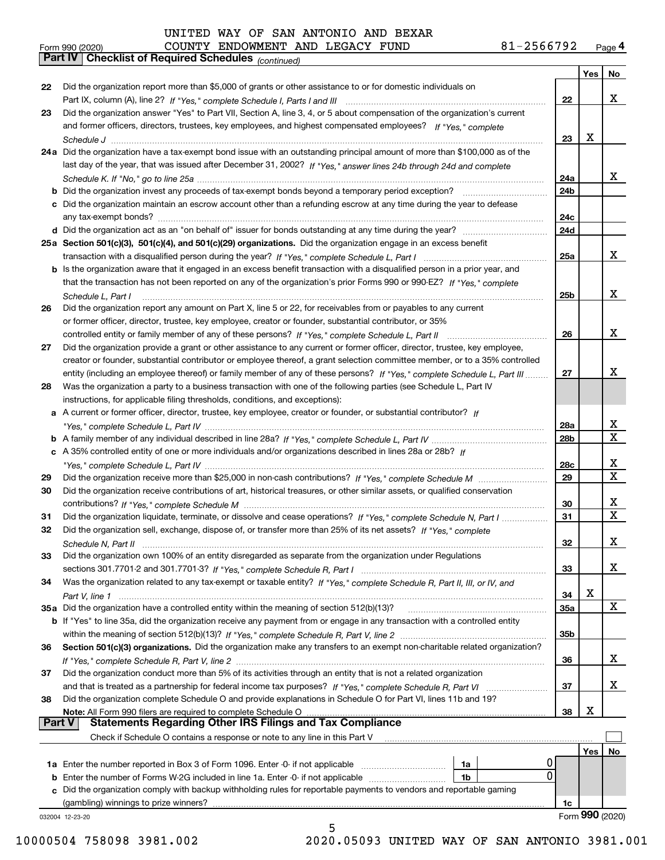|    | 81-2566792<br>COUNTY ENDOWMENT AND LEGACY FUND<br>Form 990 (2020)                                                                                                                                                                            |     |                 | Page 4 |
|----|----------------------------------------------------------------------------------------------------------------------------------------------------------------------------------------------------------------------------------------------|-----|-----------------|--------|
|    | Part IV   Checklist of Required Schedules (continued)                                                                                                                                                                                        |     |                 |        |
|    |                                                                                                                                                                                                                                              |     | Yes             | No     |
| 22 | Did the organization report more than \$5,000 of grants or other assistance to or for domestic individuals on                                                                                                                                |     |                 | X      |
|    |                                                                                                                                                                                                                                              | 22  |                 |        |
| 23 | Did the organization answer "Yes" to Part VII, Section A, line 3, 4, or 5 about compensation of the organization's current<br>and former officers, directors, trustees, key employees, and highest compensated employees? If "Yes," complete |     |                 |        |
|    |                                                                                                                                                                                                                                              | 23  | х               |        |
|    | 24a Did the organization have a tax-exempt bond issue with an outstanding principal amount of more than \$100,000 as of the                                                                                                                  |     |                 |        |
|    | last day of the year, that was issued after December 31, 2002? If "Yes," answer lines 24b through 24d and complete                                                                                                                           |     |                 |        |
|    |                                                                                                                                                                                                                                              | 24a |                 | x      |
|    |                                                                                                                                                                                                                                              | 24b |                 |        |
|    | c Did the organization maintain an escrow account other than a refunding escrow at any time during the year to defease                                                                                                                       |     |                 |        |
|    |                                                                                                                                                                                                                                              | 24c |                 |        |
|    |                                                                                                                                                                                                                                              | 24d |                 |        |
|    | 25a Section 501(c)(3), 501(c)(4), and 501(c)(29) organizations. Did the organization engage in an excess benefit                                                                                                                             |     |                 |        |
|    |                                                                                                                                                                                                                                              | 25a |                 | x      |
|    | b Is the organization aware that it engaged in an excess benefit transaction with a disqualified person in a prior year, and                                                                                                                 |     |                 |        |
|    | that the transaction has not been reported on any of the organization's prior Forms 990 or 990-EZ? If "Yes," complete                                                                                                                        |     |                 |        |
|    | Schedule L, Part I                                                                                                                                                                                                                           | 25b |                 | x      |
| 26 | Did the organization report any amount on Part X, line 5 or 22, for receivables from or payables to any current                                                                                                                              |     |                 |        |
|    | or former officer, director, trustee, key employee, creator or founder, substantial contributor, or 35%                                                                                                                                      |     |                 |        |
|    |                                                                                                                                                                                                                                              | 26  |                 | X      |
| 27 | Did the organization provide a grant or other assistance to any current or former officer, director, trustee, key employee,                                                                                                                  |     |                 |        |
|    | creator or founder, substantial contributor or employee thereof, a grant selection committee member, or to a 35% controlled                                                                                                                  |     |                 |        |
|    | entity (including an employee thereof) or family member of any of these persons? If "Yes," complete Schedule L, Part III                                                                                                                     | 27  |                 | X      |
| 28 | Was the organization a party to a business transaction with one of the following parties (see Schedule L, Part IV                                                                                                                            |     |                 |        |
|    | instructions, for applicable filing thresholds, conditions, and exceptions):                                                                                                                                                                 |     |                 |        |
|    | a A current or former officer, director, trustee, key employee, creator or founder, or substantial contributor? If                                                                                                                           |     |                 | X      |
|    |                                                                                                                                                                                                                                              | 28a |                 | X      |
|    | c A 35% controlled entity of one or more individuals and/or organizations described in lines 28a or 28b? If                                                                                                                                  | 28b |                 |        |
|    |                                                                                                                                                                                                                                              | 28c |                 | х      |
| 29 |                                                                                                                                                                                                                                              | 29  |                 | X      |
| 30 | Did the organization receive contributions of art, historical treasures, or other similar assets, or qualified conservation                                                                                                                  |     |                 |        |
|    |                                                                                                                                                                                                                                              | 30  |                 | х      |
| 31 | Did the organization liquidate, terminate, or dissolve and cease operations? If "Yes," complete Schedule N, Part I                                                                                                                           | 31  |                 | X      |
|    | Did the organization sell, exchange, dispose of, or transfer more than 25% of its net assets? If "Yes," complete                                                                                                                             |     |                 |        |
|    |                                                                                                                                                                                                                                              | 32  |                 | X      |
| 33 | Did the organization own 100% of an entity disregarded as separate from the organization under Regulations                                                                                                                                   |     |                 |        |
|    |                                                                                                                                                                                                                                              | 33  |                 | x      |
| 34 | Was the organization related to any tax-exempt or taxable entity? If "Yes," complete Schedule R, Part II, III, or IV, and                                                                                                                    |     |                 |        |
|    |                                                                                                                                                                                                                                              | 34  | х               |        |
|    | 35a Did the organization have a controlled entity within the meaning of section 512(b)(13)?                                                                                                                                                  | 35а |                 | X      |
|    | b If "Yes" to line 35a, did the organization receive any payment from or engage in any transaction with a controlled entity                                                                                                                  |     |                 |        |
|    |                                                                                                                                                                                                                                              | 35b |                 |        |
| 36 | Section 501(c)(3) organizations. Did the organization make any transfers to an exempt non-charitable related organization?                                                                                                                   |     |                 |        |
|    |                                                                                                                                                                                                                                              | 36  |                 | X      |
| 37 | Did the organization conduct more than 5% of its activities through an entity that is not a related organization                                                                                                                             |     |                 |        |
|    |                                                                                                                                                                                                                                              | 37  |                 | х      |
| 38 | Did the organization complete Schedule O and provide explanations in Schedule O for Part VI, lines 11b and 19?                                                                                                                               |     |                 |        |
|    | Note: All Form 990 filers are required to complete Schedule O<br><b>Part V</b>                                                                                                                                                               | 38  | х               |        |
|    |                                                                                                                                                                                                                                              |     |                 |        |
|    | Check if Schedule O contains a response or note to any line in this Part V                                                                                                                                                                   |     |                 |        |
|    |                                                                                                                                                                                                                                              |     | Yes             | No     |
|    | 0<br>1a<br>$\mathbf 0$                                                                                                                                                                                                                       |     |                 |        |
|    | <b>b</b> Enter the number of Forms W-2G included in line 1a. Enter -0- if not applicable<br>1b                                                                                                                                               |     |                 |        |
|    | c Did the organization comply with backup withholding rules for reportable payments to vendors and reportable gaming                                                                                                                         |     |                 |        |
|    | (gambling) winnings to prize winners?                                                                                                                                                                                                        | 1c  | Form 990 (2020) |        |
|    | 032004 12-23-20                                                                                                                                                                                                                              |     |                 |        |

### 5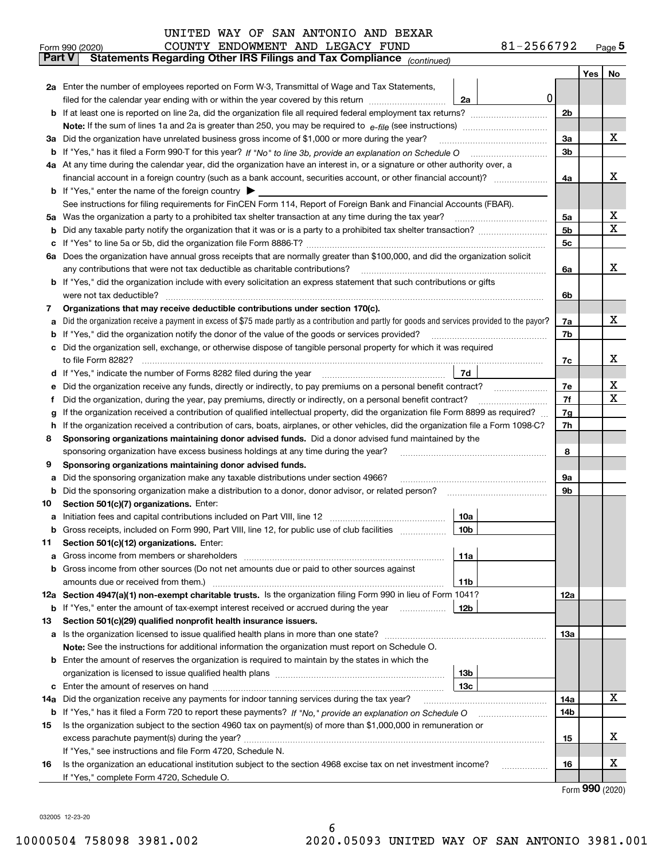|        | Form 990 (2020)                                                                                                                                 | COUNTY ENDOWMENT AND LEGACY FUND | 81-2566792      |            |     | $Page$ <sup>5</sup> |  |  |  |  |  |
|--------|-------------------------------------------------------------------------------------------------------------------------------------------------|----------------------------------|-----------------|------------|-----|---------------------|--|--|--|--|--|
|        | <b>Part V</b><br>Statements Regarding Other IRS Filings and Tax Compliance (continued)                                                          |                                  |                 |            |     |                     |  |  |  |  |  |
|        |                                                                                                                                                 |                                  |                 |            | Yes | No                  |  |  |  |  |  |
|        | 2a Enter the number of employees reported on Form W-3, Transmittal of Wage and Tax Statements,                                                  |                                  |                 |            |     |                     |  |  |  |  |  |
|        | filed for the calendar year ending with or within the year covered by this return                                                               |                                  | 0 <br>2a        |            |     |                     |  |  |  |  |  |
|        |                                                                                                                                                 |                                  |                 |            |     |                     |  |  |  |  |  |
|        |                                                                                                                                                 |                                  |                 |            |     |                     |  |  |  |  |  |
|        | 3a Did the organization have unrelated business gross income of \$1,000 or more during the year?                                                |                                  |                 | 3a         |     | х                   |  |  |  |  |  |
|        |                                                                                                                                                 |                                  |                 |            |     |                     |  |  |  |  |  |
|        | 4a At any time during the calendar year, did the organization have an interest in, or a signature or other authority over, a                    |                                  |                 |            |     |                     |  |  |  |  |  |
|        |                                                                                                                                                 |                                  |                 | 4a         |     | x                   |  |  |  |  |  |
|        | <b>b</b> If "Yes," enter the name of the foreign country $\blacktriangleright$                                                                  |                                  |                 |            |     |                     |  |  |  |  |  |
|        | See instructions for filing requirements for FinCEN Form 114, Report of Foreign Bank and Financial Accounts (FBAR).                             |                                  |                 |            |     |                     |  |  |  |  |  |
| 5a     | Was the organization a party to a prohibited tax shelter transaction at any time during the tax year?                                           |                                  |                 | 5a         |     | x                   |  |  |  |  |  |
| b      |                                                                                                                                                 |                                  |                 | 5b         |     | $\mathbf X$         |  |  |  |  |  |
| c      |                                                                                                                                                 |                                  |                 | 5c         |     |                     |  |  |  |  |  |
|        | 6a Does the organization have annual gross receipts that are normally greater than \$100,000, and did the organization solicit                  |                                  |                 |            |     |                     |  |  |  |  |  |
|        | any contributions that were not tax deductible as charitable contributions?                                                                     |                                  |                 | 6a         |     | х                   |  |  |  |  |  |
|        | b If "Yes," did the organization include with every solicitation an express statement that such contributions or gifts                          |                                  |                 |            |     |                     |  |  |  |  |  |
|        | were not tax deductible?                                                                                                                        |                                  |                 | 6b         |     |                     |  |  |  |  |  |
| 7      | Organizations that may receive deductible contributions under section 170(c).                                                                   |                                  |                 |            |     | х                   |  |  |  |  |  |
| a      | Did the organization receive a payment in excess of \$75 made partly as a contribution and partly for goods and services provided to the payor? |                                  |                 | 7a         |     |                     |  |  |  |  |  |
| b      | If "Yes," did the organization notify the donor of the value of the goods or services provided?                                                 |                                  |                 | 7b         |     |                     |  |  |  |  |  |
|        | Did the organization sell, exchange, or otherwise dispose of tangible personal property for which it was required                               |                                  |                 |            |     | х                   |  |  |  |  |  |
|        |                                                                                                                                                 |                                  | 7d              | 7c         |     |                     |  |  |  |  |  |
| d      |                                                                                                                                                 |                                  |                 | 7e         |     | X                   |  |  |  |  |  |
| е<br>f | Did the organization, during the year, pay premiums, directly or indirectly, on a personal benefit contract?                                    |                                  |                 | 7f         |     | X                   |  |  |  |  |  |
| g      | If the organization received a contribution of qualified intellectual property, did the organization file Form 8899 as required?                |                                  |                 | 7g         |     |                     |  |  |  |  |  |
| h.     | If the organization received a contribution of cars, boats, airplanes, or other vehicles, did the organization file a Form 1098-C?              |                                  |                 | 7h         |     |                     |  |  |  |  |  |
| 8      | Sponsoring organizations maintaining donor advised funds. Did a donor advised fund maintained by the                                            |                                  |                 |            |     |                     |  |  |  |  |  |
|        | sponsoring organization have excess business holdings at any time during the year?                                                              |                                  |                 | 8          |     |                     |  |  |  |  |  |
| 9      | Sponsoring organizations maintaining donor advised funds.                                                                                       |                                  |                 |            |     |                     |  |  |  |  |  |
| a      | Did the sponsoring organization make any taxable distributions under section 4966?                                                              |                                  |                 | 9а         |     |                     |  |  |  |  |  |
| b      | Did the sponsoring organization make a distribution to a donor, donor advisor, or related person?                                               |                                  |                 | 9b         |     |                     |  |  |  |  |  |
| 10     | Section 501(c)(7) organizations. Enter:                                                                                                         |                                  |                 |            |     |                     |  |  |  |  |  |
|        |                                                                                                                                                 |                                  | 10a             |            |     |                     |  |  |  |  |  |
|        | Gross receipts, included on Form 990, Part VIII, line 12, for public use of club facilities                                                     |                                  | 10b             |            |     |                     |  |  |  |  |  |
| 11     | Section 501(c)(12) organizations. Enter:                                                                                                        |                                  |                 |            |     |                     |  |  |  |  |  |
| a      | Gross income from members or shareholders                                                                                                       |                                  | 11a             |            |     |                     |  |  |  |  |  |
|        | b Gross income from other sources (Do not net amounts due or paid to other sources against                                                      |                                  |                 |            |     |                     |  |  |  |  |  |
|        |                                                                                                                                                 |                                  | 11b             |            |     |                     |  |  |  |  |  |
|        | 12a Section 4947(a)(1) non-exempt charitable trusts. Is the organization filing Form 990 in lieu of Form 1041?                                  |                                  |                 | 12a        |     |                     |  |  |  |  |  |
|        | <b>b</b> If "Yes," enter the amount of tax-exempt interest received or accrued during the year <i>manument</i>                                  |                                  | 12 <sub>b</sub> |            |     |                     |  |  |  |  |  |
| 13     | Section 501(c)(29) qualified nonprofit health insurance issuers.                                                                                |                                  |                 |            |     |                     |  |  |  |  |  |
|        | <b>a</b> Is the organization licensed to issue qualified health plans in more than one state?                                                   |                                  |                 | <b>13a</b> |     |                     |  |  |  |  |  |
|        | Note: See the instructions for additional information the organization must report on Schedule O.                                               |                                  |                 |            |     |                     |  |  |  |  |  |
|        | <b>b</b> Enter the amount of reserves the organization is required to maintain by the states in which the                                       |                                  |                 |            |     |                     |  |  |  |  |  |
|        |                                                                                                                                                 |                                  | 13 <sub>b</sub> |            |     |                     |  |  |  |  |  |
|        |                                                                                                                                                 |                                  | 13c             |            |     |                     |  |  |  |  |  |
| 14a    | Did the organization receive any payments for indoor tanning services during the tax year?                                                      |                                  |                 | 14a        |     | х                   |  |  |  |  |  |
|        | <b>b</b> If "Yes," has it filed a Form 720 to report these payments? If "No," provide an explanation on Schedule O                              |                                  |                 | 14b        |     |                     |  |  |  |  |  |
| 15     | Is the organization subject to the section 4960 tax on payment(s) of more than \$1,000,000 in remuneration or                                   |                                  |                 |            |     |                     |  |  |  |  |  |
|        |                                                                                                                                                 |                                  |                 | 15         |     | х                   |  |  |  |  |  |
|        | If "Yes," see instructions and file Form 4720, Schedule N.                                                                                      |                                  |                 |            |     |                     |  |  |  |  |  |
| 16     | Is the organization an educational institution subject to the section 4968 excise tax on net investment income?                                 |                                  |                 | 16         |     | X                   |  |  |  |  |  |
|        | If "Yes," complete Form 4720, Schedule O.                                                                                                       |                                  |                 |            |     |                     |  |  |  |  |  |

6

Form (2020) **990**

032005 12-23-20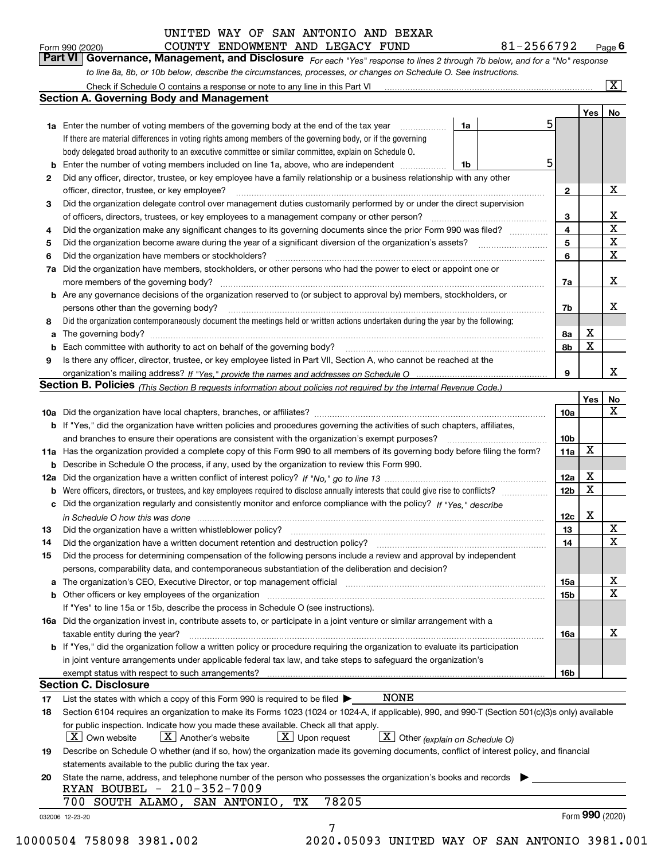| Form 990 (2020) |                                                                                                                  | COUNTY ENDOWMENT AND LEGACY FUND |  | 81-2566792                                                                                                                  | $P_{\text{aqe}}$ 6 |
|-----------------|------------------------------------------------------------------------------------------------------------------|----------------------------------|--|-----------------------------------------------------------------------------------------------------------------------------|--------------------|
|                 |                                                                                                                  |                                  |  | Part VI Governance, Management, and Disclosure For each "Yes" response to lines 2 through 7b below, and for a "No" response |                    |
|                 | to line 8a, 8b, or 10b below, describe the circumstances, processes, or changes on Schedule O. See instructions. |                                  |  |                                                                                                                             |                    |

|    |                                                                                                                                                                               |    |    |                 | Yes             | No                      |
|----|-------------------------------------------------------------------------------------------------------------------------------------------------------------------------------|----|----|-----------------|-----------------|-------------------------|
|    | <b>1a</b> Enter the number of voting members of the governing body at the end of the tax year<br>.                                                                            | 1a | 51 |                 |                 |                         |
|    | If there are material differences in voting rights among members of the governing body, or if the governing                                                                   |    |    |                 |                 |                         |
|    | body delegated broad authority to an executive committee or similar committee, explain on Schedule O.                                                                         |    |    |                 |                 |                         |
| b  | Enter the number of voting members included on line 1a, above, who are independent <i>manumum</i>                                                                             | 1b | 5  |                 |                 |                         |
| 2  | Did any officer, director, trustee, or key employee have a family relationship or a business relationship with any other                                                      |    |    |                 |                 |                         |
|    | officer, director, trustee, or key employee?                                                                                                                                  |    |    | $\mathbf{2}$    |                 | X                       |
| 3  | Did the organization delegate control over management duties customarily performed by or under the direct supervision                                                         |    |    |                 |                 |                         |
|    |                                                                                                                                                                               |    |    | 3               |                 | X                       |
| 4  | Did the organization make any significant changes to its governing documents since the prior Form 990 was filed?                                                              |    |    | 4               |                 | $\overline{\mathbf{x}}$ |
| 5  |                                                                                                                                                                               |    |    | 5               |                 | $\mathbf X$             |
| 6  | Did the organization have members or stockholders?                                                                                                                            |    |    | 6               |                 | X                       |
| 7a | Did the organization have members, stockholders, or other persons who had the power to elect or appoint one or                                                                |    |    |                 |                 |                         |
|    |                                                                                                                                                                               |    |    | 7a              |                 | x                       |
|    | <b>b</b> Are any governance decisions of the organization reserved to (or subject to approval by) members, stockholders, or                                                   |    |    |                 |                 |                         |
|    | persons other than the governing body?                                                                                                                                        |    |    | 7b              |                 | х                       |
| 8  | Did the organization contemporaneously document the meetings held or written actions undertaken during the year by the following:                                             |    |    |                 |                 |                         |
| a  |                                                                                                                                                                               |    |    | 8a              | X               |                         |
| b  |                                                                                                                                                                               |    |    | 8b              | X               |                         |
| 9  | Is there any officer, director, trustee, or key employee listed in Part VII, Section A, who cannot be reached at the                                                          |    |    |                 |                 |                         |
|    |                                                                                                                                                                               |    |    | 9               |                 | x                       |
|    | <b>Section B. Policies</b> (This Section B requests information about policies not required by the Internal Revenue Code.)                                                    |    |    |                 |                 |                         |
|    |                                                                                                                                                                               |    |    |                 | Yes             | No                      |
|    |                                                                                                                                                                               |    |    | 10a             |                 | X                       |
|    | <b>b</b> If "Yes," did the organization have written policies and procedures governing the activities of such chapters, affiliates,                                           |    |    |                 |                 |                         |
|    |                                                                                                                                                                               |    |    | 10 <sub>b</sub> |                 |                         |
|    | 11a Has the organization provided a complete copy of this Form 990 to all members of its governing body before filing the form?                                               |    |    | 11a             | X               |                         |
|    | <b>b</b> Describe in Schedule O the process, if any, used by the organization to review this Form 990.                                                                        |    |    |                 |                 |                         |
|    |                                                                                                                                                                               |    |    | 12a             | X               |                         |
| b  |                                                                                                                                                                               |    |    | 12b             | X               |                         |
|    | c Did the organization regularly and consistently monitor and enforce compliance with the policy? If "Yes," describe                                                          |    |    |                 |                 |                         |
|    | in Schedule O how this was done manufactured and continuum control of the Schedule O how this was done manufactured and continuum control of the Schedule O how this was done |    |    | 12c             | x               |                         |
| 13 |                                                                                                                                                                               |    |    | 13              |                 | X                       |
| 14 | Did the organization have a written document retention and destruction policy? manufactured and the organization have a written document retention and destruction policy?    |    |    | 14              |                 | X                       |
| 15 | Did the process for determining compensation of the following persons include a review and approval by independent                                                            |    |    |                 |                 |                         |
|    | persons, comparability data, and contemporaneous substantiation of the deliberation and decision?                                                                             |    |    |                 |                 |                         |
|    |                                                                                                                                                                               |    |    |                 |                 | X                       |
|    |                                                                                                                                                                               |    |    | 15a             |                 | $\mathbf X$             |
|    |                                                                                                                                                                               |    |    | 15 <sub>b</sub> |                 |                         |
|    | If "Yes" to line 15a or 15b, describe the process in Schedule O (see instructions).                                                                                           |    |    |                 |                 |                         |
|    | 16a Did the organization invest in, contribute assets to, or participate in a joint venture or similar arrangement with a                                                     |    |    |                 |                 | X                       |
|    | taxable entity during the year?                                                                                                                                               |    |    | 16a             |                 |                         |
|    | b If "Yes," did the organization follow a written policy or procedure requiring the organization to evaluate its participation                                                |    |    |                 |                 |                         |
|    | in joint venture arrangements under applicable federal tax law, and take steps to safequard the organization's                                                                |    |    |                 |                 |                         |
|    | exempt status with respect to such arrangements?                                                                                                                              |    |    | 16b             |                 |                         |
|    | <b>Section C. Disclosure</b>                                                                                                                                                  |    |    |                 |                 |                         |
| 17 | <b>NONE</b><br>List the states with which a copy of this Form 990 is required to be filed $\blacktriangleright$                                                               |    |    |                 |                 |                         |
| 18 | Section 6104 requires an organization to make its Forms 1023 (1024 or 1024-A, if applicable), 990, and 990-T (Section 501(c)(3)s only) available                              |    |    |                 |                 |                         |
|    | for public inspection. Indicate how you made these available. Check all that apply.                                                                                           |    |    |                 |                 |                         |
|    | $\boxed{\text{X}}$ Upon request<br>$\boxed{\mathbf{X}}$ Other (explain on Schedule O)<br>$\mid$ $\rm X \mid$ Own website<br>$X$ Another's website                             |    |    |                 |                 |                         |
| 19 | Describe on Schedule O whether (and if so, how) the organization made its governing documents, conflict of interest policy, and financial                                     |    |    |                 |                 |                         |
|    | statements available to the public during the tax year.                                                                                                                       |    |    |                 |                 |                         |
| 20 | State the name, address, and telephone number of the person who possesses the organization's books and records                                                                |    |    |                 |                 |                         |
|    | RYAN BOUBEL - 210-352-7009                                                                                                                                                    |    |    |                 |                 |                         |
|    | 78205<br>700 SOUTH ALAMO, SAN ANTONIO,<br>TХ                                                                                                                                  |    |    |                 |                 |                         |
|    | 032006 12-23-20                                                                                                                                                               |    |    |                 | Form 990 (2020) |                         |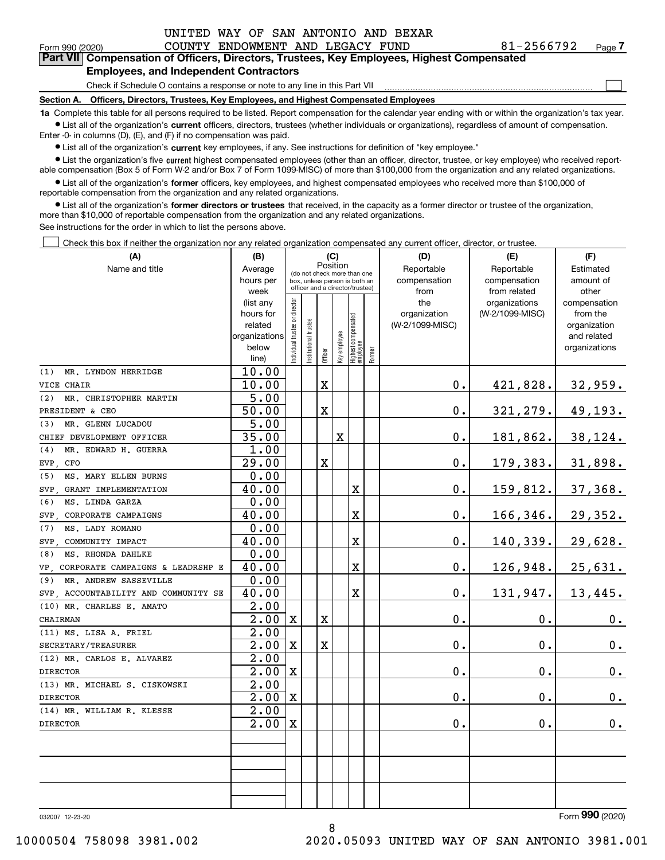$\mathcal{L}^{\text{max}}$ 

| Form 990 (2020) |                                               | COUNTY ENDOWMENT AND LEGACY FUND |  | 81-2566792                                                                                 | Page 7 |
|-----------------|-----------------------------------------------|----------------------------------|--|--------------------------------------------------------------------------------------------|--------|
|                 |                                               |                                  |  | Part VII Compensation of Officers, Directors, Trustees, Key Employees, Highest Compensated |        |
|                 | <b>Employees, and Independent Contractors</b> |                                  |  |                                                                                            |        |

### Check if Schedule O contains a response or note to any line in this Part VII

**Section A. Officers, Directors, Trustees, Key Employees, and Highest Compensated Employees**

**1a**  Complete this table for all persons required to be listed. Report compensation for the calendar year ending with or within the organization's tax year. **•** List all of the organization's current officers, directors, trustees (whether individuals or organizations), regardless of amount of compensation.

Enter -0- in columns (D), (E), and (F) if no compensation was paid.

 $\bullet$  List all of the organization's  $\,$ current key employees, if any. See instructions for definition of "key employee."

**•** List the organization's five current highest compensated employees (other than an officer, director, trustee, or key employee) who received reportable compensation (Box 5 of Form W-2 and/or Box 7 of Form 1099-MISC) of more than \$100,000 from the organization and any related organizations.

**•** List all of the organization's former officers, key employees, and highest compensated employees who received more than \$100,000 of reportable compensation from the organization and any related organizations.

**former directors or trustees**  ¥ List all of the organization's that received, in the capacity as a former director or trustee of the organization, more than \$10,000 of reportable compensation from the organization and any related organizations.

See instructions for the order in which to list the persons above.

Check this box if neither the organization nor any related organization compensated any current officer, director, or trustee.  $\mathcal{L}^{\text{max}}$ 

| (A)                                     | (B)               |                                         |                                                                  | (C)         |              |                                   |        | (D)             | (E)             | (F)           |  |  |
|-----------------------------------------|-------------------|-----------------------------------------|------------------------------------------------------------------|-------------|--------------|-----------------------------------|--------|-----------------|-----------------|---------------|--|--|
| Name and title                          | Average           | Position<br>(do not check more than one |                                                                  |             |              |                                   |        | Reportable      | Reportable      | Estimated     |  |  |
|                                         | hours per         |                                         | box, unless person is both an<br>officer and a director/trustee) |             |              |                                   |        | compensation    | compensation    | amount of     |  |  |
|                                         | week              |                                         |                                                                  |             |              |                                   |        | from            | from related    | other         |  |  |
|                                         | (list any         |                                         |                                                                  |             |              |                                   |        | the             | organizations   | compensation  |  |  |
|                                         | hours for         |                                         |                                                                  |             |              |                                   |        | organization    | (W-2/1099-MISC) | from the      |  |  |
|                                         | related           |                                         |                                                                  |             |              |                                   |        | (W-2/1099-MISC) |                 | organization  |  |  |
|                                         | organizations     |                                         |                                                                  |             |              |                                   |        |                 |                 | and related   |  |  |
|                                         | below             | ndividual trustee or director           | nstitutional trustee                                             | Officer     | Key employee | Highest compensated<br>  employee | Former |                 |                 | organizations |  |  |
|                                         | line)             |                                         |                                                                  |             |              |                                   |        |                 |                 |               |  |  |
| MR. LYNDON HERRIDGE<br>(1)              | 10.00             |                                         |                                                                  |             |              |                                   |        |                 |                 |               |  |  |
| VICE CHAIR                              | 10.00             |                                         |                                                                  | $\mathbf X$ |              |                                   |        | 0.              | 421,828.        | 32,959.       |  |  |
| (2)<br>MR. CHRISTOPHER MARTIN           | 5.00              |                                         |                                                                  |             |              |                                   |        |                 |                 |               |  |  |
| PRESIDENT & CEO                         | 50.00             |                                         |                                                                  | $\mathbf X$ |              |                                   |        | 0.              | 321,279.        | 49,193.       |  |  |
| MR. GLENN LUCADOU<br>(3)                | 5.00              |                                         |                                                                  |             |              |                                   |        |                 |                 |               |  |  |
| CHIEF DEVELOPMENT OFFICER               | 35.00             |                                         |                                                                  |             | $\mathbf X$  |                                   |        | 0.              | 181,862.        | 38,124.       |  |  |
| (4)<br>MR. EDWARD H. GUERRA             | 1.00              |                                         |                                                                  |             |              |                                   |        |                 |                 |               |  |  |
| EVP.<br>CFO                             | 29.00             |                                         |                                                                  | $\rm X$     |              |                                   |        | 0.              | 179,383.        | 31,898.       |  |  |
| MS. MARY ELLEN BURNS<br>(5)             | 0.00              |                                         |                                                                  |             |              |                                   |        |                 |                 |               |  |  |
| SVP GRANT IMPLEMENTATION                | 40.00             |                                         |                                                                  |             |              | X                                 |        | 0.              | 159,812.        | 37,368.       |  |  |
| (6)<br>MS. LINDA GARZA                  | 0.00              |                                         |                                                                  |             |              |                                   |        |                 |                 |               |  |  |
| CORPORATE CAMPAIGNS<br>SVP              | 40.00             |                                         |                                                                  |             |              | X                                 |        | 0.              | 166,346.        | 29,352.       |  |  |
| MS. LADY ROMANO<br>(7)                  | 0.00              |                                         |                                                                  |             |              |                                   |        |                 |                 |               |  |  |
| SVP, COMMUNITY IMPACT                   | 40.00             |                                         |                                                                  |             |              | X                                 |        | 0.              | 140,339.        | 29,628.       |  |  |
| MS. RHONDA DAHLKE<br>(8)                | 0.00              |                                         |                                                                  |             |              |                                   |        |                 |                 |               |  |  |
| CORPORATE CAMPAIGNS & LEADRSHP E<br>VP. | 40.00             |                                         |                                                                  |             |              | X                                 |        | 0.              | 126,948.        | 25,631.       |  |  |
| MR. ANDREW SASSEVILLE<br>(9)            | 0.00              |                                         |                                                                  |             |              |                                   |        |                 |                 |               |  |  |
| SVP, ACCOUNTABILITY AND COMMUNITY SE    | 40.00             |                                         |                                                                  |             |              | X                                 |        | 0.              | 131,947.        | 13,445.       |  |  |
| (10) MR. CHARLES E. AMATO               | $\overline{2.00}$ |                                         |                                                                  |             |              |                                   |        |                 |                 |               |  |  |
| CHAIRMAN                                | 2.00              | $\mathbf X$                             |                                                                  | $\mathbf X$ |              |                                   |        | 0.              | 0.              | 0.            |  |  |
| (11) MS. LISA A. FRIEL                  | 2.00              |                                         |                                                                  |             |              |                                   |        |                 |                 |               |  |  |
| SECRETARY/TREASURER                     | 2.00              | $\mathbf x$                             |                                                                  | $\mathbf X$ |              |                                   |        | 0.              | $\mathbf{0}$ .  | 0.            |  |  |
| (12) MR. CARLOS E. ALVAREZ              | 2.00              |                                         |                                                                  |             |              |                                   |        |                 |                 |               |  |  |
| <b>DIRECTOR</b>                         | 2.00              | $\mathbf X$                             |                                                                  |             |              |                                   |        | 0.              | $\mathbf 0$ .   | 0.            |  |  |
| (13) MR. MICHAEL S. CISKOWSKI           | 2.00              |                                         |                                                                  |             |              |                                   |        |                 |                 |               |  |  |
| <b>DIRECTOR</b>                         | 2.00              | $\mathbf X$                             |                                                                  |             |              |                                   |        | 0.              | $\mathbf 0$ .   | 0.            |  |  |
| (14) MR. WILLIAM R. KLESSE              | 2.00              |                                         |                                                                  |             |              |                                   |        |                 |                 |               |  |  |
| <b>DIRECTOR</b>                         | 2.00              | $\mathbf X$                             |                                                                  |             |              |                                   |        | 0.              | 0.              | 0.            |  |  |
|                                         |                   |                                         |                                                                  |             |              |                                   |        |                 |                 |               |  |  |
|                                         |                   |                                         |                                                                  |             |              |                                   |        |                 |                 |               |  |  |
|                                         |                   |                                         |                                                                  |             |              |                                   |        |                 |                 |               |  |  |
|                                         |                   |                                         |                                                                  |             |              |                                   |        |                 |                 |               |  |  |
|                                         |                   |                                         |                                                                  |             |              |                                   |        |                 |                 |               |  |  |
|                                         |                   |                                         |                                                                  |             |              |                                   |        |                 |                 |               |  |  |

032007 12-23-20

Form (2020) **990**

10000504 758098 3981.002 2020.05093 UNITED WAY OF SAN ANTONIO 3981.001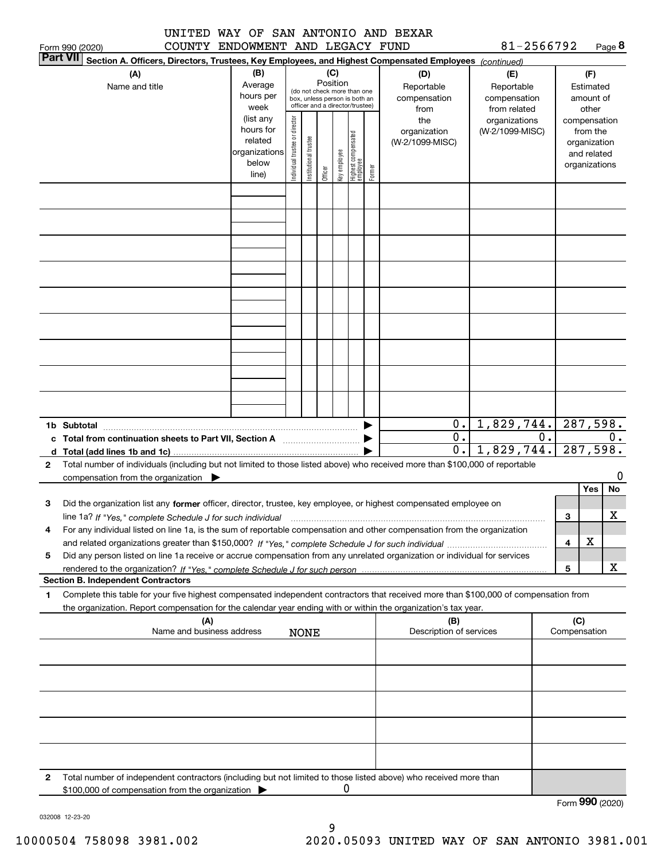|                 | UNITED | WAY OF SAN ANTONIO AND BEXAR |  |            |        |
|-----------------|--------|------------------------------|--|------------|--------|
| Form 990 (2020) | COUNTY | ENDOWMENT AND LEGACY FUND    |  | 81-2566792 | Page 8 |

|        | <b>Part VII</b><br>Section A. Officers, Directors, Trustees, Key Employees, and Highest Compensated Employees (continued)            |                        |                               |                       |         |              |                                                                  |        |                         |                               |    |              |                          |    |
|--------|--------------------------------------------------------------------------------------------------------------------------------------|------------------------|-------------------------------|-----------------------|---------|--------------|------------------------------------------------------------------|--------|-------------------------|-------------------------------|----|--------------|--------------------------|----|
|        | (A)                                                                                                                                  | (B)                    |                               |                       |         | (C)          |                                                                  |        | (D)                     | (E)                           |    |              | (F)                      |    |
|        | Name and title                                                                                                                       | Average                |                               |                       |         | Position     | (do not check more than one                                      |        | Reportable              | Reportable                    |    |              | Estimated                |    |
|        |                                                                                                                                      | hours per              |                               |                       |         |              | box, unless person is both an<br>officer and a director/trustee) |        | compensation            | compensation                  |    |              | amount of                |    |
|        |                                                                                                                                      | week<br>(list any      |                               |                       |         |              |                                                                  |        | from<br>the             | from related<br>organizations |    |              | other                    |    |
|        |                                                                                                                                      | hours for              |                               |                       |         |              |                                                                  |        | organization            | (W-2/1099-MISC)               |    |              | compensation<br>from the |    |
|        |                                                                                                                                      | related                |                               |                       |         |              |                                                                  |        | (W-2/1099-MISC)         |                               |    |              | organization             |    |
|        |                                                                                                                                      | organizations<br>below |                               |                       |         |              |                                                                  |        |                         |                               |    |              | and related              |    |
|        |                                                                                                                                      | line)                  | ndividual trustee or director | Institutional trustee | Officer | Key employee | Highest compensated<br> employee                                 | Former |                         |                               |    |              | organizations            |    |
|        |                                                                                                                                      |                        |                               |                       |         |              |                                                                  |        |                         |                               |    |              |                          |    |
|        |                                                                                                                                      |                        |                               |                       |         |              |                                                                  |        |                         |                               |    |              |                          |    |
|        |                                                                                                                                      |                        |                               |                       |         |              |                                                                  |        |                         |                               |    |              |                          |    |
|        |                                                                                                                                      |                        |                               |                       |         |              |                                                                  |        |                         |                               |    |              |                          |    |
|        |                                                                                                                                      |                        |                               |                       |         |              |                                                                  |        |                         |                               |    |              |                          |    |
|        |                                                                                                                                      |                        |                               |                       |         |              |                                                                  |        |                         |                               |    |              |                          |    |
|        |                                                                                                                                      |                        |                               |                       |         |              |                                                                  |        |                         |                               |    |              |                          |    |
|        |                                                                                                                                      |                        |                               |                       |         |              |                                                                  |        |                         |                               |    |              |                          |    |
|        |                                                                                                                                      |                        |                               |                       |         |              |                                                                  |        |                         |                               |    |              |                          |    |
|        |                                                                                                                                      |                        |                               |                       |         |              |                                                                  |        |                         |                               |    |              |                          |    |
|        |                                                                                                                                      |                        |                               |                       |         |              |                                                                  |        |                         |                               |    |              |                          |    |
|        |                                                                                                                                      |                        |                               |                       |         |              |                                                                  |        |                         |                               |    |              |                          |    |
|        |                                                                                                                                      |                        |                               |                       |         |              |                                                                  |        |                         |                               |    |              |                          |    |
|        |                                                                                                                                      |                        |                               |                       |         |              |                                                                  |        |                         |                               |    |              |                          |    |
|        |                                                                                                                                      |                        |                               |                       |         |              |                                                                  |        |                         |                               |    |              |                          |    |
|        |                                                                                                                                      |                        |                               |                       |         |              |                                                                  |        |                         |                               |    |              |                          |    |
|        |                                                                                                                                      |                        |                               |                       |         |              |                                                                  |        | 0.                      |                               |    |              | 287,598.                 |    |
|        | 1b Subtotal<br>Total from continuation sheets to Part VII, Section A                                                                 |                        |                               |                       |         |              |                                                                  |        | 0.                      | 1,829,744.                    | 0. |              |                          | 0. |
| c<br>d | Total (add lines 1b and 1c)                                                                                                          |                        |                               |                       |         |              |                                                                  |        | 0.                      | 1,829,744.                    |    |              | 287,598.                 |    |
| 2      | Total number of individuals (including but not limited to those listed above) who received more than \$100,000 of reportable         |                        |                               |                       |         |              |                                                                  |        |                         |                               |    |              |                          |    |
|        | compensation from the organization $\blacktriangleright$                                                                             |                        |                               |                       |         |              |                                                                  |        |                         |                               |    |              |                          | 0  |
|        |                                                                                                                                      |                        |                               |                       |         |              |                                                                  |        |                         |                               |    |              | Yes                      | No |
| з      | Did the organization list any former officer, director, trustee, key employee, or highest compensated employee on                    |                        |                               |                       |         |              |                                                                  |        |                         |                               |    |              |                          |    |
|        | line 1a? If "Yes," complete Schedule J for such individual                                                                           |                        |                               |                       |         |              |                                                                  |        |                         |                               |    | 3            |                          | х  |
| 4      | For any individual listed on line 1a, is the sum of reportable compensation and other compensation from the organization             |                        |                               |                       |         |              |                                                                  |        |                         |                               |    |              |                          |    |
|        |                                                                                                                                      |                        |                               |                       |         |              |                                                                  |        |                         |                               |    | 4            | x                        |    |
| 5      | Did any person listed on line 1a receive or accrue compensation from any unrelated organization or individual for services           |                        |                               |                       |         |              |                                                                  |        |                         |                               |    | 5            |                          | x  |
|        | <b>Section B. Independent Contractors</b>                                                                                            |                        |                               |                       |         |              |                                                                  |        |                         |                               |    |              |                          |    |
| 1      | Complete this table for your five highest compensated independent contractors that received more than \$100,000 of compensation from |                        |                               |                       |         |              |                                                                  |        |                         |                               |    |              |                          |    |
|        | the organization. Report compensation for the calendar year ending with or within the organization's tax year.                       |                        |                               |                       |         |              |                                                                  |        |                         |                               |    |              |                          |    |
|        | (A)                                                                                                                                  |                        |                               |                       |         |              |                                                                  |        | (B)                     |                               |    | (C)          |                          |    |
|        | Name and business address                                                                                                            |                        |                               | <b>NONE</b>           |         |              |                                                                  |        | Description of services |                               |    | Compensation |                          |    |
|        |                                                                                                                                      |                        |                               |                       |         |              |                                                                  |        |                         |                               |    |              |                          |    |
|        |                                                                                                                                      |                        |                               |                       |         |              |                                                                  |        |                         |                               |    |              |                          |    |
|        |                                                                                                                                      |                        |                               |                       |         |              |                                                                  |        |                         |                               |    |              |                          |    |
|        |                                                                                                                                      |                        |                               |                       |         |              |                                                                  |        |                         |                               |    |              |                          |    |
|        |                                                                                                                                      |                        |                               |                       |         |              |                                                                  |        |                         |                               |    |              |                          |    |
|        |                                                                                                                                      |                        |                               |                       |         |              |                                                                  |        |                         |                               |    |              |                          |    |
|        |                                                                                                                                      |                        |                               |                       |         |              |                                                                  |        |                         |                               |    |              |                          |    |
|        |                                                                                                                                      |                        |                               |                       |         |              |                                                                  |        |                         |                               |    |              |                          |    |
|        |                                                                                                                                      |                        |                               |                       |         |              |                                                                  |        |                         |                               |    |              |                          |    |
| 2      | Total number of independent contractors (including but not limited to those listed above) who received more than                     |                        |                               |                       |         |              |                                                                  |        |                         |                               |    |              |                          |    |
|        | \$100,000 of compensation from the organization                                                                                      |                        |                               |                       |         | 0            |                                                                  |        |                         |                               |    |              |                          |    |

032008 12-23-20

9 10000504 758098 3981.002 2020.05093 UNITED WAY OF SAN ANTONIO 3981.001

Form (2020) **990**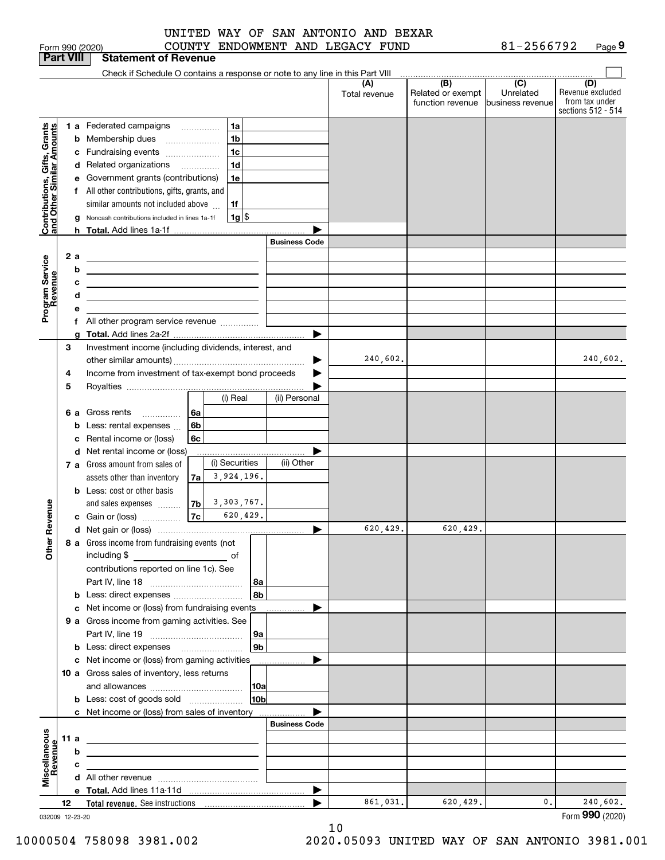|                                                           |                  |     | Form 990 (2020)                                                                                                       |      |                     |                 |                      | COUNTY ENDOWMENT AND LEGACY FUND |                                                                                              | 81-2566792                     | Page 9                                                          |
|-----------------------------------------------------------|------------------|-----|-----------------------------------------------------------------------------------------------------------------------|------|---------------------|-----------------|----------------------|----------------------------------|----------------------------------------------------------------------------------------------|--------------------------------|-----------------------------------------------------------------|
|                                                           | <b>Part VIII</b> |     | <b>Statement of Revenue</b>                                                                                           |      |                     |                 |                      |                                  |                                                                                              |                                |                                                                 |
|                                                           |                  |     | Check if Schedule O contains a response or note to any line in this Part VIII                                         |      |                     |                 |                      |                                  |                                                                                              |                                |                                                                 |
|                                                           |                  |     |                                                                                                                       |      |                     |                 |                      | (A)<br>Total revenue             | $\overline{(\mathsf{B})}$ $\overline{(\mathsf{C})}$<br>Related or exempt<br>function revenue | Unrelated<br>lbusiness revenue | (D)<br>Revenue excluded<br>from tax under<br>sections 512 - 514 |
|                                                           |                  |     | 1 a Federated campaigns                                                                                               |      |                     | 1a              |                      |                                  |                                                                                              |                                |                                                                 |
| Contributions, Gifts, Grants<br>and Other Similar Amounts |                  | b   | Membership dues                                                                                                       |      |                     | 1 <sub>b</sub>  |                      |                                  |                                                                                              |                                |                                                                 |
|                                                           |                  | с   | Fundraising events                                                                                                    |      |                     | 1 <sub>c</sub>  |                      |                                  |                                                                                              |                                |                                                                 |
|                                                           |                  | d   | Related organizations                                                                                                 |      |                     | 1 <sub>d</sub>  |                      |                                  |                                                                                              |                                |                                                                 |
|                                                           |                  | е   | Government grants (contributions)                                                                                     |      |                     | 1e              |                      |                                  |                                                                                              |                                |                                                                 |
|                                                           |                  | f   | All other contributions, gifts, grants, and                                                                           |      |                     |                 |                      |                                  |                                                                                              |                                |                                                                 |
|                                                           |                  |     | similar amounts not included above                                                                                    |      |                     | 1f              |                      |                                  |                                                                                              |                                |                                                                 |
|                                                           |                  |     | Noncash contributions included in lines 1a-1f                                                                         |      |                     | $1g$ \$         |                      |                                  |                                                                                              |                                |                                                                 |
|                                                           |                  |     |                                                                                                                       |      |                     |                 |                      |                                  |                                                                                              |                                |                                                                 |
|                                                           |                  |     |                                                                                                                       |      |                     |                 | <b>Business Code</b> |                                  |                                                                                              |                                |                                                                 |
|                                                           |                  | 2 a | <u> 1989 - Andrea Stadt Britain, amerikansk politik (</u>                                                             |      |                     |                 |                      |                                  |                                                                                              |                                |                                                                 |
|                                                           |                  | b   | <u> Alexandria de la contrada de la contrada de la contrada de la contrada de la contrada de la contrada de la c</u>  |      |                     |                 |                      |                                  |                                                                                              |                                |                                                                 |
| Program Service<br>Revenue                                |                  | с   | <u> 1989 - John Harry Harry Harry Harry Harry Harry Harry Harry Harry Harry Harry Harry Harry Harry Harry Harry H</u> |      |                     |                 |                      |                                  |                                                                                              |                                |                                                                 |
|                                                           |                  | d   | the contract of the contract of the contract of the contract of the contract of                                       |      |                     |                 |                      |                                  |                                                                                              |                                |                                                                 |
|                                                           |                  | е   |                                                                                                                       |      |                     |                 |                      |                                  |                                                                                              |                                |                                                                 |
|                                                           |                  |     | f All other program service revenue                                                                                   |      |                     |                 |                      |                                  |                                                                                              |                                |                                                                 |
|                                                           | 3                | g   | Investment income (including dividends, interest, and                                                                 |      |                     |                 |                      |                                  |                                                                                              |                                |                                                                 |
|                                                           |                  |     |                                                                                                                       |      |                     |                 | ▶                    | 240,602.                         |                                                                                              |                                | 240,602.                                                        |
|                                                           | 4                |     | Income from investment of tax-exempt bond proceeds                                                                    |      |                     |                 |                      |                                  |                                                                                              |                                |                                                                 |
|                                                           | 5                |     |                                                                                                                       |      |                     |                 |                      |                                  |                                                                                              |                                |                                                                 |
|                                                           |                  |     |                                                                                                                       |      |                     | (i) Real        | (ii) Personal        |                                  |                                                                                              |                                |                                                                 |
|                                                           |                  | 6а  | Gross rents<br>.                                                                                                      | 6a   |                     |                 |                      |                                  |                                                                                              |                                |                                                                 |
|                                                           |                  | b   | Less: rental expenses                                                                                                 | 6b   |                     |                 |                      |                                  |                                                                                              |                                |                                                                 |
|                                                           |                  | c   | Rental income or (loss)                                                                                               | 6c   |                     |                 |                      |                                  |                                                                                              |                                |                                                                 |
|                                                           |                  |     | d Net rental income or (loss)                                                                                         |      |                     |                 |                      |                                  |                                                                                              |                                |                                                                 |
|                                                           |                  |     | 7 a Gross amount from sales of                                                                                        |      |                     | (i) Securities  | (ii) Other           |                                  |                                                                                              |                                |                                                                 |
|                                                           |                  |     | assets other than inventory                                                                                           | 7a l |                     | 3,924,196.      |                      |                                  |                                                                                              |                                |                                                                 |
|                                                           |                  |     | <b>b</b> Less: cost or other basis                                                                                    |      |                     |                 |                      |                                  |                                                                                              |                                |                                                                 |
|                                                           |                  |     | and sales expenses                                                                                                    |      | $ 7b $ 3, 303, 767. |                 |                      |                                  |                                                                                              |                                |                                                                 |
|                                                           |                  |     | c Gain or (loss)                                                                                                      | 7c   |                     | 620,429.        |                      |                                  |                                                                                              |                                |                                                                 |
|                                                           |                  |     |                                                                                                                       |      |                     |                 |                      | 620,429.                         | 620,429.                                                                                     |                                |                                                                 |
|                                                           |                  |     | 8 a Gross income from fundraising events (not                                                                         |      |                     |                 |                      |                                  |                                                                                              |                                |                                                                 |
|                                                           |                  |     |                                                                                                                       |      |                     |                 |                      |                                  |                                                                                              |                                |                                                                 |
|                                                           |                  |     | contributions reported on line 1c). See                                                                               |      |                     |                 |                      |                                  |                                                                                              |                                |                                                                 |
|                                                           |                  |     |                                                                                                                       |      |                     | 8a              |                      |                                  |                                                                                              |                                |                                                                 |
|                                                           |                  |     | <b>b</b> Less: direct expenses <i>manually contained</i>                                                              |      |                     | 8b              |                      |                                  |                                                                                              |                                |                                                                 |
|                                                           |                  |     | c Net income or (loss) from fundraising events                                                                        |      |                     |                 |                      |                                  |                                                                                              |                                |                                                                 |
|                                                           |                  |     | 9 a Gross income from gaming activities. See                                                                          |      |                     |                 |                      |                                  |                                                                                              |                                |                                                                 |
|                                                           |                  |     |                                                                                                                       |      |                     | 9а              |                      |                                  |                                                                                              |                                |                                                                 |
|                                                           |                  |     | <b>b</b> Less: direct expenses <b>manually</b>                                                                        |      |                     | 9 <sub>b</sub>  |                      |                                  |                                                                                              |                                |                                                                 |
|                                                           |                  |     | c Net income or (loss) from gaming activities                                                                         |      |                     |                 |                      |                                  |                                                                                              |                                |                                                                 |
|                                                           |                  |     | 10 a Gross sales of inventory, less returns                                                                           |      |                     |                 |                      |                                  |                                                                                              |                                |                                                                 |
|                                                           |                  |     |                                                                                                                       |      |                     | 10a             |                      |                                  |                                                                                              |                                |                                                                 |
|                                                           |                  |     |                                                                                                                       |      |                     | 10 <sub>b</sub> |                      |                                  |                                                                                              |                                |                                                                 |
|                                                           |                  |     | c Net income or (loss) from sales of inventory                                                                        |      |                     |                 |                      |                                  |                                                                                              |                                |                                                                 |
|                                                           |                  |     |                                                                                                                       |      |                     |                 | <b>Business Code</b> |                                  |                                                                                              |                                |                                                                 |
|                                                           | 11a              |     | <u> 1989 - Johann Stein, marwolaethau a bhann an t-Amhainn an t-Amhainn an t-Amhainn an t-Amhainn an t-Amhainn an</u> |      |                     |                 |                      |                                  |                                                                                              |                                |                                                                 |
| evenue                                                    |                  | b   | <u> 1989 - Johann Barbara, martxa eta idazlea (h. 1989).</u>                                                          |      |                     |                 |                      |                                  |                                                                                              |                                |                                                                 |
|                                                           |                  | с   | the contract of the contract of the contract of the contract of the contract of                                       |      |                     |                 |                      |                                  |                                                                                              |                                |                                                                 |
|                                                           |                  |     |                                                                                                                       |      |                     |                 |                      |                                  |                                                                                              |                                |                                                                 |
|                                                           |                  |     |                                                                                                                       |      |                     |                 | ▶                    | 861,031.                         | 620, 429.                                                                                    | 0.                             | 240,602.                                                        |
|                                                           | 12               |     |                                                                                                                       |      |                     |                 |                      |                                  |                                                                                              |                                |                                                                 |

032009 12-23-20

10

Form (2020) **990**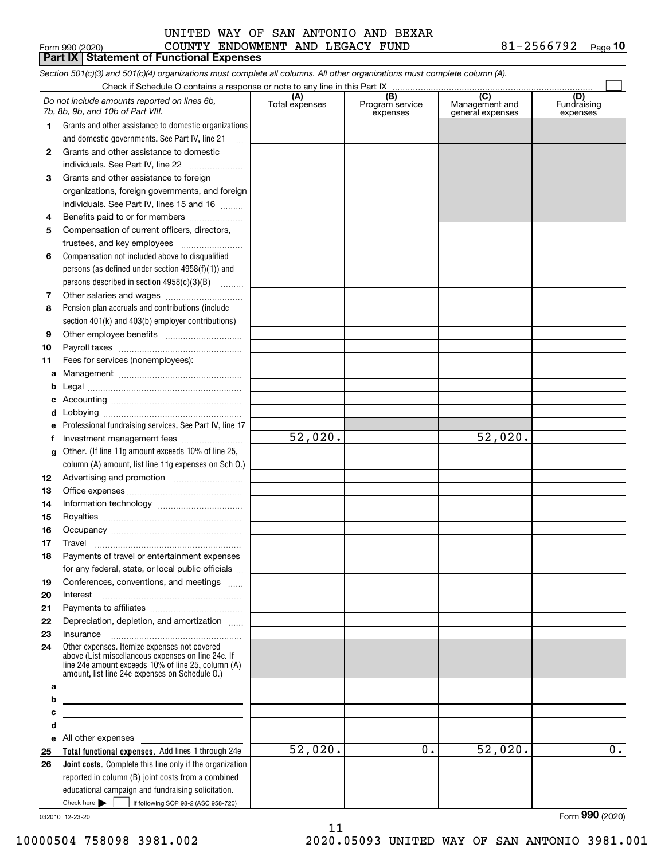#### $_{\rm Form}$   $_{990}$  (2020) COUNTY ENDOWMENT AND LEGACY FUND  $81$  –  $2566792$   $_{\rm Page}$ UNITED WAY OF SAN ANTONIO AND BEXAR

|        | Form 990 (2020)<br><b>Part IX   Statement of Functional Expenses</b>                                                                                                                                       | COUNTY ENDOWMENT AND LEGACY FUND |                                     |                                  | 81-2566792<br>$P_{\text{aqe}}$ 10 |
|--------|------------------------------------------------------------------------------------------------------------------------------------------------------------------------------------------------------------|----------------------------------|-------------------------------------|----------------------------------|-----------------------------------|
|        | Section 501(c)(3) and 501(c)(4) organizations must complete all columns. All other organizations must complete column (A).                                                                                 |                                  |                                     |                                  |                                   |
|        | Check if Schedule O contains a response or note to any line in this Part IX.                                                                                                                               |                                  |                                     |                                  |                                   |
|        | Do not include amounts reported on lines 6b,<br>7b, 8b, 9b, and 10b of Part VIII.                                                                                                                          | (A)<br>Total expenses            | $\overline{(B)}$<br>Program service | $\overline{C}$<br>Management and | (D)<br>Fundraising                |
|        |                                                                                                                                                                                                            |                                  | expenses                            | general expenses                 | expenses                          |
| 1.     | Grants and other assistance to domestic organizations                                                                                                                                                      |                                  |                                     |                                  |                                   |
|        | and domestic governments. See Part IV, line 21                                                                                                                                                             |                                  |                                     |                                  |                                   |
| 2      | Grants and other assistance to domestic                                                                                                                                                                    |                                  |                                     |                                  |                                   |
|        | individuals. See Part IV, line 22                                                                                                                                                                          |                                  |                                     |                                  |                                   |
| 3      | Grants and other assistance to foreign                                                                                                                                                                     |                                  |                                     |                                  |                                   |
|        | organizations, foreign governments, and foreign<br>individuals. See Part IV, lines 15 and 16                                                                                                               |                                  |                                     |                                  |                                   |
|        |                                                                                                                                                                                                            |                                  |                                     |                                  |                                   |
| 4<br>5 | Benefits paid to or for members<br>Compensation of current officers, directors,                                                                                                                            |                                  |                                     |                                  |                                   |
|        | trustees, and key employees                                                                                                                                                                                |                                  |                                     |                                  |                                   |
| 6      | Compensation not included above to disqualified                                                                                                                                                            |                                  |                                     |                                  |                                   |
|        | persons (as defined under section $4958(f)(1)$ ) and                                                                                                                                                       |                                  |                                     |                                  |                                   |
|        | persons described in section $4958(c)(3)(B)$                                                                                                                                                               |                                  |                                     |                                  |                                   |
| 7      |                                                                                                                                                                                                            |                                  |                                     |                                  |                                   |
| 8      | Pension plan accruals and contributions (include                                                                                                                                                           |                                  |                                     |                                  |                                   |
|        | section 401(k) and 403(b) employer contributions)                                                                                                                                                          |                                  |                                     |                                  |                                   |
| 9      |                                                                                                                                                                                                            |                                  |                                     |                                  |                                   |
| 10     |                                                                                                                                                                                                            |                                  |                                     |                                  |                                   |
| 11     | Fees for services (nonemployees):                                                                                                                                                                          |                                  |                                     |                                  |                                   |
| а      |                                                                                                                                                                                                            |                                  |                                     |                                  |                                   |
| b      |                                                                                                                                                                                                            |                                  |                                     |                                  |                                   |
|        |                                                                                                                                                                                                            |                                  |                                     |                                  |                                   |
| d      |                                                                                                                                                                                                            |                                  |                                     |                                  |                                   |
| е      | Professional fundraising services. See Part IV, line 17                                                                                                                                                    |                                  |                                     |                                  |                                   |
| f      | Investment management fees                                                                                                                                                                                 | 52,020.                          |                                     | 52,020.                          |                                   |
| g      | Other. (If line 11g amount exceeds 10% of line 25,                                                                                                                                                         |                                  |                                     |                                  |                                   |
|        | column (A) amount, list line 11g expenses on Sch O.)                                                                                                                                                       |                                  |                                     |                                  |                                   |
| 12     |                                                                                                                                                                                                            |                                  |                                     |                                  |                                   |
| 13     |                                                                                                                                                                                                            |                                  |                                     |                                  |                                   |
| 14     |                                                                                                                                                                                                            |                                  |                                     |                                  |                                   |
| 15     |                                                                                                                                                                                                            |                                  |                                     |                                  |                                   |
| 16     |                                                                                                                                                                                                            |                                  |                                     |                                  |                                   |
| 17     | Travel                                                                                                                                                                                                     |                                  |                                     |                                  |                                   |
| 18     | Payments of travel or entertainment expenses                                                                                                                                                               |                                  |                                     |                                  |                                   |
|        | for any federal, state, or local public officials                                                                                                                                                          |                                  |                                     |                                  |                                   |
| 19     | Conferences, conventions, and meetings                                                                                                                                                                     |                                  |                                     |                                  |                                   |
| 20     | Interest                                                                                                                                                                                                   |                                  |                                     |                                  |                                   |
| 21     |                                                                                                                                                                                                            |                                  |                                     |                                  |                                   |
| 22     | Depreciation, depletion, and amortization                                                                                                                                                                  |                                  |                                     |                                  |                                   |
| 23     | Insurance                                                                                                                                                                                                  |                                  |                                     |                                  |                                   |
| 24     | Other expenses. Itemize expenses not covered<br>above (List miscellaneous expenses on line 24e. If<br>line 24e amount exceeds 10% of line 25, column (A)<br>amount, list line 24e expenses on Schedule O.) |                                  |                                     |                                  |                                   |
| а      | <u> 1989 - Johann Barn, mars ann an t-Amhain Aonaich an t-Aonaich an t-Aonaich ann an t-Aonaich ann an t-Aonaich</u>                                                                                       |                                  |                                     |                                  |                                   |
| b      | <u> 1989 - Johann Stoff, amerikansk politiker (d. 1989)</u>                                                                                                                                                |                                  |                                     |                                  |                                   |
| с      | <u> 1980 - Johann Barbara, martin amerikan personal (</u>                                                                                                                                                  |                                  |                                     |                                  |                                   |
| d      |                                                                                                                                                                                                            |                                  |                                     |                                  |                                   |
| е      | All other expenses                                                                                                                                                                                         | 52,020.                          | 0.                                  | 52,020.                          | 0.                                |
| 25     | Total functional expenses. Add lines 1 through 24e                                                                                                                                                         |                                  |                                     |                                  |                                   |
| 26     | Joint costs. Complete this line only if the organization<br>reported in column (B) joint costs from a combined                                                                                             |                                  |                                     |                                  |                                   |
|        | educational campaign and fundraising solicitation.                                                                                                                                                         |                                  |                                     |                                  |                                   |
|        | Check here $\blacktriangleright$<br>if following SOP 98-2 (ASC 958-720)                                                                                                                                    |                                  |                                     |                                  |                                   |

11

032010 12-23-20

Form (2020) **990**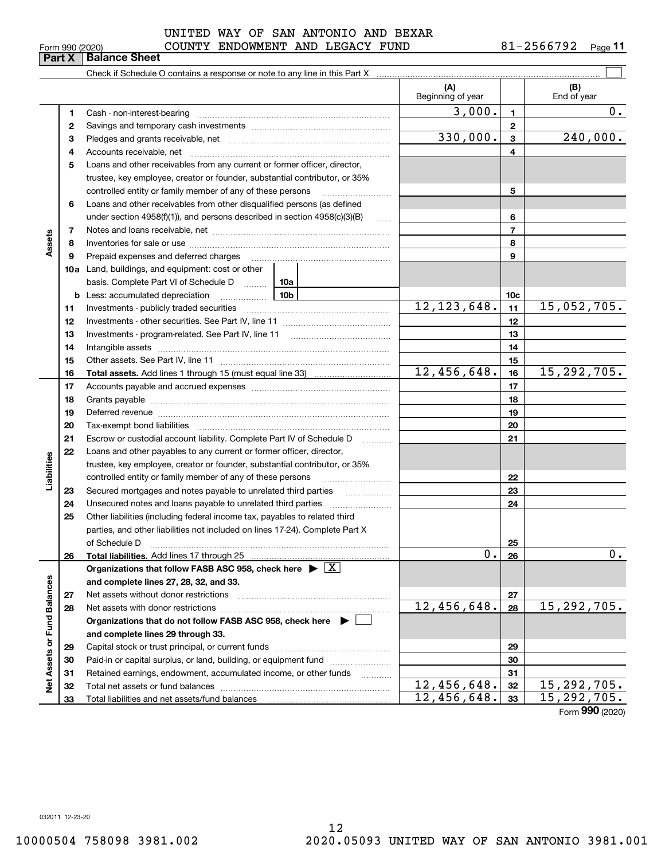#### $_{\rm Form}$   $_{990}$  (2020) COUNTY ENDOWMENT AND LEGACY FUND  $81$  –  $2566792$   $_{\rm Page}$ UNITED WAY OF SAN ANTONIO AND BEXAR

**11**

|                             | Part X | <b>Balance Sheet</b>                                                                                                                                                                                                           |                                                                               |                          |                 |                             |  |  |
|-----------------------------|--------|--------------------------------------------------------------------------------------------------------------------------------------------------------------------------------------------------------------------------------|-------------------------------------------------------------------------------|--------------------------|-----------------|-----------------------------|--|--|
|                             |        |                                                                                                                                                                                                                                |                                                                               |                          |                 |                             |  |  |
|                             |        |                                                                                                                                                                                                                                |                                                                               | (A)<br>Beginning of year |                 | (B)<br>End of year          |  |  |
|                             | 1      |                                                                                                                                                                                                                                |                                                                               | 3,000.                   | $\mathbf{1}$    | 0.                          |  |  |
|                             | 2      |                                                                                                                                                                                                                                |                                                                               |                          | $\mathbf{2}$    |                             |  |  |
|                             | 3      |                                                                                                                                                                                                                                |                                                                               | 330,000.                 | 3               | 240,000.                    |  |  |
|                             | 4      |                                                                                                                                                                                                                                |                                                                               |                          | 4               |                             |  |  |
|                             | 5      | Loans and other receivables from any current or former officer, director,                                                                                                                                                      |                                                                               |                          |                 |                             |  |  |
|                             |        | trustee, key employee, creator or founder, substantial contributor, or 35%                                                                                                                                                     |                                                                               |                          |                 |                             |  |  |
|                             |        | controlled entity or family member of any of these persons                                                                                                                                                                     |                                                                               |                          | 5               |                             |  |  |
|                             | 6      | Loans and other receivables from other disqualified persons (as defined                                                                                                                                                        |                                                                               |                          |                 |                             |  |  |
|                             |        |                                                                                                                                                                                                                                | under section $4958(f)(1)$ , and persons described in section $4958(c)(3)(B)$ |                          |                 |                             |  |  |
|                             | 7      |                                                                                                                                                                                                                                |                                                                               | $\overline{7}$           |                 |                             |  |  |
| Assets                      | 8      |                                                                                                                                                                                                                                |                                                                               | 8                        |                 |                             |  |  |
|                             | 9      | Prepaid expenses and deferred charges [11] [11] prepaid expenses and deferred charges [11] [11] presummation of the Prepaid expenses and deferred charges [11] and the Prepaid experiment of the Prepaid experiment of the Pre |                                                                               |                          | 9               |                             |  |  |
|                             |        | <b>10a</b> Land, buildings, and equipment: cost or other                                                                                                                                                                       |                                                                               |                          |                 |                             |  |  |
|                             |        | basis. Complete Part VI of Schedule D  10a                                                                                                                                                                                     |                                                                               |                          |                 |                             |  |  |
|                             |        |                                                                                                                                                                                                                                |                                                                               |                          | 10 <sub>c</sub> |                             |  |  |
|                             | 11     |                                                                                                                                                                                                                                |                                                                               | 12, 123, 648.            | 11              | 15,052,705.                 |  |  |
|                             | 12     |                                                                                                                                                                                                                                |                                                                               |                          | 12              |                             |  |  |
|                             | 13     |                                                                                                                                                                                                                                |                                                                               | 13                       |                 |                             |  |  |
|                             | 14     |                                                                                                                                                                                                                                |                                                                               | 14                       |                 |                             |  |  |
|                             | 15     |                                                                                                                                                                                                                                |                                                                               |                          | 15              |                             |  |  |
|                             | 16     |                                                                                                                                                                                                                                |                                                                               | 12,456,648.              | 16              | 15, 292, 705.               |  |  |
|                             | 17     |                                                                                                                                                                                                                                |                                                                               |                          | 17              |                             |  |  |
|                             | 18     |                                                                                                                                                                                                                                |                                                                               | 18                       |                 |                             |  |  |
|                             | 19     | Deferred revenue manual contracts and contracts are all the contracts and contracts are contracted and contracts are contracted and contract are contracted and contract are contracted and contract are contracted and contra |                                                                               |                          | 19              |                             |  |  |
|                             | 20     |                                                                                                                                                                                                                                |                                                                               |                          | 20              |                             |  |  |
|                             | 21     | Escrow or custodial account liability. Complete Part IV of Schedule D                                                                                                                                                          |                                                                               |                          | 21              |                             |  |  |
|                             | 22     | Loans and other payables to any current or former officer, director,                                                                                                                                                           |                                                                               |                          |                 |                             |  |  |
| Liabilities                 |        | trustee, key employee, creator or founder, substantial contributor, or 35%<br>controlled entity or family member of any of these persons                                                                                       |                                                                               |                          | 22              |                             |  |  |
|                             | 23     |                                                                                                                                                                                                                                |                                                                               |                          | 23              |                             |  |  |
|                             | 24     |                                                                                                                                                                                                                                |                                                                               |                          | 24              |                             |  |  |
|                             | 25     | Other liabilities (including federal income tax, payables to related third                                                                                                                                                     |                                                                               |                          |                 |                             |  |  |
|                             |        | parties, and other liabilities not included on lines 17-24). Complete Part X                                                                                                                                                   |                                                                               |                          |                 |                             |  |  |
|                             |        | of Schedule D                                                                                                                                                                                                                  |                                                                               |                          | 25              |                             |  |  |
|                             | 26     | Total liabilities. Add lines 17 through 25                                                                                                                                                                                     |                                                                               | 0.                       | 26              | 0.                          |  |  |
|                             |        | Organizations that follow FASB ASC 958, check here $\blacktriangleright \boxed{X}$                                                                                                                                             |                                                                               |                          |                 |                             |  |  |
|                             |        | and complete lines 27, 28, 32, and 33.                                                                                                                                                                                         |                                                                               |                          |                 |                             |  |  |
|                             | 27     | Net assets without donor restrictions                                                                                                                                                                                          |                                                                               |                          | 27              |                             |  |  |
|                             | 28     |                                                                                                                                                                                                                                |                                                                               | 12,456,648.              | 28              | 15, 292, 705.               |  |  |
|                             |        | Organizations that do not follow FASB ASC 958, check here ▶ │                                                                                                                                                                  |                                                                               |                          |                 |                             |  |  |
|                             |        | and complete lines 29 through 33.                                                                                                                                                                                              |                                                                               |                          |                 |                             |  |  |
|                             | 29     |                                                                                                                                                                                                                                |                                                                               |                          | 29              |                             |  |  |
|                             | 30     | Paid-in or capital surplus, or land, building, or equipment fund                                                                                                                                                               |                                                                               |                          | 30              |                             |  |  |
| Net Assets or Fund Balances | 31     | Retained earnings, endowment, accumulated income, or other funds                                                                                                                                                               | .                                                                             |                          | 31              |                             |  |  |
|                             | 32     |                                                                                                                                                                                                                                |                                                                               | 12,456,648.              | 32              | 15,292,705.                 |  |  |
|                             | 33     |                                                                                                                                                                                                                                |                                                                               | 12,456,648.              | 33              | 15,292,705.                 |  |  |
|                             |        |                                                                                                                                                                                                                                |                                                                               |                          |                 | $F_{\text{Orm}}$ 990 (2020) |  |  |

Form (2020) **990**

032011 12-23-20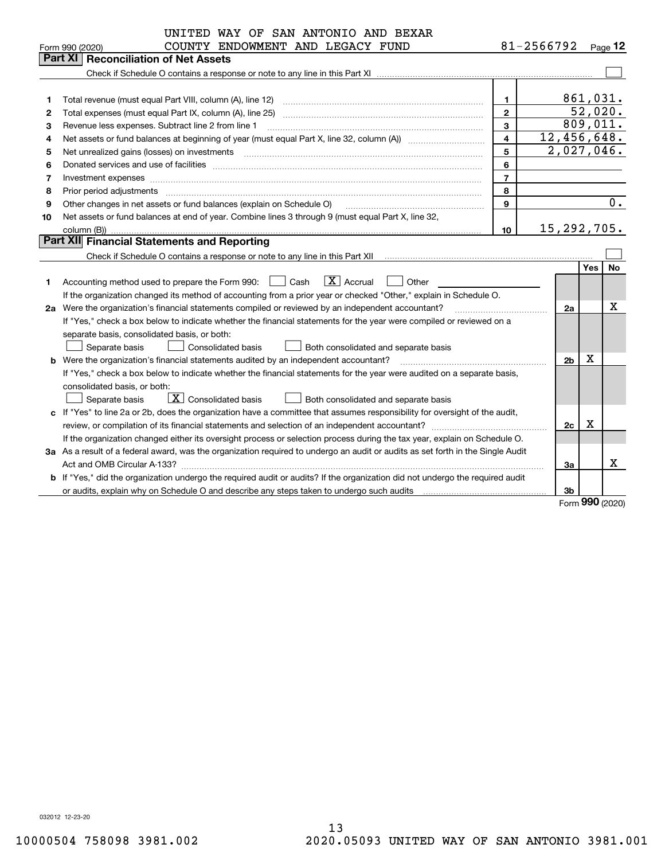|    | UNITED WAY OF SAN ANTONIO AND BEXAR                                                                                             |                         |                         |             |                  |
|----|---------------------------------------------------------------------------------------------------------------------------------|-------------------------|-------------------------|-------------|------------------|
|    | COUNTY ENDOWMENT AND LEGACY FUND<br>Form 990 (2020)                                                                             |                         | 81-2566792 $_{Page}$ 12 |             |                  |
|    | Part XI<br><b>Reconciliation of Net Assets</b>                                                                                  |                         |                         |             |                  |
|    |                                                                                                                                 |                         |                         |             |                  |
|    |                                                                                                                                 |                         |                         |             |                  |
| 1  | Total revenue (must equal Part VIII, column (A), line 12)                                                                       | $\mathbf 1$             |                         | 861,031.    |                  |
| 2  | Total expenses (must equal Part IX, column (A), line 25)                                                                        | $\mathbf{2}$            |                         |             | 52,020.          |
| з  | Revenue less expenses. Subtract line 2 from line 1                                                                              | 3                       |                         |             | 809,011.         |
| 4  |                                                                                                                                 | $\overline{\mathbf{4}}$ | 12,456,648.             |             |                  |
| 5  | Net unrealized gains (losses) on investments                                                                                    | 5                       | 2,027,046.              |             |                  |
| 6  |                                                                                                                                 | 6                       |                         |             |                  |
| 7  | Investment expenses www.communication.com/www.communication.com/www.communication.com/www.com                                   | $\overline{7}$          |                         |             |                  |
| 8  | Prior period adjustments                                                                                                        | 8                       |                         |             |                  |
| 9  | Other changes in net assets or fund balances (explain on Schedule O)                                                            | 9                       |                         |             | $\overline{0}$ . |
| 10 | Net assets or fund balances at end of year. Combine lines 3 through 9 (must equal Part X, line 32,                              |                         |                         |             |                  |
|    |                                                                                                                                 | 10                      | 15, 292, 705.           |             |                  |
|    | <b>Part XII</b> Financial Statements and Reporting                                                                              |                         |                         |             |                  |
|    |                                                                                                                                 |                         |                         |             |                  |
|    |                                                                                                                                 |                         |                         | Yes         | <b>No</b>        |
| 1. | $ X $ Accrual<br>Accounting method used to prepare the Form 990: [16] Cash<br>Other                                             |                         |                         |             |                  |
|    | If the organization changed its method of accounting from a prior year or checked "Other," explain in Schedule O.               |                         |                         |             |                  |
|    | 2a Were the organization's financial statements compiled or reviewed by an independent accountant?                              |                         | 2a                      |             | x                |
|    | If "Yes," check a box below to indicate whether the financial statements for the year were compiled or reviewed on a            |                         |                         |             |                  |
|    | separate basis, consolidated basis, or both:                                                                                    |                         |                         |             |                  |
|    | Separate basis<br>Consolidated basis<br>Both consolidated and separate basis                                                    |                         |                         |             |                  |
|    | <b>b</b> Were the organization's financial statements audited by an independent accountant?                                     |                         | 2 <sub>b</sub>          | $\mathbf X$ |                  |
|    | If "Yes," check a box below to indicate whether the financial statements for the year were audited on a separate basis,         |                         |                         |             |                  |
|    | consolidated basis, or both:                                                                                                    |                         |                         |             |                  |
|    | $ \mathbf{X} $ Consolidated basis<br>Separate basis<br>Both consolidated and separate basis                                     |                         |                         |             |                  |
|    | c If "Yes" to line 2a or 2b, does the organization have a committee that assumes responsibility for oversight of the audit,     |                         |                         |             |                  |
|    | review, or compilation of its financial statements and selection of an independent accountant?                                  |                         | 2c                      | x           |                  |
|    | If the organization changed either its oversight process or selection process during the tax year, explain on Schedule O.       |                         |                         |             |                  |
|    | 3a As a result of a federal award, was the organization required to undergo an audit or audits as set forth in the Single Audit |                         |                         |             |                  |
|    | Act and OMB Circular A-133?                                                                                                     |                         | 3a                      |             | х                |
|    | b If "Yes," did the organization undergo the required audit or audits? If the organization did not undergo the required audit   |                         |                         |             |                  |
|    |                                                                                                                                 |                         | 3b                      |             |                  |
|    |                                                                                                                                 |                         |                         |             | QQQ              |

Form (2020) **990**

032012 12-23-20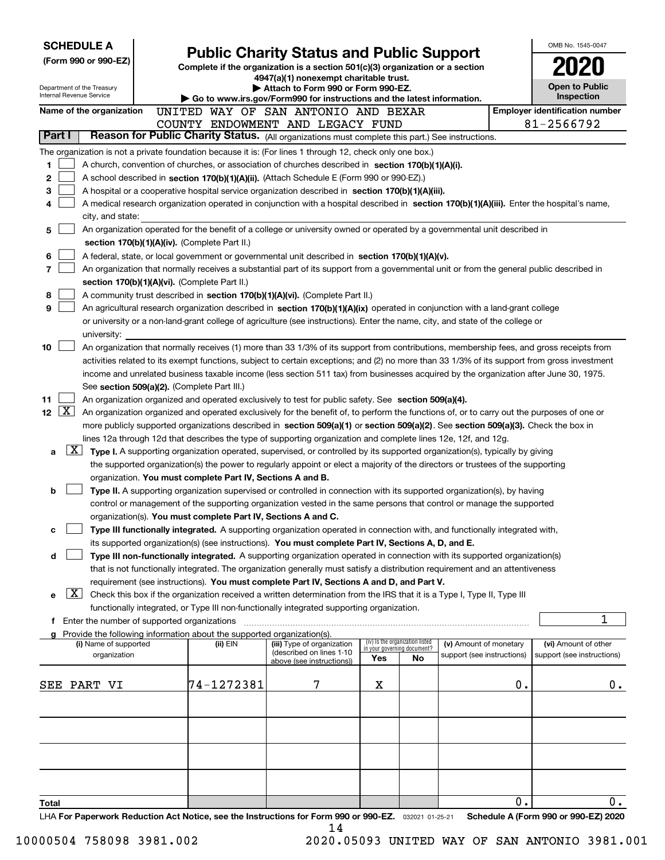| <b>SCHEDULE A</b>                                                                                         |                                                                        |                                                                                                                                                                                                                                                                                       |                             |                                 |                            |               | OMB No. 1545-0047                     |
|-----------------------------------------------------------------------------------------------------------|------------------------------------------------------------------------|---------------------------------------------------------------------------------------------------------------------------------------------------------------------------------------------------------------------------------------------------------------------------------------|-----------------------------|---------------------------------|----------------------------|---------------|---------------------------------------|
| (Form 990 or 990-EZ)                                                                                      |                                                                        | <b>Public Charity Status and Public Support</b><br>Complete if the organization is a section 501(c)(3) organization or a section                                                                                                                                                      |                             |                                 |                            |               |                                       |
|                                                                                                           |                                                                        | 4947(a)(1) nonexempt charitable trust.                                                                                                                                                                                                                                                |                             |                                 |                            |               |                                       |
| Department of the Treasury<br>Internal Revenue Service                                                    |                                                                        | Attach to Form 990 or Form 990-EZ.<br>$\triangleright$ Go to www.irs.gov/Form990 for instructions and the latest information.                                                                                                                                                         |                             |                                 |                            |               | <b>Open to Public</b><br>Inspection   |
| Name of the organization                                                                                  |                                                                        | UNITED WAY OF SAN ANTONIO AND BEXAR                                                                                                                                                                                                                                                   |                             |                                 |                            |               | <b>Employer identification number</b> |
|                                                                                                           |                                                                        | COUNTY ENDOWMENT AND LEGACY FUND                                                                                                                                                                                                                                                      |                             |                                 |                            |               | 81-2566792                            |
| Part I                                                                                                    |                                                                        | Reason for Public Charity Status. (All organizations must complete this part.) See instructions.                                                                                                                                                                                      |                             |                                 |                            |               |                                       |
| The organization is not a private foundation because it is: (For lines 1 through 12, check only one box.) |                                                                        |                                                                                                                                                                                                                                                                                       |                             |                                 |                            |               |                                       |
| 1                                                                                                         |                                                                        | A church, convention of churches, or association of churches described in section 170(b)(1)(A)(i).                                                                                                                                                                                    |                             |                                 |                            |               |                                       |
| 2<br>3                                                                                                    |                                                                        | A school described in section 170(b)(1)(A)(ii). (Attach Schedule E (Form 990 or 990-EZ).)                                                                                                                                                                                             |                             |                                 |                            |               |                                       |
| 4                                                                                                         |                                                                        | A hospital or a cooperative hospital service organization described in section $170(b)(1)(A)(iii)$ .<br>A medical research organization operated in conjunction with a hospital described in section 170(b)(1)(A)(iii). Enter the hospital's name,                                    |                             |                                 |                            |               |                                       |
| city, and state:                                                                                          |                                                                        |                                                                                                                                                                                                                                                                                       |                             |                                 |                            |               |                                       |
| 5                                                                                                         |                                                                        | An organization operated for the benefit of a college or university owned or operated by a governmental unit described in                                                                                                                                                             |                             |                                 |                            |               |                                       |
|                                                                                                           | section 170(b)(1)(A)(iv). (Complete Part II.)                          |                                                                                                                                                                                                                                                                                       |                             |                                 |                            |               |                                       |
| 6                                                                                                         |                                                                        | A federal, state, or local government or governmental unit described in section $170(b)(1)(A)(v)$ .                                                                                                                                                                                   |                             |                                 |                            |               |                                       |
| 7                                                                                                         |                                                                        | An organization that normally receives a substantial part of its support from a governmental unit or from the general public described in                                                                                                                                             |                             |                                 |                            |               |                                       |
| 8                                                                                                         | section 170(b)(1)(A)(vi). (Complete Part II.)                          | A community trust described in section 170(b)(1)(A)(vi). (Complete Part II.)                                                                                                                                                                                                          |                             |                                 |                            |               |                                       |
| 9                                                                                                         |                                                                        | An agricultural research organization described in section 170(b)(1)(A)(ix) operated in conjunction with a land-grant college                                                                                                                                                         |                             |                                 |                            |               |                                       |
|                                                                                                           |                                                                        | or university or a non-land-grant college of agriculture (see instructions). Enter the name, city, and state of the college or                                                                                                                                                        |                             |                                 |                            |               |                                       |
| university:                                                                                               |                                                                        |                                                                                                                                                                                                                                                                                       |                             |                                 |                            |               |                                       |
| 10                                                                                                        |                                                                        | An organization that normally receives (1) more than 33 1/3% of its support from contributions, membership fees, and gross receipts from                                                                                                                                              |                             |                                 |                            |               |                                       |
|                                                                                                           |                                                                        | activities related to its exempt functions, subject to certain exceptions; and (2) no more than 33 1/3% of its support from gross investment<br>income and unrelated business taxable income (less section 511 tax) from businesses acquired by the organization after June 30, 1975. |                             |                                 |                            |               |                                       |
|                                                                                                           | See section 509(a)(2). (Complete Part III.)                            |                                                                                                                                                                                                                                                                                       |                             |                                 |                            |               |                                       |
| 11                                                                                                        |                                                                        | An organization organized and operated exclusively to test for public safety. See section 509(a)(4).                                                                                                                                                                                  |                             |                                 |                            |               |                                       |
| $\boxed{\text{X}}$<br>12 <sub>2</sub>                                                                     |                                                                        | An organization organized and operated exclusively for the benefit of, to perform the functions of, or to carry out the purposes of one or                                                                                                                                            |                             |                                 |                            |               |                                       |
|                                                                                                           |                                                                        | more publicly supported organizations described in section 509(a)(1) or section 509(a)(2). See section 509(a)(3). Check the box in                                                                                                                                                    |                             |                                 |                            |               |                                       |
|                                                                                                           |                                                                        | lines 12a through 12d that describes the type of supporting organization and complete lines 12e, 12f, and 12g.                                                                                                                                                                        |                             |                                 |                            |               |                                       |
| X <br>a                                                                                                   |                                                                        | Type I. A supporting organization operated, supervised, or controlled by its supported organization(s), typically by giving<br>the supported organization(s) the power to regularly appoint or elect a majority of the directors or trustees of the supporting                        |                             |                                 |                            |               |                                       |
|                                                                                                           | organization. You must complete Part IV, Sections A and B.             |                                                                                                                                                                                                                                                                                       |                             |                                 |                            |               |                                       |
| b                                                                                                         |                                                                        | Type II. A supporting organization supervised or controlled in connection with its supported organization(s), by having                                                                                                                                                               |                             |                                 |                            |               |                                       |
|                                                                                                           |                                                                        | control or management of the supporting organization vested in the same persons that control or manage the supported                                                                                                                                                                  |                             |                                 |                            |               |                                       |
|                                                                                                           | organization(s). You must complete Part IV, Sections A and C.          |                                                                                                                                                                                                                                                                                       |                             |                                 |                            |               |                                       |
| с                                                                                                         |                                                                        | Type III functionally integrated. A supporting organization operated in connection with, and functionally integrated with,                                                                                                                                                            |                             |                                 |                            |               |                                       |
| d                                                                                                         |                                                                        | its supported organization(s) (see instructions). You must complete Part IV, Sections A, D, and E.<br>Type III non-functionally integrated. A supporting organization operated in connection with its supported organization(s)                                                       |                             |                                 |                            |               |                                       |
|                                                                                                           |                                                                        | that is not functionally integrated. The organization generally must satisfy a distribution requirement and an attentiveness                                                                                                                                                          |                             |                                 |                            |               |                                       |
|                                                                                                           |                                                                        | requirement (see instructions). You must complete Part IV, Sections A and D, and Part V.                                                                                                                                                                                              |                             |                                 |                            |               |                                       |
| X <br>е                                                                                                   |                                                                        | Check this box if the organization received a written determination from the IRS that it is a Type I, Type II, Type III                                                                                                                                                               |                             |                                 |                            |               |                                       |
|                                                                                                           |                                                                        | functionally integrated, or Type III non-functionally integrated supporting organization.                                                                                                                                                                                             |                             |                                 |                            |               | 1                                     |
| Enter the number of supported organizations<br>f.                                                         | Provide the following information about the supported organization(s). |                                                                                                                                                                                                                                                                                       |                             |                                 |                            |               |                                       |
| (i) Name of supported                                                                                     | (ii) EIN                                                               | (iii) Type of organization                                                                                                                                                                                                                                                            | in your governing document? | (iv) Is the organization listed | (v) Amount of monetary     |               | (vi) Amount of other                  |
| organization                                                                                              |                                                                        | (described on lines 1-10<br>above (see instructions))                                                                                                                                                                                                                                 | Yes                         | No                              | support (see instructions) |               | support (see instructions)            |
|                                                                                                           |                                                                        |                                                                                                                                                                                                                                                                                       |                             |                                 |                            |               |                                       |
| SEE PART VI                                                                                               | 74-1272381                                                             | 7                                                                                                                                                                                                                                                                                     | X                           |                                 |                            | $\mathbf 0$ . | 0.                                    |
|                                                                                                           |                                                                        |                                                                                                                                                                                                                                                                                       |                             |                                 |                            |               |                                       |
|                                                                                                           |                                                                        |                                                                                                                                                                                                                                                                                       |                             |                                 |                            |               |                                       |
|                                                                                                           |                                                                        |                                                                                                                                                                                                                                                                                       |                             |                                 |                            |               |                                       |
|                                                                                                           |                                                                        |                                                                                                                                                                                                                                                                                       |                             |                                 |                            |               |                                       |
|                                                                                                           |                                                                        |                                                                                                                                                                                                                                                                                       |                             |                                 |                            |               |                                       |
|                                                                                                           |                                                                        |                                                                                                                                                                                                                                                                                       |                             |                                 |                            |               |                                       |
| Total                                                                                                     |                                                                        |                                                                                                                                                                                                                                                                                       |                             |                                 |                            | 0.            | 0.                                    |
| LHA For Paperwork Reduction Act Notice, see the Instructions for Form 990 or 990-EZ. 032021 01-25-21      |                                                                        |                                                                                                                                                                                                                                                                                       |                             |                                 |                            |               | Schedule A (Form 990 or 990-EZ) 2020  |
|                                                                                                           |                                                                        | 14                                                                                                                                                                                                                                                                                    |                             |                                 |                            |               |                                       |

10000504 758098 3981.002 2020.05093 UNITED WAY OF SAN ANTONIO 3981.001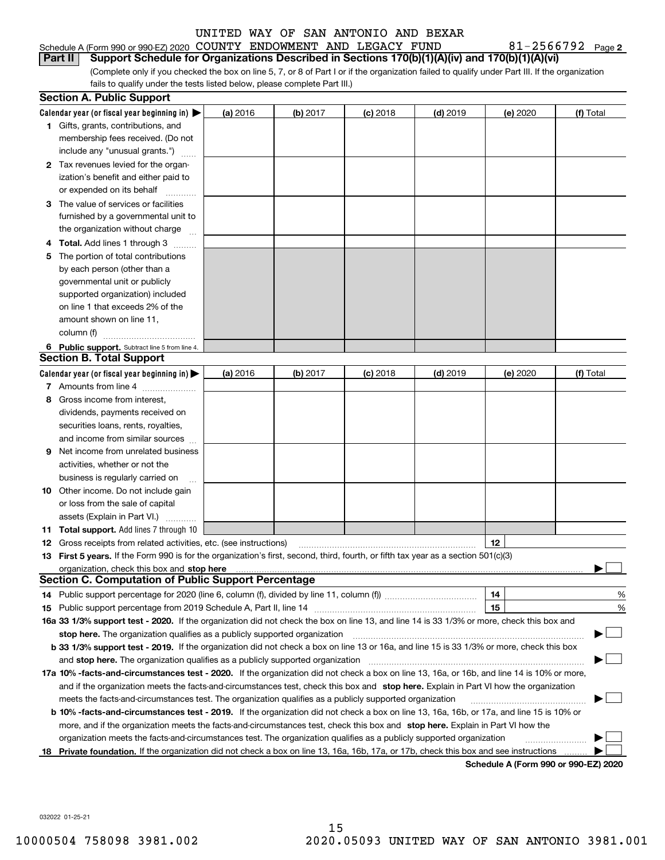| Schedule A (Form 990 or 990-EZ) 2020 COUNTY ENDOWMENT AND LEGACY FUND                                  |  |  | $81 - 2566792$ Page |  |
|--------------------------------------------------------------------------------------------------------|--|--|---------------------|--|
| Part II Support Schedule for Organizations Described in Sections 170(b)(1)(A)(iv) and 170(b)(1)(A)(vi) |  |  |                     |  |

(Complete only if you checked the box on line 5, 7, or 8 of Part I or if the organization failed to qualify under Part III. If the organization fails to qualify under the tests listed below, please complete Part III.)

|    | <b>Section A. Public Support</b>                                                                                                                                                                                              |          |            |            |            |                                      |           |
|----|-------------------------------------------------------------------------------------------------------------------------------------------------------------------------------------------------------------------------------|----------|------------|------------|------------|--------------------------------------|-----------|
|    | Calendar year (or fiscal year beginning in) $\blacktriangleright$                                                                                                                                                             | (a) 2016 | $(b)$ 2017 | $(c)$ 2018 | $(d)$ 2019 | (e) 2020                             | (f) Total |
|    | <b>1</b> Gifts, grants, contributions, and                                                                                                                                                                                    |          |            |            |            |                                      |           |
|    | membership fees received. (Do not                                                                                                                                                                                             |          |            |            |            |                                      |           |
|    | include any "unusual grants.")                                                                                                                                                                                                |          |            |            |            |                                      |           |
|    | 2 Tax revenues levied for the organ-                                                                                                                                                                                          |          |            |            |            |                                      |           |
|    | ization's benefit and either paid to                                                                                                                                                                                          |          |            |            |            |                                      |           |
|    | or expended on its behalf                                                                                                                                                                                                     |          |            |            |            |                                      |           |
|    | 3 The value of services or facilities                                                                                                                                                                                         |          |            |            |            |                                      |           |
|    | furnished by a governmental unit to                                                                                                                                                                                           |          |            |            |            |                                      |           |
|    | the organization without charge                                                                                                                                                                                               |          |            |            |            |                                      |           |
|    | <b>4 Total.</b> Add lines 1 through 3                                                                                                                                                                                         |          |            |            |            |                                      |           |
| 5. | The portion of total contributions                                                                                                                                                                                            |          |            |            |            |                                      |           |
|    | by each person (other than a                                                                                                                                                                                                  |          |            |            |            |                                      |           |
|    | governmental unit or publicly                                                                                                                                                                                                 |          |            |            |            |                                      |           |
|    | supported organization) included                                                                                                                                                                                              |          |            |            |            |                                      |           |
|    | on line 1 that exceeds 2% of the                                                                                                                                                                                              |          |            |            |            |                                      |           |
|    | amount shown on line 11,                                                                                                                                                                                                      |          |            |            |            |                                      |           |
|    | column (f)                                                                                                                                                                                                                    |          |            |            |            |                                      |           |
|    | 6 Public support. Subtract line 5 from line 4.                                                                                                                                                                                |          |            |            |            |                                      |           |
|    | <b>Section B. Total Support</b>                                                                                                                                                                                               |          |            |            |            |                                      |           |
|    | Calendar year (or fiscal year beginning in) $\blacktriangleright$                                                                                                                                                             | (a) 2016 | (b) 2017   | $(c)$ 2018 | $(d)$ 2019 | (e) 2020                             | (f) Total |
|    | 7 Amounts from line 4                                                                                                                                                                                                         |          |            |            |            |                                      |           |
| 8  | Gross income from interest,                                                                                                                                                                                                   |          |            |            |            |                                      |           |
|    | dividends, payments received on                                                                                                                                                                                               |          |            |            |            |                                      |           |
|    | securities loans, rents, royalties,                                                                                                                                                                                           |          |            |            |            |                                      |           |
|    | and income from similar sources                                                                                                                                                                                               |          |            |            |            |                                      |           |
| 9  | Net income from unrelated business                                                                                                                                                                                            |          |            |            |            |                                      |           |
|    | activities, whether or not the                                                                                                                                                                                                |          |            |            |            |                                      |           |
|    | business is regularly carried on                                                                                                                                                                                              |          |            |            |            |                                      |           |
|    | <b>10</b> Other income. Do not include gain                                                                                                                                                                                   |          |            |            |            |                                      |           |
|    | or loss from the sale of capital                                                                                                                                                                                              |          |            |            |            |                                      |           |
|    | assets (Explain in Part VI.)                                                                                                                                                                                                  |          |            |            |            |                                      |           |
|    | 11 Total support. Add lines 7 through 10                                                                                                                                                                                      |          |            |            |            |                                      |           |
|    | <b>12</b> Gross receipts from related activities, etc. (see instructions)                                                                                                                                                     |          |            |            |            | 12                                   |           |
|    | 13 First 5 years. If the Form 990 is for the organization's first, second, third, fourth, or fifth tax year as a section 501(c)(3)                                                                                            |          |            |            |            |                                      |           |
|    | organization, check this box and stop here manufactured and state and state and state and state and state and stop here and stop here are all and state and state and state and state and state and state and state and state |          |            |            |            |                                      |           |
|    | <b>Section C. Computation of Public Support Percentage</b>                                                                                                                                                                    |          |            |            |            |                                      |           |
|    |                                                                                                                                                                                                                               |          |            |            |            | 14                                   | %         |
|    |                                                                                                                                                                                                                               |          |            |            |            | 15                                   | %         |
|    | 16a 33 1/3% support test - 2020. If the organization did not check the box on line 13, and line 14 is 33 1/3% or more, check this box and                                                                                     |          |            |            |            |                                      |           |
|    | stop here. The organization qualifies as a publicly supported organization                                                                                                                                                    |          |            |            |            |                                      |           |
|    | b 33 1/3% support test - 2019. If the organization did not check a box on line 13 or 16a, and line 15 is 33 1/3% or more, check this box                                                                                      |          |            |            |            |                                      |           |
|    | and stop here. The organization qualifies as a publicly supported organization                                                                                                                                                |          |            |            |            |                                      |           |
|    | 17a 10% -facts-and-circumstances test - 2020. If the organization did not check a box on line 13, 16a, or 16b, and line 14 is 10% or more,                                                                                    |          |            |            |            |                                      |           |
|    | and if the organization meets the facts-and-circumstances test, check this box and stop here. Explain in Part VI how the organization                                                                                         |          |            |            |            |                                      |           |
|    | meets the facts-and-circumstances test. The organization qualifies as a publicly supported organization                                                                                                                       |          |            |            |            |                                      |           |
|    | <b>b 10% -facts-and-circumstances test - 2019.</b> If the organization did not check a box on line 13, 16a, 16b, or 17a, and line 15 is 10% or                                                                                |          |            |            |            |                                      |           |
|    | more, and if the organization meets the facts-and-circumstances test, check this box and stop here. Explain in Part VI how the                                                                                                |          |            |            |            |                                      |           |
|    | organization meets the facts-and-circumstances test. The organization qualifies as a publicly supported organization                                                                                                          |          |            |            |            |                                      |           |
|    | 18 Private foundation. If the organization did not check a box on line 13, 16a, 16b, 17a, or 17b, check this box and see instructions                                                                                         |          |            |            |            | Schodule A (Form 000 or 000 F7) 2020 |           |

**Schedule A (Form 990 or 990-EZ) 2020**

**2**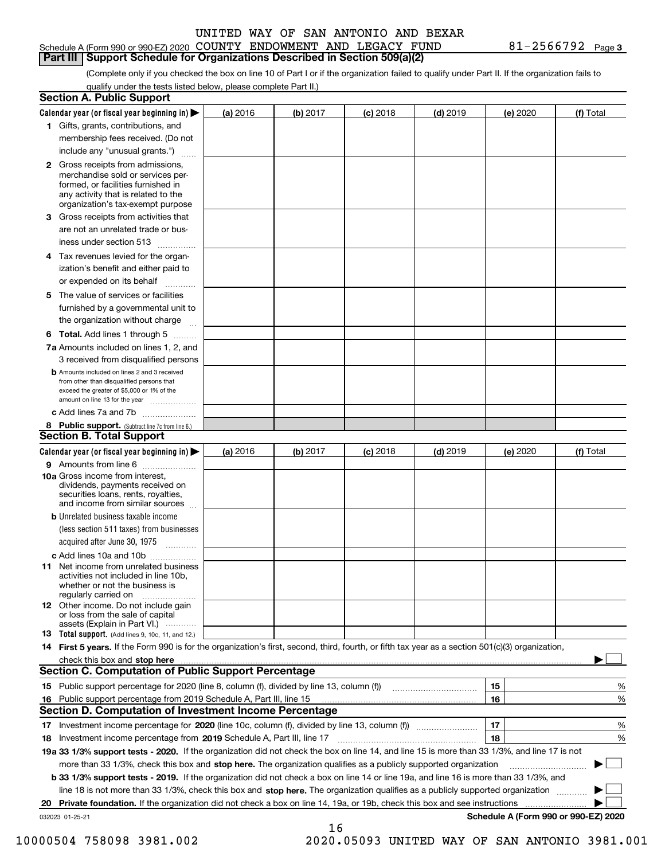#### Schedule A (Form 990 or 990-EZ) 2020 Page COUNTY ENDOWMENT AND LEGACY FUND 81-2566792 **Part III Support Schedule for Organizations Described in Section 509(a)(2)**

**3**

(Complete only if you checked the box on line 10 of Part I or if the organization failed to qualify under Part II. If the organization fails to qualify under the tests listed below, please complete Part II.)

|    | <b>Section A. Public Support</b>                                                                                                                                                                                              |          |          |            |            |          |                                      |
|----|-------------------------------------------------------------------------------------------------------------------------------------------------------------------------------------------------------------------------------|----------|----------|------------|------------|----------|--------------------------------------|
|    | Calendar year (or fiscal year beginning in) $\blacktriangleright$                                                                                                                                                             | (a) 2016 | (b) 2017 | $(c)$ 2018 | $(d)$ 2019 | (e) 2020 | (f) Total                            |
|    | 1 Gifts, grants, contributions, and                                                                                                                                                                                           |          |          |            |            |          |                                      |
|    | membership fees received. (Do not                                                                                                                                                                                             |          |          |            |            |          |                                      |
|    | include any "unusual grants.")                                                                                                                                                                                                |          |          |            |            |          |                                      |
|    | 2 Gross receipts from admissions,<br>merchandise sold or services per-<br>formed, or facilities furnished in<br>any activity that is related to the<br>organization's tax-exempt purpose                                      |          |          |            |            |          |                                      |
|    | 3 Gross receipts from activities that<br>are not an unrelated trade or bus-                                                                                                                                                   |          |          |            |            |          |                                      |
|    | iness under section 513                                                                                                                                                                                                       |          |          |            |            |          |                                      |
|    | 4 Tax revenues levied for the organ-                                                                                                                                                                                          |          |          |            |            |          |                                      |
|    | ization's benefit and either paid to<br>or expended on its behalf<br>.                                                                                                                                                        |          |          |            |            |          |                                      |
|    | 5 The value of services or facilities                                                                                                                                                                                         |          |          |            |            |          |                                      |
|    | furnished by a governmental unit to                                                                                                                                                                                           |          |          |            |            |          |                                      |
|    | the organization without charge                                                                                                                                                                                               |          |          |            |            |          |                                      |
|    | <b>6 Total.</b> Add lines 1 through 5                                                                                                                                                                                         |          |          |            |            |          |                                      |
|    | 7a Amounts included on lines 1, 2, and                                                                                                                                                                                        |          |          |            |            |          |                                      |
|    | 3 received from disqualified persons                                                                                                                                                                                          |          |          |            |            |          |                                      |
|    | <b>b</b> Amounts included on lines 2 and 3 received<br>from other than disqualified persons that<br>exceed the greater of \$5,000 or 1% of the<br>amount on line 13 for the year                                              |          |          |            |            |          |                                      |
|    | c Add lines 7a and 7b                                                                                                                                                                                                         |          |          |            |            |          |                                      |
|    | 8 Public support. (Subtract line 7c from line 6.)                                                                                                                                                                             |          |          |            |            |          |                                      |
|    | <b>Section B. Total Support</b>                                                                                                                                                                                               |          |          |            |            |          |                                      |
|    | Calendar year (or fiscal year beginning in) $\blacktriangleright$                                                                                                                                                             | (a) 2016 | (b) 2017 | $(c)$ 2018 | $(d)$ 2019 | (e) 2020 | (f) Total                            |
|    | 9 Amounts from line 6                                                                                                                                                                                                         |          |          |            |            |          |                                      |
|    | 10a Gross income from interest,<br>dividends, payments received on<br>securities loans, rents, royalties,<br>and income from similar sources                                                                                  |          |          |            |            |          |                                      |
|    | <b>b</b> Unrelated business taxable income<br>(less section 511 taxes) from businesses                                                                                                                                        |          |          |            |            |          |                                      |
|    | acquired after June 30, 1975                                                                                                                                                                                                  |          |          |            |            |          |                                      |
|    | c Add lines 10a and 10b<br>11 Net income from unrelated business<br>activities not included in line 10b,<br>whether or not the business is<br>regularly carried on                                                            |          |          |            |            |          |                                      |
|    | 12 Other income. Do not include gain<br>or loss from the sale of capital<br>assets (Explain in Part VI.)                                                                                                                      |          |          |            |            |          |                                      |
|    | <b>13</b> Total support. (Add lines 9, 10c, 11, and 12.)                                                                                                                                                                      |          |          |            |            |          |                                      |
|    | 14 First 5 years. If the Form 990 is for the organization's first, second, third, fourth, or fifth tax year as a section 501(c)(3) organization,                                                                              |          |          |            |            |          |                                      |
|    | check this box and stop here with the continuum control to the change of the state of the state of the change of the change of the change of the change of the change of the change of the change of the change of the change |          |          |            |            |          |                                      |
|    | Section C. Computation of Public Support Percentage                                                                                                                                                                           |          |          |            |            |          |                                      |
|    | 15 Public support percentage for 2020 (line 8, column (f), divided by line 13, column (f))                                                                                                                                    |          |          |            |            | 15       | %                                    |
|    | 16 Public support percentage from 2019 Schedule A, Part III, line 15                                                                                                                                                          |          |          |            |            | 16       | %                                    |
|    | <b>Section D. Computation of Investment Income Percentage</b>                                                                                                                                                                 |          |          |            |            |          |                                      |
|    | 17 Investment income percentage for 2020 (line 10c, column (f), divided by line 13, column (f))                                                                                                                               |          |          |            |            | 17       | %                                    |
|    | <b>18</b> Investment income percentage from <b>2019</b> Schedule A, Part III, line 17                                                                                                                                         |          |          |            |            | 18       | %                                    |
|    | 19a 33 1/3% support tests - 2020. If the organization did not check the box on line 14, and line 15 is more than 33 1/3%, and line 17 is not                                                                                  |          |          |            |            |          |                                      |
|    | more than 33 1/3%, check this box and stop here. The organization qualifies as a publicly supported organization                                                                                                              |          |          |            |            |          | ▶                                    |
|    | b 33 1/3% support tests - 2019. If the organization did not check a box on line 14 or line 19a, and line 16 is more than 33 1/3%, and                                                                                         |          |          |            |            |          |                                      |
|    | line 18 is not more than 33 1/3%, check this box and stop here. The organization qualifies as a publicly supported organization                                                                                               |          |          |            |            |          |                                      |
| 20 | <b>Private foundation.</b> If the organization did not check a box on line 14, 19a, or 19b, check this box and see instructions                                                                                               |          |          |            |            |          |                                      |
|    | 032023 01-25-21                                                                                                                                                                                                               |          | 16       |            |            |          | Schedule A (Form 990 or 990-EZ) 2020 |

10000504 758098 3981.002 2020.05093 UNITED WAY OF SAN ANTONIO 3981.001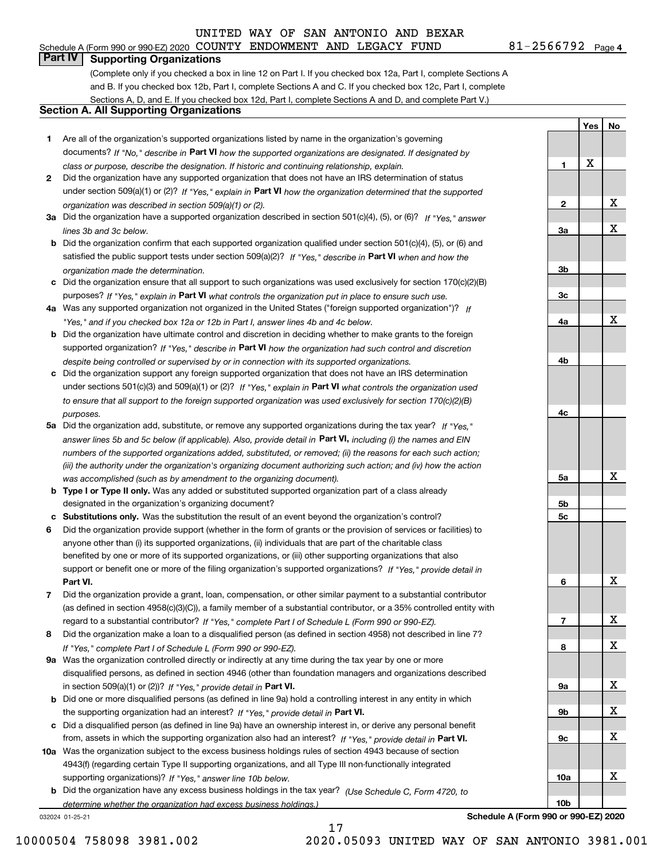## **Part IV Supporting Organizations**

(Complete only if you checked a box in line 12 on Part I. If you checked box 12a, Part I, complete Sections A and B. If you checked box 12b, Part I, complete Sections A and C. If you checked box 12c, Part I, complete Sections A, D, and E. If you checked box 12d, Part I, complete Sections A and D, and complete Part V.)

#### **Section A. All Supporting Organizations**

- **1** Are all of the organization's supported organizations listed by name in the organization's governing documents? If "No," describe in **Part VI** how the supported organizations are designated. If designated by *class or purpose, describe the designation. If historic and continuing relationship, explain.*
- **2** Did the organization have any supported organization that does not have an IRS determination of status under section 509(a)(1) or (2)? If "Yes," explain in Part VI how the organization determined that the supported *organization was described in section 509(a)(1) or (2).*
- **3a** Did the organization have a supported organization described in section 501(c)(4), (5), or (6)? If "Yes," answer *lines 3b and 3c below.*
- **b** Did the organization confirm that each supported organization qualified under section 501(c)(4), (5), or (6) and satisfied the public support tests under section 509(a)(2)? If "Yes," describe in **Part VI** when and how the *organization made the determination.*
- **c**Did the organization ensure that all support to such organizations was used exclusively for section 170(c)(2)(B) purposes? If "Yes," explain in **Part VI** what controls the organization put in place to ensure such use.
- **4a***If* Was any supported organization not organized in the United States ("foreign supported organization")? *"Yes," and if you checked box 12a or 12b in Part I, answer lines 4b and 4c below.*
- **b** Did the organization have ultimate control and discretion in deciding whether to make grants to the foreign supported organization? If "Yes," describe in **Part VI** how the organization had such control and discretion *despite being controlled or supervised by or in connection with its supported organizations.*
- **c** Did the organization support any foreign supported organization that does not have an IRS determination under sections 501(c)(3) and 509(a)(1) or (2)? If "Yes," explain in **Part VI** what controls the organization used *to ensure that all support to the foreign supported organization was used exclusively for section 170(c)(2)(B) purposes.*
- **5a** Did the organization add, substitute, or remove any supported organizations during the tax year? If "Yes," answer lines 5b and 5c below (if applicable). Also, provide detail in **Part VI,** including (i) the names and EIN *numbers of the supported organizations added, substituted, or removed; (ii) the reasons for each such action; (iii) the authority under the organization's organizing document authorizing such action; and (iv) how the action was accomplished (such as by amendment to the organizing document).*
- **b** Type I or Type II only. Was any added or substituted supported organization part of a class already designated in the organization's organizing document?
- **cSubstitutions only.**  Was the substitution the result of an event beyond the organization's control?
- **6** Did the organization provide support (whether in the form of grants or the provision of services or facilities) to **Part VI.** *If "Yes," provide detail in* support or benefit one or more of the filing organization's supported organizations? anyone other than (i) its supported organizations, (ii) individuals that are part of the charitable class benefited by one or more of its supported organizations, or (iii) other supporting organizations that also
- **7**Did the organization provide a grant, loan, compensation, or other similar payment to a substantial contributor *If "Yes," complete Part I of Schedule L (Form 990 or 990-EZ).* regard to a substantial contributor? (as defined in section 4958(c)(3)(C)), a family member of a substantial contributor, or a 35% controlled entity with
- **8** Did the organization make a loan to a disqualified person (as defined in section 4958) not described in line 7? *If "Yes," complete Part I of Schedule L (Form 990 or 990-EZ).*
- **9a** Was the organization controlled directly or indirectly at any time during the tax year by one or more in section 509(a)(1) or (2))? If "Yes," *provide detail in* <code>Part VI.</code> disqualified persons, as defined in section 4946 (other than foundation managers and organizations described
- **b**the supporting organization had an interest? If "Yes," provide detail in P**art VI**. Did one or more disqualified persons (as defined in line 9a) hold a controlling interest in any entity in which
- **c**Did a disqualified person (as defined in line 9a) have an ownership interest in, or derive any personal benefit from, assets in which the supporting organization also had an interest? If "Yes," provide detail in P**art VI.**
- **10a** Was the organization subject to the excess business holdings rules of section 4943 because of section supporting organizations)? If "Yes," answer line 10b below. 4943(f) (regarding certain Type II supporting organizations, and all Type III non-functionally integrated
- **b** Did the organization have any excess business holdings in the tax year? (Use Schedule C, Form 4720, to *determine whether the organization had excess business holdings.)*

032024 01-25-21

**3b3c4a4b4c5a 5b5c6789a 9b9c10a10b**X X X X X X X X X

**Schedule A (Form 990 or 990-EZ) 2020**

81-2566792 Page 4 Schedule A (Form 990 or 990-EZ) 2020 Page COUNTY ENDOWMENT AND LEGACY FUND 81-2566792

**Yes**

X

**1**

**2**

**3a**

**No**

X

X

10000504 758098 3981.002 2020.05093 UNITED WAY OF SAN ANTONIO 3981.001

17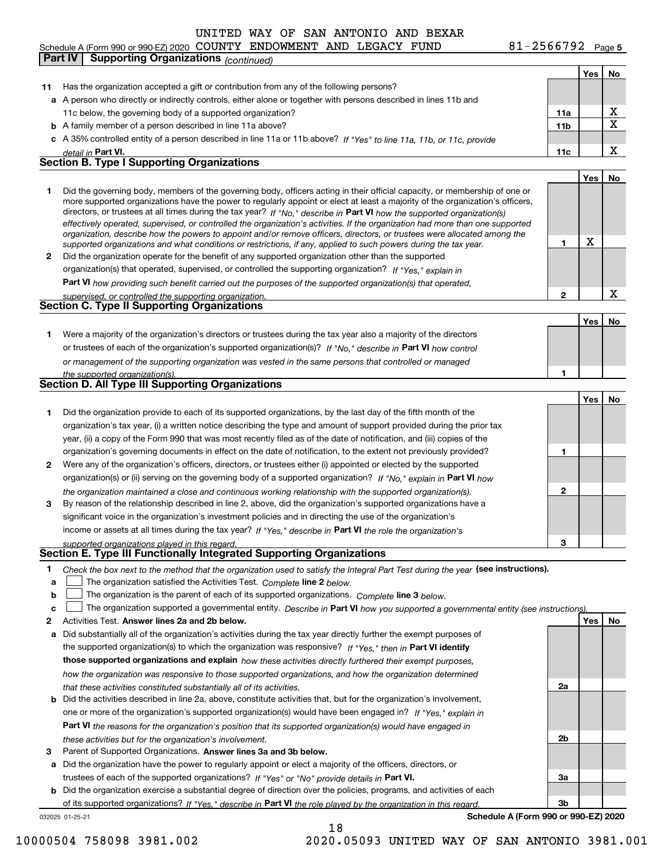#### **Yes No 11** Has the organization accepted a gift or contribution from any of the following persons? **a**A person who directly or indirectly controls, either alone or together with persons described in lines 11b and **b** A family member of a person described in line 11a above? **c** A 35% controlled entity of a person described in line 11a or 11b above? If "Yes" to line 11a, 11b, or 11c, provide **11a11bPart VI. 11c Yes No 12** Did the organization operate for the benefit of any supported organization other than the supported directors, or trustees at all times during the tax year? If "No," describe in **Part VI** how the supported organization(s) **12Part VI**  *how providing such benefit carried out the purposes of the supported organization(s) that operated,* **Yes No 1** Were a majority of the organization's directors or trustees during the tax year also a majority of the directors or trustees of each of the organization's supported organization(s)? If "No," describe in **Part VI** how control **1Yes No 1** Did the organization provide to each of its supported organizations, by the last day of the fifth month of the **2** Were any of the organization's officers, directors, or trustees either (i) appointed or elected by the supported **3123**organization(s) or (ii) serving on the governing body of a supported organization? If "No," explain in **Part VI** how income or assets at all times during the tax year? If "Yes," describe in **Part VI** the role the organization's **12Answer lines 2a and 2b below. Yes No** Activities Test. Check the box next to the method that the organization used to satisfy the Integral Part Test during the year (see instructions). **abclinupy** The organization satisfied the Activities Test. Complete line 2 below. The organization is the parent of each of its supported organizations. *Complete* line 3 *below.* The organization supported a governmental entity. *Describe in* Part **VI** *how you supported a governmental entity (see instruction<u>s).</u>* **a** Did substantially all of the organization's activities during the tax year directly further the exempt purposes of the supported organization(s) to which the organization was responsive? If "Yes," then in **Part VI identify those supported organizations and explain**  *how these activities directly furthered their exempt purposes,* **2a** *detail in effectively operated, supervised, or controlled the organization's activities. If the organization had more than one supported organization, describe how the powers to appoint and/or remove officers, directors, or trustees were allocated among the supported organizations and what conditions or restrictions, if any, applied to such powers during the tax year. If "Yes," explain in* organization(s) that operated, supervised, or controlled the supporting organization? *supervised, or controlled the supporting organization. or management of the supporting organization was vested in the same persons that controlled or managed the supported organization(s). the organization maintained a close and continuous working relationship with the supported organization(s). supported organizations played in this regard. how the organization was responsive to those supported organizations, and how the organization determined that these activities constituted substantially all of its activities.* Schedule A (Form 990 or 990-EZ) 2020 Page COUNTY ENDOWMENT AND LEGACY FUND 81-2566792 11c below, the governing body of a supported organization? Did the governing body, members of the governing body, officers acting in their official capacity, or membership of one or more supported organizations have the power to regularly appoint or elect at least a majority of the organization's officers, organization's tax year, (i) a written notice describing the type and amount of support provided during the prior tax year, (ii) a copy of the Form 990 that was most recently filed as of the date of notification, and (iii) copies of the organization's governing documents in effect on the date of notification, to the extent not previously provided? By reason of the relationship described in line 2, above, did the organization's supported organizations have a significant voice in the organization's investment policies and in directing the use of the organization's **Part IV Supporting Organizations** *(continued)* **Section B. Type I Supporting Organizations Section C. Type II Supporting Organizations Section D. All Type III Supporting Organizations Section E. Type III Functionally Integrated Supporting Organizations**  $\mathcal{L}^{\text{max}}$  $\mathcal{L}^{\text{max}}$ X X X X X

- **b** Did the activities described in line 2a, above, constitute activities that, but for the organization's involvement, **Part VI**  *the reasons for the organization's position that its supported organization(s) would have engaged in* one or more of the organization's supported organization(s) would have been engaged in? If "Yes," e*xplain in these activities but for the organization's involvement.*
- **3**Parent of Supported Organizations. Answer lines 3a and 3b below.

**a** Did the organization have the power to regularly appoint or elect a majority of the officers, directors, or trustees of each of the supported organizations? If "Yes" or "No" provide details in **Part VI.** 

**b** Did the organization exercise a substantial degree of direction over the policies, programs, and activities of each of its supported organizations? If "Yes," describe in Part VI the role played by the organization in this regard.

18

032025 01-25-21

**Schedule A (Form 990 or 990-EZ) 2020**

**2b**

**3a**

**3b**

10000504 758098 3981.002 2020.05093 UNITED WAY OF SAN ANTONIO 3981.001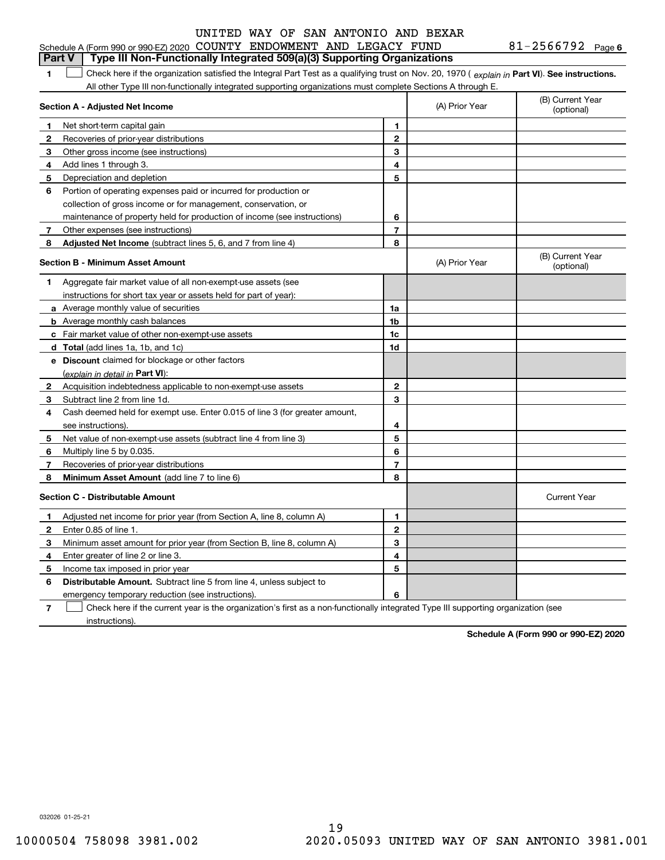## **Part V Type III Non-Functionally Integrated 509(a)(3) Supporting Organizations**

**1**1 Check here if the organization satisfied the Integral Part Test as a qualifying trust on Nov. 20, 1970 (explain in Part VI). See instructions. All other Type III non-functionally integrated supporting organizations must complete Sections A through E.

|              | Section A - Adjusted Net Income                                             |                | (A) Prior Year | (B) Current Year<br>(optional) |
|--------------|-----------------------------------------------------------------------------|----------------|----------------|--------------------------------|
| 1            | Net short-term capital gain                                                 | 1              |                |                                |
| 2            | Recoveries of prior-year distributions                                      | $\mathbf{2}$   |                |                                |
| 3            | Other gross income (see instructions)                                       | 3              |                |                                |
| 4            | Add lines 1 through 3.                                                      | 4              |                |                                |
| 5            | Depreciation and depletion                                                  | 5              |                |                                |
| 6            | Portion of operating expenses paid or incurred for production or            |                |                |                                |
|              | collection of gross income or for management, conservation, or              |                |                |                                |
|              | maintenance of property held for production of income (see instructions)    | 6              |                |                                |
| 7            | Other expenses (see instructions)                                           | $\overline{7}$ |                |                                |
| 8            | Adjusted Net Income (subtract lines 5, 6, and 7 from line 4)                | 8              |                |                                |
|              | <b>Section B - Minimum Asset Amount</b>                                     |                | (A) Prior Year | (B) Current Year<br>(optional) |
| 1            | Aggregate fair market value of all non-exempt-use assets (see               |                |                |                                |
|              | instructions for short tax year or assets held for part of year):           |                |                |                                |
|              | a Average monthly value of securities                                       | 1a             |                |                                |
|              | <b>b</b> Average monthly cash balances                                      | 1b             |                |                                |
|              | c Fair market value of other non-exempt-use assets                          | 1c             |                |                                |
|              | d Total (add lines 1a, 1b, and 1c)                                          | 1d             |                |                                |
|              | <b>e</b> Discount claimed for blockage or other factors                     |                |                |                                |
|              | (explain in detail in Part VI):                                             |                |                |                                |
| 2            | Acquisition indebtedness applicable to non-exempt-use assets                | $\mathbf{2}$   |                |                                |
| 3            | Subtract line 2 from line 1d.                                               | 3              |                |                                |
| 4            | Cash deemed held for exempt use. Enter 0.015 of line 3 (for greater amount, |                |                |                                |
|              | see instructions).                                                          | 4              |                |                                |
| 5.           | Net value of non-exempt-use assets (subtract line 4 from line 3)            | 5              |                |                                |
| 6            | Multiply line 5 by 0.035.                                                   | 6              |                |                                |
| 7            | Recoveries of prior-year distributions                                      | $\overline{7}$ |                |                                |
| 8            | Minimum Asset Amount (add line 7 to line 6)                                 | 8              |                |                                |
|              | <b>Section C - Distributable Amount</b>                                     |                |                | <b>Current Year</b>            |
| 1            | Adjusted net income for prior year (from Section A, line 8, column A)       | 1              |                |                                |
| $\mathbf{2}$ | Enter 0.85 of line 1.                                                       | $\mathbf{2}$   |                |                                |
| 3            | Minimum asset amount for prior year (from Section B, line 8, column A)      | 3              |                |                                |
| 4            | Enter greater of line 2 or line 3.                                          | 4              |                |                                |
| 5            | Income tax imposed in prior year                                            | 5              |                |                                |
| 6            | <b>Distributable Amount.</b> Subtract line 5 from line 4, unless subject to |                |                |                                |
|              | emergency temporary reduction (see instructions).                           | 6              |                |                                |
|              |                                                                             |                |                |                                |

**7**Check here if the current year is the organization's first as a non-functionally integrated Type III supporting organization (see instructions).

**Schedule A (Form 990 or 990-EZ) 2020**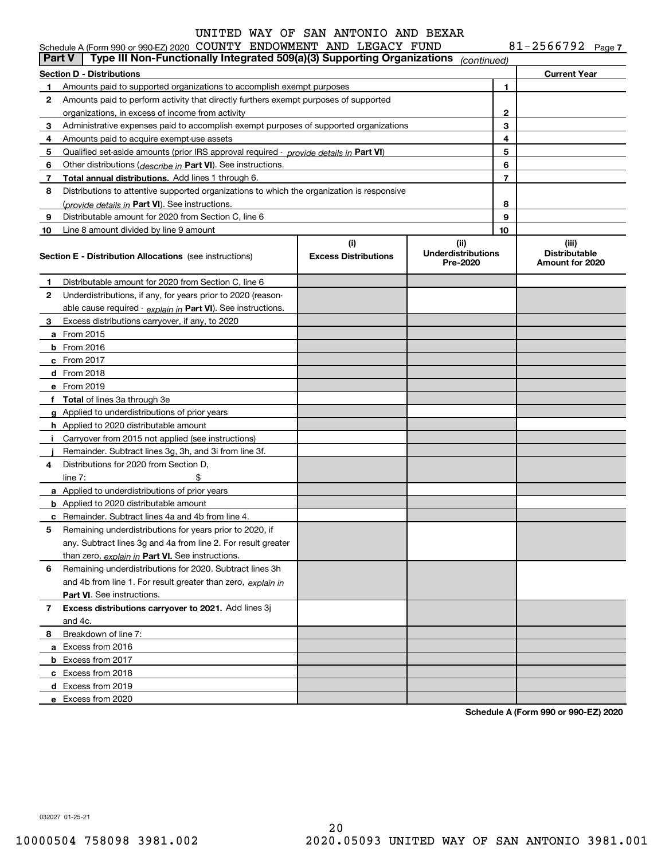$81 - 2566792$  Page 7

|                                                                                                                                                       | Schedule A (Form 990 or 990-EZ) 2020 COUNTY ENDOWMENT AND LEGACY FUND                         |   |             |                | 81-2566792 Page 7                                |
|-------------------------------------------------------------------------------------------------------------------------------------------------------|-----------------------------------------------------------------------------------------------|---|-------------|----------------|--------------------------------------------------|
| <b>Part V</b>                                                                                                                                         | Type III Non-Functionally Integrated 509(a)(3) Supporting Organizations                       |   | (continued) |                |                                                  |
|                                                                                                                                                       | Section D - Distributions                                                                     |   |             |                | <b>Current Year</b>                              |
| 1.                                                                                                                                                    | Amounts paid to supported organizations to accomplish exempt purposes                         |   |             | 1              |                                                  |
| 2                                                                                                                                                     | Amounts paid to perform activity that directly furthers exempt purposes of supported          |   |             |                |                                                  |
|                                                                                                                                                       | organizations, in excess of income from activity                                              | 2 |             |                |                                                  |
| 3                                                                                                                                                     | Administrative expenses paid to accomplish exempt purposes of supported organizations         |   |             | 3              |                                                  |
| 4                                                                                                                                                     | Amounts paid to acquire exempt-use assets                                                     |   |             | 4              |                                                  |
| 5                                                                                                                                                     | Qualified set-aside amounts (prior IRS approval required - <i>provide details in</i> Part VI) |   |             | 5              |                                                  |
| 6                                                                                                                                                     | Other distributions ( <i>describe in</i> Part VI). See instructions.                          |   |             | 6              |                                                  |
| 7                                                                                                                                                     | Total annual distributions. Add lines 1 through 6.                                            |   |             | $\overline{7}$ |                                                  |
| 8                                                                                                                                                     | Distributions to attentive supported organizations to which the organization is responsive    |   |             |                |                                                  |
|                                                                                                                                                       | (provide details in Part VI). See instructions.                                               |   |             | 8              |                                                  |
| 9                                                                                                                                                     | Distributable amount for 2020 from Section C, line 6                                          |   |             | 9              |                                                  |
| 10                                                                                                                                                    | Line 8 amount divided by line 9 amount                                                        |   |             | 10             |                                                  |
| (i)<br>(ii)<br><b>Underdistributions</b><br><b>Excess Distributions</b><br><b>Section E - Distribution Allocations</b> (see instructions)<br>Pre-2020 |                                                                                               |   |             |                | (iii)<br><b>Distributable</b><br>Amount for 2020 |
| 1.                                                                                                                                                    | Distributable amount for 2020 from Section C, line 6                                          |   |             |                |                                                  |
| 2                                                                                                                                                     | Underdistributions, if any, for years prior to 2020 (reason-                                  |   |             |                |                                                  |
|                                                                                                                                                       | able cause required - explain in Part VI). See instructions.                                  |   |             |                |                                                  |
| 3                                                                                                                                                     | Excess distributions carryover, if any, to 2020                                               |   |             |                |                                                  |
|                                                                                                                                                       | a From 2015                                                                                   |   |             |                |                                                  |
|                                                                                                                                                       | $b$ From 2016                                                                                 |   |             |                |                                                  |
|                                                                                                                                                       | $c$ From 2017                                                                                 |   |             |                |                                                  |
|                                                                                                                                                       | d From 2018                                                                                   |   |             |                |                                                  |
|                                                                                                                                                       | e From 2019                                                                                   |   |             |                |                                                  |
|                                                                                                                                                       | f Total of lines 3a through 3e                                                                |   |             |                |                                                  |
|                                                                                                                                                       | g Applied to underdistributions of prior years                                                |   |             |                |                                                  |
|                                                                                                                                                       | <b>h</b> Applied to 2020 distributable amount                                                 |   |             |                |                                                  |
|                                                                                                                                                       | i Carryover from 2015 not applied (see instructions)                                          |   |             |                |                                                  |
|                                                                                                                                                       | Remainder. Subtract lines 3g, 3h, and 3i from line 3f.                                        |   |             |                |                                                  |
| 4                                                                                                                                                     | Distributions for 2020 from Section D,                                                        |   |             |                |                                                  |
|                                                                                                                                                       | \$<br>line $7:$                                                                               |   |             |                |                                                  |
|                                                                                                                                                       | <b>a</b> Applied to underdistributions of prior years                                         |   |             |                |                                                  |
|                                                                                                                                                       | <b>b</b> Applied to 2020 distributable amount                                                 |   |             |                |                                                  |
|                                                                                                                                                       | <b>c</b> Remainder. Subtract lines 4a and 4b from line 4.                                     |   |             |                |                                                  |
|                                                                                                                                                       | Remaining underdistributions for years prior to 2020, if                                      |   |             |                |                                                  |
|                                                                                                                                                       | any. Subtract lines 3g and 4a from line 2. For result greater                                 |   |             |                |                                                  |
|                                                                                                                                                       | than zero, explain in Part VI. See instructions.                                              |   |             |                |                                                  |
| 6                                                                                                                                                     | Remaining underdistributions for 2020. Subtract lines 3h                                      |   |             |                |                                                  |
|                                                                                                                                                       | and 4b from line 1. For result greater than zero, explain in                                  |   |             |                |                                                  |
|                                                                                                                                                       | <b>Part VI.</b> See instructions.                                                             |   |             |                |                                                  |
| 7                                                                                                                                                     | Excess distributions carryover to 2021. Add lines 3j                                          |   |             |                |                                                  |
|                                                                                                                                                       | and 4c.                                                                                       |   |             |                |                                                  |
| 8                                                                                                                                                     | Breakdown of line 7:                                                                          |   |             |                |                                                  |
|                                                                                                                                                       | a Excess from 2016                                                                            |   |             |                |                                                  |
|                                                                                                                                                       | <b>b</b> Excess from 2017                                                                     |   |             |                |                                                  |
|                                                                                                                                                       | c Excess from 2018                                                                            |   |             |                |                                                  |
|                                                                                                                                                       | d Excess from 2019                                                                            |   |             |                |                                                  |
|                                                                                                                                                       | e Excess from 2020                                                                            |   |             |                |                                                  |

**Schedule A (Form 990 or 990-EZ) 2020**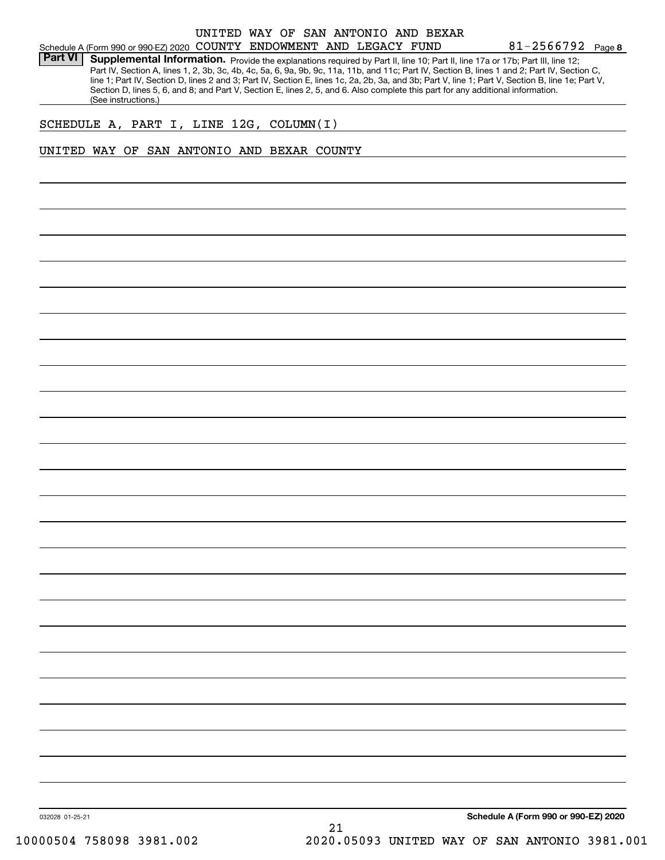#### Schedule A (Form 990 or 990-EZ) 2020 Page COUNTY ENDOWMENT AND LEGACY FUND UNITED WAY OF SAN ANTONIO AND BEXAR

**8**81-2566792

Part VI | Supplemental Information. Provide the explanations required by Part II, line 10; Part II, line 17a or 17b; Part III, line 12; Part IV, Section A, lines 1, 2, 3b, 3c, 4b, 4c, 5a, 6, 9a, 9b, 9c, 11a, 11b, and 11c; Part IV, Section B, lines 1 and 2; Part IV, Section C, line 1; Part IV, Section D, lines 2 and 3; Part IV, Section E, lines 1c, 2a, 2b, 3a, and 3b; Part V, line 1; Part V, Section B, line 1e; Part V, Section D, lines 5, 6, and 8; and Part V, Section E, lines 2, 5, and 6. Also complete this part for any additional information. (See instructions.)

#### SCHEDULE A, PART I, LINE 12G, COLUMN(I)

#### UNITED WAY OF SAN ANTONIO AND BEXAR COUNTY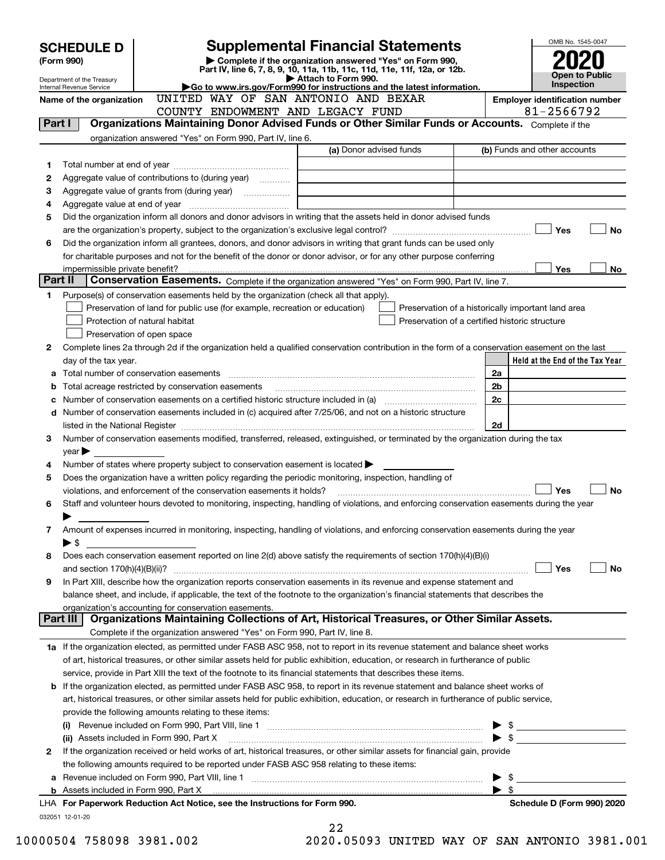|                                                                                                                                         | <b>SCHEDULE D</b>                                                                                                                                                                                                                                   |                                                                                                                                                                                                                  | <b>Supplemental Financial Statements</b>                               |                                                    |                          | OMB No. 1545-0047                     |           |  |
|-----------------------------------------------------------------------------------------------------------------------------------------|-----------------------------------------------------------------------------------------------------------------------------------------------------------------------------------------------------------------------------------------------------|------------------------------------------------------------------------------------------------------------------------------------------------------------------------------------------------------------------|------------------------------------------------------------------------|----------------------------------------------------|--------------------------|---------------------------------------|-----------|--|
|                                                                                                                                         | Complete if the organization answered "Yes" on Form 990,<br>(Form 990)<br>Part IV, line 6, 7, 8, 9, 10, 11a, 11b, 11c, 11d, 11e, 11f, 12a, or 12b.                                                                                                  |                                                                                                                                                                                                                  |                                                                        |                                                    |                          |                                       |           |  |
|                                                                                                                                         | Department of the Treasury                                                                                                                                                                                                                          |                                                                                                                                                                                                                  | Attach to Form 990.                                                    |                                                    |                          | Open to Public<br><b>Inspection</b>   |           |  |
|                                                                                                                                         | Internal Revenue Service<br>Name of the organization                                                                                                                                                                                                | UNITED WAY OF SAN ANTONIO AND BEXAR                                                                                                                                                                              | Go to www.irs.gov/Form990 for instructions and the latest information. |                                                    |                          | <b>Employer identification number</b> |           |  |
|                                                                                                                                         |                                                                                                                                                                                                                                                     | COUNTY ENDOWMENT AND LEGACY FUND                                                                                                                                                                                 |                                                                        |                                                    |                          | 81-2566792                            |           |  |
| Part I                                                                                                                                  |                                                                                                                                                                                                                                                     | Organizations Maintaining Donor Advised Funds or Other Similar Funds or Accounts. Complete if the                                                                                                                |                                                                        |                                                    |                          |                                       |           |  |
|                                                                                                                                         |                                                                                                                                                                                                                                                     | organization answered "Yes" on Form 990, Part IV, line 6.                                                                                                                                                        |                                                                        |                                                    |                          |                                       |           |  |
|                                                                                                                                         |                                                                                                                                                                                                                                                     |                                                                                                                                                                                                                  | (a) Donor advised funds                                                |                                                    |                          | (b) Funds and other accounts          |           |  |
| 1                                                                                                                                       |                                                                                                                                                                                                                                                     |                                                                                                                                                                                                                  |                                                                        |                                                    |                          |                                       |           |  |
| 2                                                                                                                                       |                                                                                                                                                                                                                                                     | Aggregate value of contributions to (during year)                                                                                                                                                                |                                                                        |                                                    |                          |                                       |           |  |
| з                                                                                                                                       |                                                                                                                                                                                                                                                     | Aggregate value of grants from (during year) <i>mimimimimial</i>                                                                                                                                                 |                                                                        |                                                    |                          |                                       |           |  |
| 4                                                                                                                                       |                                                                                                                                                                                                                                                     |                                                                                                                                                                                                                  |                                                                        |                                                    |                          |                                       |           |  |
| 5                                                                                                                                       |                                                                                                                                                                                                                                                     | Did the organization inform all donors and donor advisors in writing that the assets held in donor advised funds                                                                                                 |                                                                        |                                                    |                          | Yes                                   | No        |  |
| 6                                                                                                                                       |                                                                                                                                                                                                                                                     | Did the organization inform all grantees, donors, and donor advisors in writing that grant funds can be used only                                                                                                |                                                                        |                                                    |                          |                                       |           |  |
|                                                                                                                                         |                                                                                                                                                                                                                                                     | for charitable purposes and not for the benefit of the donor or donor advisor, or for any other purpose conferring                                                                                               |                                                                        |                                                    |                          |                                       |           |  |
|                                                                                                                                         | impermissible private benefit?                                                                                                                                                                                                                      |                                                                                                                                                                                                                  |                                                                        |                                                    |                          | <b>Yes</b>                            | No.       |  |
| Part II                                                                                                                                 |                                                                                                                                                                                                                                                     | <b>Conservation Easements.</b> Complete if the organization answered "Yes" on Form 990, Part IV, line 7.                                                                                                         |                                                                        |                                                    |                          |                                       |           |  |
| 1                                                                                                                                       |                                                                                                                                                                                                                                                     | Purpose(s) of conservation easements held by the organization (check all that apply).                                                                                                                            |                                                                        |                                                    |                          |                                       |           |  |
|                                                                                                                                         |                                                                                                                                                                                                                                                     | Preservation of land for public use (for example, recreation or education)                                                                                                                                       |                                                                        | Preservation of a historically important land area |                          |                                       |           |  |
|                                                                                                                                         |                                                                                                                                                                                                                                                     | Protection of natural habitat                                                                                                                                                                                    |                                                                        | Preservation of a certified historic structure     |                          |                                       |           |  |
|                                                                                                                                         |                                                                                                                                                                                                                                                     | Preservation of open space                                                                                                                                                                                       |                                                                        |                                                    |                          |                                       |           |  |
| 2                                                                                                                                       |                                                                                                                                                                                                                                                     | Complete lines 2a through 2d if the organization held a qualified conservation contribution in the form of a conservation easement on the last                                                                   |                                                                        |                                                    |                          |                                       |           |  |
|                                                                                                                                         | day of the tax year.                                                                                                                                                                                                                                |                                                                                                                                                                                                                  |                                                                        |                                                    | 2a                       | Held at the End of the Tax Year       |           |  |
| а                                                                                                                                       |                                                                                                                                                                                                                                                     |                                                                                                                                                                                                                  |                                                                        |                                                    | 2 <sub>b</sub>           |                                       |           |  |
| c                                                                                                                                       | Total acreage restricted by conservation easements<br>b<br>2c                                                                                                                                                                                       |                                                                                                                                                                                                                  |                                                                        |                                                    |                          |                                       |           |  |
|                                                                                                                                         |                                                                                                                                                                                                                                                     | d Number of conservation easements included in (c) acquired after 7/25/06, and not on a historic structure                                                                                                       |                                                                        |                                                    |                          |                                       |           |  |
|                                                                                                                                         |                                                                                                                                                                                                                                                     |                                                                                                                                                                                                                  |                                                                        |                                                    | 2d                       |                                       |           |  |
| 3                                                                                                                                       |                                                                                                                                                                                                                                                     | Number of conservation easements modified, transferred, released, extinguished, or terminated by the organization during the tax                                                                                 |                                                                        |                                                    |                          |                                       |           |  |
|                                                                                                                                         | $year \blacktriangleright$                                                                                                                                                                                                                          |                                                                                                                                                                                                                  |                                                                        |                                                    |                          |                                       |           |  |
| 4                                                                                                                                       |                                                                                                                                                                                                                                                     | Number of states where property subject to conservation easement is located $\blacktriangleright$                                                                                                                |                                                                        |                                                    |                          |                                       |           |  |
| 5                                                                                                                                       |                                                                                                                                                                                                                                                     | Does the organization have a written policy regarding the periodic monitoring, inspection, handling of                                                                                                           |                                                                        |                                                    |                          |                                       |           |  |
|                                                                                                                                         |                                                                                                                                                                                                                                                     | violations, and enforcement of the conservation easements it holds?<br>Staff and volunteer hours devoted to monitoring, inspecting, handling of violations, and enforcing conservation easements during the year |                                                                        |                                                    |                          | <b>Yes</b>                            | <b>No</b> |  |
| 6                                                                                                                                       |                                                                                                                                                                                                                                                     |                                                                                                                                                                                                                  |                                                                        |                                                    |                          |                                       |           |  |
| 7                                                                                                                                       |                                                                                                                                                                                                                                                     | Amount of expenses incurred in monitoring, inspecting, handling of violations, and enforcing conservation easements during the year                                                                              |                                                                        |                                                    |                          |                                       |           |  |
|                                                                                                                                         | ▶ \$                                                                                                                                                                                                                                                |                                                                                                                                                                                                                  |                                                                        |                                                    |                          |                                       |           |  |
| 8                                                                                                                                       |                                                                                                                                                                                                                                                     | Does each conservation easement reported on line 2(d) above satisfy the requirements of section 170(h)(4)(B)(i)                                                                                                  |                                                                        |                                                    |                          |                                       |           |  |
|                                                                                                                                         |                                                                                                                                                                                                                                                     |                                                                                                                                                                                                                  |                                                                        |                                                    |                          | Yes                                   | No        |  |
| 9                                                                                                                                       |                                                                                                                                                                                                                                                     | In Part XIII, describe how the organization reports conservation easements in its revenue and expense statement and                                                                                              |                                                                        |                                                    |                          |                                       |           |  |
|                                                                                                                                         |                                                                                                                                                                                                                                                     | balance sheet, and include, if applicable, the text of the footnote to the organization's financial statements that describes the                                                                                |                                                                        |                                                    |                          |                                       |           |  |
|                                                                                                                                         |                                                                                                                                                                                                                                                     | organization's accounting for conservation easements.<br>Organizations Maintaining Collections of Art, Historical Treasures, or Other Similar Assets.                                                            |                                                                        |                                                    |                          |                                       |           |  |
|                                                                                                                                         | Part III                                                                                                                                                                                                                                            |                                                                                                                                                                                                                  |                                                                        |                                                    |                          |                                       |           |  |
|                                                                                                                                         |                                                                                                                                                                                                                                                     | Complete if the organization answered "Yes" on Form 990, Part IV, line 8.<br>1a If the organization elected, as permitted under FASB ASC 958, not to report in its revenue statement and balance sheet works     |                                                                        |                                                    |                          |                                       |           |  |
|                                                                                                                                         |                                                                                                                                                                                                                                                     |                                                                                                                                                                                                                  |                                                                        |                                                    |                          |                                       |           |  |
|                                                                                                                                         | of art, historical treasures, or other similar assets held for public exhibition, education, or research in furtherance of public<br>service, provide in Part XIII the text of the footnote to its financial statements that describes these items. |                                                                                                                                                                                                                  |                                                                        |                                                    |                          |                                       |           |  |
|                                                                                                                                         | <b>b</b> If the organization elected, as permitted under FASB ASC 958, to report in its revenue statement and balance sheet works of                                                                                                                |                                                                                                                                                                                                                  |                                                                        |                                                    |                          |                                       |           |  |
| art, historical treasures, or other similar assets held for public exhibition, education, or research in furtherance of public service, |                                                                                                                                                                                                                                                     |                                                                                                                                                                                                                  |                                                                        |                                                    |                          |                                       |           |  |
|                                                                                                                                         |                                                                                                                                                                                                                                                     | provide the following amounts relating to these items:                                                                                                                                                           |                                                                        |                                                    |                          |                                       |           |  |
|                                                                                                                                         |                                                                                                                                                                                                                                                     |                                                                                                                                                                                                                  |                                                                        |                                                    | $\blacktriangleright$ \$ |                                       |           |  |
|                                                                                                                                         |                                                                                                                                                                                                                                                     | (ii) Assets included in Form 990, Part X                                                                                                                                                                         |                                                                        |                                                    | $\blacktriangleright$ \$ |                                       |           |  |
| 2                                                                                                                                       | If the organization received or held works of art, historical treasures, or other similar assets for financial gain, provide                                                                                                                        |                                                                                                                                                                                                                  |                                                                        |                                                    |                          |                                       |           |  |
|                                                                                                                                         |                                                                                                                                                                                                                                                     | the following amounts required to be reported under FASB ASC 958 relating to these items:                                                                                                                        |                                                                        |                                                    |                          |                                       |           |  |
|                                                                                                                                         |                                                                                                                                                                                                                                                     |                                                                                                                                                                                                                  |                                                                        |                                                    | - \$                     |                                       |           |  |
|                                                                                                                                         |                                                                                                                                                                                                                                                     | LHA For Paperwork Reduction Act Notice, see the Instructions for Form 990.                                                                                                                                       |                                                                        |                                                    | $\blacktriangleright$ \$ | Schedule D (Form 990) 2020            |           |  |
|                                                                                                                                         | 032051 12-01-20                                                                                                                                                                                                                                     |                                                                                                                                                                                                                  |                                                                        |                                                    |                          |                                       |           |  |
|                                                                                                                                         |                                                                                                                                                                                                                                                     |                                                                                                                                                                                                                  | 22                                                                     |                                                    |                          |                                       |           |  |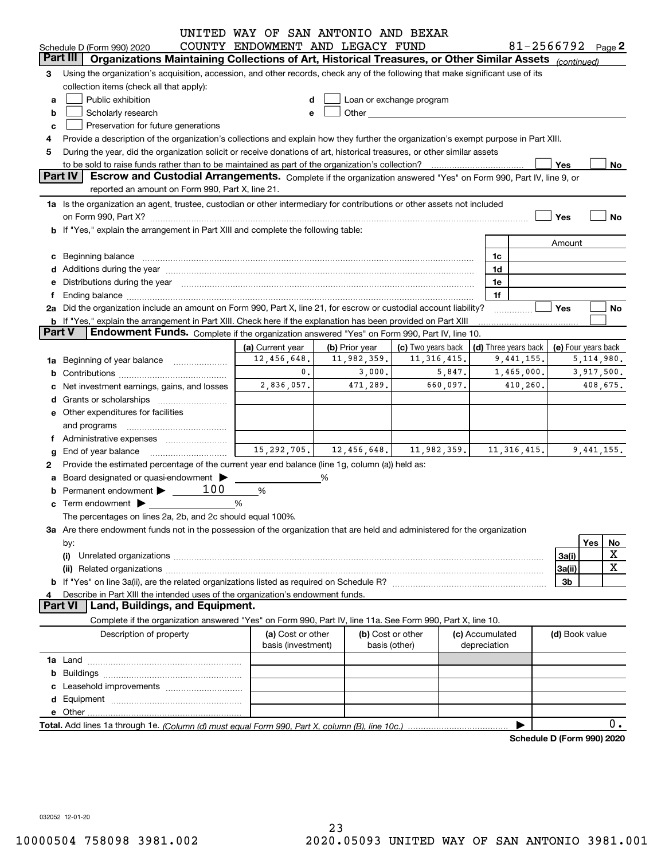|                |                                                                                                                                                                                                                                | UNITED WAY OF SAN ANTONIO AND BEXAR |                                                                                                                                                                                                                                 |                          |          |                 |                            |                     |     |            |
|----------------|--------------------------------------------------------------------------------------------------------------------------------------------------------------------------------------------------------------------------------|-------------------------------------|---------------------------------------------------------------------------------------------------------------------------------------------------------------------------------------------------------------------------------|--------------------------|----------|-----------------|----------------------------|---------------------|-----|------------|
|                | Schedule D (Form 990) 2020                                                                                                                                                                                                     | COUNTY ENDOWMENT AND LEGACY FUND    |                                                                                                                                                                                                                                 |                          |          |                 | 81-2566792 $_{Page}$ 2     |                     |     |            |
|                | Organizations Maintaining Collections of Art, Historical Treasures, or Other Similar Assets (continued)<br>Part III                                                                                                            |                                     |                                                                                                                                                                                                                                 |                          |          |                 |                            |                     |     |            |
| 3              | Using the organization's acquisition, accession, and other records, check any of the following that make significant use of its                                                                                                |                                     |                                                                                                                                                                                                                                 |                          |          |                 |                            |                     |     |            |
|                | collection items (check all that apply):                                                                                                                                                                                       |                                     |                                                                                                                                                                                                                                 |                          |          |                 |                            |                     |     |            |
| a              | Public exhibition                                                                                                                                                                                                              | d                                   |                                                                                                                                                                                                                                 | Loan or exchange program |          |                 |                            |                     |     |            |
| b              | Scholarly research                                                                                                                                                                                                             | е                                   | Other and the control of the control of the control of the control of the control of the control of the control of the control of the control of the control of the control of the control of the control of the control of the |                          |          |                 |                            |                     |     |            |
| c              | Preservation for future generations                                                                                                                                                                                            |                                     |                                                                                                                                                                                                                                 |                          |          |                 |                            |                     |     |            |
| 4              | Provide a description of the organization's collections and explain how they further the organization's exempt purpose in Part XIII.                                                                                           |                                     |                                                                                                                                                                                                                                 |                          |          |                 |                            |                     |     |            |
| 5              | During the year, did the organization solicit or receive donations of art, historical treasures, or other similar assets                                                                                                       |                                     |                                                                                                                                                                                                                                 |                          |          |                 |                            |                     |     |            |
|                |                                                                                                                                                                                                                                |                                     |                                                                                                                                                                                                                                 |                          |          |                 |                            | Yes                 |     | No         |
|                | <b>Part IV</b><br>Escrow and Custodial Arrangements. Complete if the organization answered "Yes" on Form 990, Part IV, line 9, or                                                                                              |                                     |                                                                                                                                                                                                                                 |                          |          |                 |                            |                     |     |            |
|                | reported an amount on Form 990, Part X, line 21.                                                                                                                                                                               |                                     |                                                                                                                                                                                                                                 |                          |          |                 |                            |                     |     |            |
|                | 1a Is the organization an agent, trustee, custodian or other intermediary for contributions or other assets not included                                                                                                       |                                     |                                                                                                                                                                                                                                 |                          |          |                 |                            |                     |     |            |
|                | on Form 990, Part X? [11] matter and the contract of the contract of the contract of the contract of the contract of the contract of the contract of the contract of the contract of the contract of the contract of the contr |                                     |                                                                                                                                                                                                                                 |                          |          |                 |                            | Yes                 |     | <b>No</b>  |
|                | b If "Yes," explain the arrangement in Part XIII and complete the following table:                                                                                                                                             |                                     |                                                                                                                                                                                                                                 |                          |          |                 |                            |                     |     |            |
|                |                                                                                                                                                                                                                                |                                     |                                                                                                                                                                                                                                 |                          |          |                 |                            | Amount              |     |            |
|                | c Beginning balance                                                                                                                                                                                                            |                                     |                                                                                                                                                                                                                                 |                          |          | 1c              |                            |                     |     |            |
|                |                                                                                                                                                                                                                                |                                     |                                                                                                                                                                                                                                 |                          |          | 1d              |                            |                     |     |            |
| е              | Distributions during the year manufactured and continuum and contact the year manufactured and the year manufactured and the year manufactured and the year manufactured and the year manufactured and the year manufactured a |                                     |                                                                                                                                                                                                                                 |                          |          | 1e              |                            |                     |     |            |
| f              |                                                                                                                                                                                                                                |                                     |                                                                                                                                                                                                                                 |                          |          | 1f              |                            |                     |     |            |
|                | 2a Did the organization include an amount on Form 990, Part X, line 21, for escrow or custodial account liability?                                                                                                             |                                     |                                                                                                                                                                                                                                 |                          |          |                 |                            | Yes                 |     | No         |
|                | b If "Yes," explain the arrangement in Part XIII. Check here if the explanation has been provided on Part XIII                                                                                                                 |                                     |                                                                                                                                                                                                                                 |                          |          |                 |                            |                     |     |            |
| <b>Part V</b>  | Endowment Funds. Complete if the organization answered "Yes" on Form 990, Part IV, line 10.                                                                                                                                    |                                     |                                                                                                                                                                                                                                 |                          |          |                 |                            |                     |     |            |
|                |                                                                                                                                                                                                                                | (a) Current year                    | (b) Prior year                                                                                                                                                                                                                  | (c) Two years back       |          |                 | (d) Three years back       | (e) Four years back |     |            |
|                | 1a Beginning of year balance                                                                                                                                                                                                   | 12,456,648.                         | 11,982,359.                                                                                                                                                                                                                     | 11, 316, 415.            |          |                 | 9,441,155.                 |                     |     | 5,114,980. |
| b              |                                                                                                                                                                                                                                | 0.                                  | 3,000.                                                                                                                                                                                                                          | 5,847.                   |          |                 | 1,465,000.                 |                     |     | 3,917,500. |
| с              | Net investment earnings, gains, and losses                                                                                                                                                                                     | 2,836,057.                          | 471,289.                                                                                                                                                                                                                        | 660,097.                 | 410,260. |                 |                            | 408,675.            |     |            |
| d              |                                                                                                                                                                                                                                |                                     |                                                                                                                                                                                                                                 |                          |          |                 |                            |                     |     |            |
|                | <b>e</b> Other expenditures for facilities                                                                                                                                                                                     |                                     |                                                                                                                                                                                                                                 |                          |          |                 |                            |                     |     |            |
|                |                                                                                                                                                                                                                                |                                     |                                                                                                                                                                                                                                 |                          |          |                 |                            |                     |     |            |
|                | and programs                                                                                                                                                                                                                   |                                     |                                                                                                                                                                                                                                 |                          |          |                 |                            |                     |     |            |
| Ť.             |                                                                                                                                                                                                                                | 15,292,705.                         | 12,456,648.                                                                                                                                                                                                                     | 11,982,359.              |          |                 | 11, 316, 415.              |                     |     | 9,441,155. |
| g              | End of year balance                                                                                                                                                                                                            |                                     |                                                                                                                                                                                                                                 |                          |          |                 |                            |                     |     |            |
| 2              | Provide the estimated percentage of the current year end balance (line 1g, column (a)) held as:                                                                                                                                |                                     |                                                                                                                                                                                                                                 |                          |          |                 |                            |                     |     |            |
|                | a Board designated or quasi-endowment ><br>100                                                                                                                                                                                 |                                     | %                                                                                                                                                                                                                               |                          |          |                 |                            |                     |     |            |
| b              | Permanent endowment >                                                                                                                                                                                                          | %                                   |                                                                                                                                                                                                                                 |                          |          |                 |                            |                     |     |            |
| c              |                                                                                                                                                                                                                                | %                                   |                                                                                                                                                                                                                                 |                          |          |                 |                            |                     |     |            |
|                | The percentages on lines 2a, 2b, and 2c should equal 100%.                                                                                                                                                                     |                                     |                                                                                                                                                                                                                                 |                          |          |                 |                            |                     |     |            |
|                | 3a Are there endowment funds not in the possession of the organization that are held and administered for the organization                                                                                                     |                                     |                                                                                                                                                                                                                                 |                          |          |                 |                            |                     |     |            |
|                | by:                                                                                                                                                                                                                            |                                     |                                                                                                                                                                                                                                 |                          |          |                 |                            |                     | Yes | No         |
|                | (i)                                                                                                                                                                                                                            |                                     |                                                                                                                                                                                                                                 |                          |          |                 |                            | 3a(i)               |     | X          |
|                |                                                                                                                                                                                                                                |                                     |                                                                                                                                                                                                                                 |                          |          |                 |                            | 3a(ii)              |     | X          |
|                |                                                                                                                                                                                                                                |                                     |                                                                                                                                                                                                                                 |                          |          |                 |                            | 3b                  |     |            |
| 4              | Describe in Part XIII the intended uses of the organization's endowment funds.                                                                                                                                                 |                                     |                                                                                                                                                                                                                                 |                          |          |                 |                            |                     |     |            |
| <b>Part VI</b> | Land, Buildings, and Equipment.                                                                                                                                                                                                |                                     |                                                                                                                                                                                                                                 |                          |          |                 |                            |                     |     |            |
|                | Complete if the organization answered "Yes" on Form 990, Part IV, line 11a. See Form 990, Part X, line 10.                                                                                                                     |                                     |                                                                                                                                                                                                                                 |                          |          |                 |                            |                     |     |            |
|                | Description of property                                                                                                                                                                                                        | (a) Cost or other                   |                                                                                                                                                                                                                                 | (b) Cost or other        |          | (c) Accumulated |                            | (d) Book value      |     |            |
|                |                                                                                                                                                                                                                                | basis (investment)                  |                                                                                                                                                                                                                                 | basis (other)            |          | depreciation    |                            |                     |     |            |
|                |                                                                                                                                                                                                                                |                                     |                                                                                                                                                                                                                                 |                          |          |                 |                            |                     |     |            |
|                |                                                                                                                                                                                                                                |                                     |                                                                                                                                                                                                                                 |                          |          |                 |                            |                     |     |            |
|                |                                                                                                                                                                                                                                |                                     |                                                                                                                                                                                                                                 |                          |          |                 |                            |                     |     |            |
|                |                                                                                                                                                                                                                                |                                     |                                                                                                                                                                                                                                 |                          |          |                 |                            |                     |     |            |
|                |                                                                                                                                                                                                                                |                                     |                                                                                                                                                                                                                                 |                          |          |                 |                            |                     |     |            |
|                |                                                                                                                                                                                                                                |                                     |                                                                                                                                                                                                                                 |                          |          |                 |                            |                     |     | 0.         |
|                |                                                                                                                                                                                                                                |                                     |                                                                                                                                                                                                                                 |                          |          |                 | Schedule D (Form 990) 2020 |                     |     |            |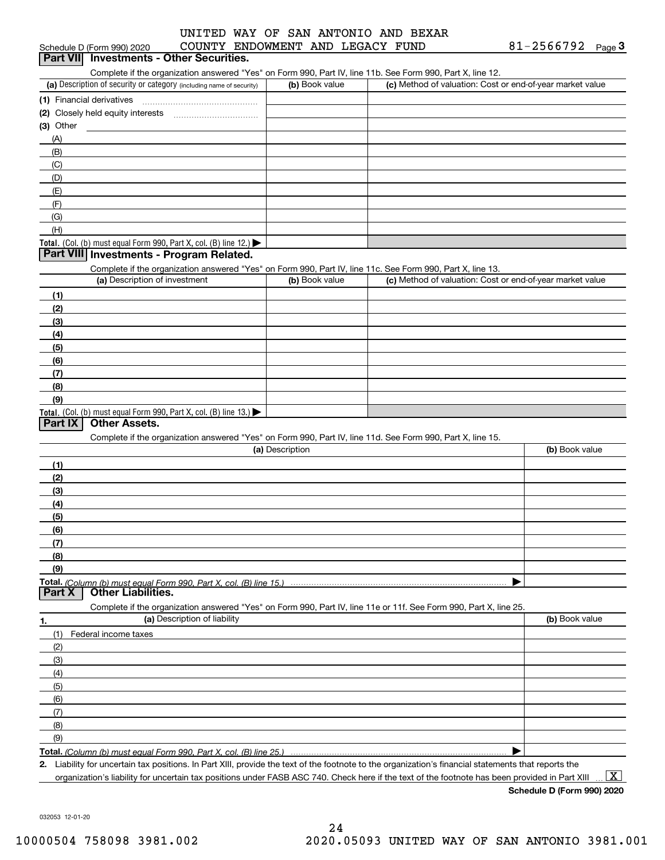## Schedule D (Form 990) 2020 COUNTY ENDOWMENT AND LEGACY FUND 8 1-2 5 6 6 7 9 2 <sub>Page</sub> 3<br>| **Part VII** | Investments - Other Securities. UNITED WAY OF SAN ANTONIO AND BEXAR

Complete if the organization answered "Yes" on Form 990, Part IV, line 11b. See Form 990, Part X, line 12.

| (a) Description of security or category (including name of security)                          | (b) Book value | (c) Method of valuation: Cost or end-of-year market value |
|-----------------------------------------------------------------------------------------------|----------------|-----------------------------------------------------------|
| (1) Financial derivatives                                                                     |                |                                                           |
| (2) Closely held equity interests                                                             |                |                                                           |
| $(3)$ Other                                                                                   |                |                                                           |
| (A)                                                                                           |                |                                                           |
| (B)                                                                                           |                |                                                           |
| (C)                                                                                           |                |                                                           |
| (D)                                                                                           |                |                                                           |
| (E)                                                                                           |                |                                                           |
| (F)                                                                                           |                |                                                           |
| (G)                                                                                           |                |                                                           |
| (H)                                                                                           |                |                                                           |
| <b>Total.</b> (Col. (b) must equal Form 990, Part X, col. (B) line 12.) $\blacktriangleright$ |                |                                                           |

#### **Part VIII Investments - Program Related.**

Complete if the organization answered "Yes" on Form 990, Part IV, line 11c. See Form 990, Part X, line 13.

| (a) Description of investment                                    | (b) Book value | (c) Method of valuation: Cost or end-of-year market value |
|------------------------------------------------------------------|----------------|-----------------------------------------------------------|
| (1)                                                              |                |                                                           |
| (2)                                                              |                |                                                           |
| $\frac{1}{2}$                                                    |                |                                                           |
| (4)                                                              |                |                                                           |
| $\frac{1}{2}$                                                    |                |                                                           |
| (6)                                                              |                |                                                           |
| $\sqrt{(7)}$                                                     |                |                                                           |
| (8)                                                              |                |                                                           |
| (9)                                                              |                |                                                           |
| Total. (Col. (b) must equal Form 990, Part X, col. (B) line 13.) |                |                                                           |

#### **Part IX Other Assets.**

Complete if the organization answered "Yes" on Form 990, Part IV, line 11d. See Form 990, Part X, line 15.

| (a) Description                                                                                                   | (b) Book value |
|-------------------------------------------------------------------------------------------------------------------|----------------|
| (1)                                                                                                               |                |
| (2)                                                                                                               |                |
| (3)                                                                                                               |                |
| (4)                                                                                                               |                |
| (5)                                                                                                               |                |
| (6)                                                                                                               |                |
| (7)                                                                                                               |                |
| (8)                                                                                                               |                |
| (9)                                                                                                               |                |
|                                                                                                                   |                |
| <b>Part X</b> Other Liabilities.                                                                                  |                |
| Complete if the organization answered "Yes" on Form 990, Part IV, line 11e or 11f. See Form 990, Part X, line 25. |                |

| 1.  | (a) Description of liability | (b) Book value |
|-----|------------------------------|----------------|
|     | (1) Federal income taxes     |                |
| (2) |                              |                |
| (3) |                              |                |
| (4) |                              |                |
| (5) |                              |                |
| (6) |                              |                |
| (7) |                              |                |
| (8) |                              |                |
| (9) |                              |                |
|     |                              |                |

*(Column (b) must equal Form 990, Part X, col. (B) line 25.)* 

**2.**Liability for uncertain tax positions. In Part XIII, provide the text of the footnote to the organization's financial statements that reports the organization's liability for uncertain tax positions under FASB ASC 740. Check here if the text of the footnote has been provided in Part XIII

 $\boxed{\text{X}}$ 

**Schedule D (Form 990) 2020**

032053 12-01-20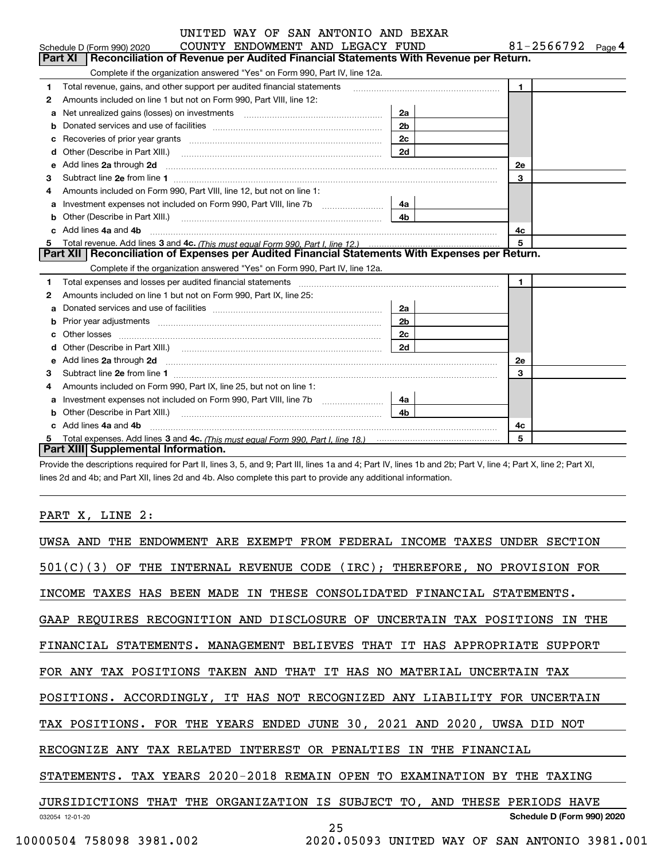|   | UNITED WAY OF SAN ANTONIO AND BEXAR                                                                                                                                                                                                 |                        |                |
|---|-------------------------------------------------------------------------------------------------------------------------------------------------------------------------------------------------------------------------------------|------------------------|----------------|
|   | COUNTY ENDOWMENT AND LEGACY FUND<br>Schedule D (Form 990) 2020                                                                                                                                                                      | 81-2566792 $_{Page}$ 4 |                |
|   | <b>Part XI</b><br>Reconciliation of Revenue per Audited Financial Statements With Revenue per Return.                                                                                                                               |                        |                |
|   | Complete if the organization answered "Yes" on Form 990, Part IV, line 12a.                                                                                                                                                         |                        |                |
| 1 | Total revenue, gains, and other support per audited financial statements                                                                                                                                                            |                        | $\blacksquare$ |
| 2 | Amounts included on line 1 but not on Form 990, Part VIII, line 12:                                                                                                                                                                 |                        |                |
| a | Net unrealized gains (losses) on investments [11] matter contracts and the unrealized gains (losses) on investments                                                                                                                 | 2a                     |                |
| b |                                                                                                                                                                                                                                     | 2 <sub>b</sub>         |                |
| c | Recoveries of prior year grants [11] matter contracts and prior year grants [11] matter contracts and prior year grants and prior year of the contracts and prior year of the contracts and prior year of the contracts and pr      | 2c                     |                |
| d | Other (Describe in Part XIII.) <b>Construction Contract Construction</b> Chemical Construction Chemical Chemical Chemical Chemical Chemical Chemical Chemical Chemical Chemical Chemical Chemical Chemical Chemical Chemical Chemic | 2d                     |                |
| е | Add lines 2a through 2d                                                                                                                                                                                                             |                        | <b>2e</b>      |
| 3 |                                                                                                                                                                                                                                     |                        | 3              |
| 4 | Amounts included on Form 990, Part VIII, line 12, but not on line 1:                                                                                                                                                                |                        |                |
| a | Investment expenses not included on Form 990, Part VIII, line 7b                                                                                                                                                                    | 4a                     |                |
|   |                                                                                                                                                                                                                                     |                        |                |
|   | c Add lines 4a and 4b                                                                                                                                                                                                               | 4c                     |                |
|   |                                                                                                                                                                                                                                     |                        | 5              |
|   | Part XII   Reconciliation of Expenses per Audited Financial Statements With Expenses per Return.                                                                                                                                    |                        |                |
|   | Complete if the organization answered "Yes" on Form 990, Part IV, line 12a.                                                                                                                                                         |                        |                |
| 1 |                                                                                                                                                                                                                                     |                        | $\mathbf{1}$   |
| 2 | Amounts included on line 1 but not on Form 990, Part IX, line 25:                                                                                                                                                                   |                        |                |
|   |                                                                                                                                                                                                                                     | 2a                     |                |
| b |                                                                                                                                                                                                                                     | 2 <sub>b</sub>         |                |
| c |                                                                                                                                                                                                                                     | 2c                     |                |
| d |                                                                                                                                                                                                                                     |                        |                |
|   |                                                                                                                                                                                                                                     |                        | 2e             |
| з |                                                                                                                                                                                                                                     |                        | 3              |
| 4 | Amounts included on Form 990, Part IX, line 25, but not on line 1:                                                                                                                                                                  |                        |                |
|   | Investment expenses not included on Form 990, Part VIII, line 7b [100] [100] [100] [100] [100] [100] [100] [10                                                                                                                      | 4a                     |                |
| b | Other (Describe in Part XIII.)                                                                                                                                                                                                      | 4 <sub>b</sub>         |                |
|   | c Add lines 4a and 4b                                                                                                                                                                                                               |                        | 4с             |
|   |                                                                                                                                                                                                                                     |                        | 5              |
|   | Part XIII Supplemental Information.                                                                                                                                                                                                 |                        |                |

Provide the descriptions required for Part II, lines 3, 5, and 9; Part III, lines 1a and 4; Part IV, lines 1b and 2b; Part V, line 4; Part X, line 2; Part XI, lines 2d and 4b; and Part XII, lines 2d and 4b. Also complete this part to provide any additional information.

#### PART X, LINE 2:

| ENDOWMENT ARE EXEMPT FROM FEDERAL INCOME TAXES UNDER SECTION<br>UWSA AND THE  |
|-------------------------------------------------------------------------------|
| 501(C)(3)<br>OF THE INTERNAL REVENUE CODE (IRC); THEREFORE, NO PROVISION FOR  |
| INCOME TAXES HAS BEEN MADE IN THESE CONSOLIDATED FINANCIAL STATEMENTS.        |
| GAAP REQUIRES RECOGNITION AND DISCLOSURE OF UNCERTAIN TAX POSITIONS<br>IN THE |
| FINANCIAL STATEMENTS. MANAGEMENT BELIEVES THAT IT HAS APPROPRIATE SUPPORT     |
| FOR ANY TAX POSITIONS TAKEN AND THAT IT HAS NO MATERIAL UNCERTAIN TAX         |
| POSITIONS. ACCORDINGLY, IT HAS NOT RECOGNIZED ANY LIABILITY FOR UNCERTAIN     |
| TAX POSITIONS. FOR THE YEARS ENDED JUNE 30, 2021 AND 2020, UWSA DID NOT       |
| RECOGNIZE ANY TAX RELATED INTEREST OR PENALTIES<br>IN THE FINANCIAL           |
| STATEMENTS. TAX YEARS 2020-2018 REMAIN OPEN TO EXAMINATION<br>BY THE TAXING   |
| JURSIDICTIONS THAT THE ORGANIZATION IS SUBJECT TO, AND THESE<br>PERIODS HAVE  |
| Schedule D (Form 990) 2020<br>032054 12-01-20<br>25                           |
| 10000504 758098 3981.002<br>2020.05093 UNITED WAY OF SAN ANTONIO 3981.001     |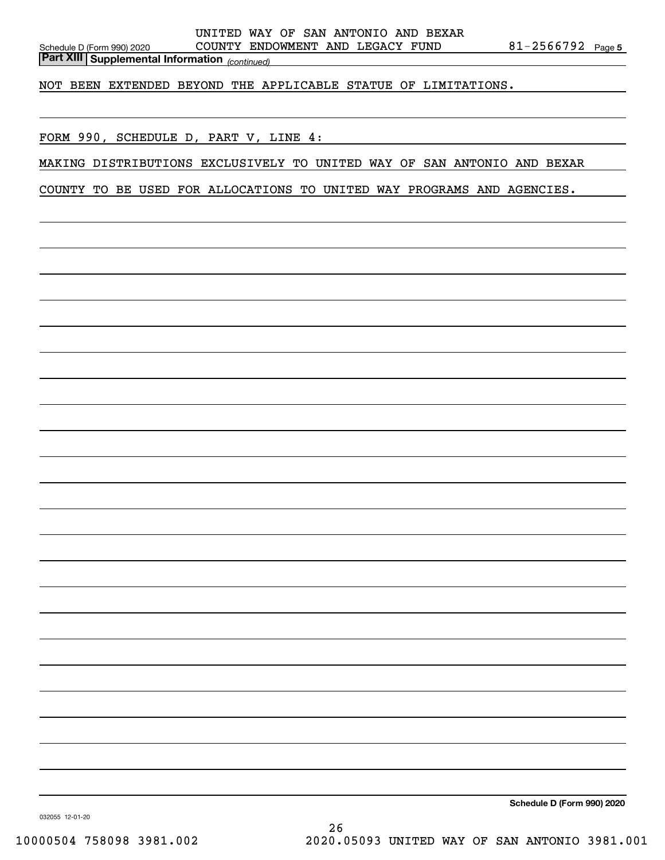*(continued)* **Part XIII Supplemental Information** 

NOT BEEN EXTENDED BEYOND THE APPLICABLE STATUE OF LIMITATIONS.

FORM 990, SCHEDULE D, PART V, LINE 4:

MAKING DISTRIBUTIONS EXCLUSIVELY TO UNITED WAY OF SAN ANTONIO AND BEXAR

COUNTY TO BE USED FOR ALLOCATIONS TO UNITED WAY PROGRAMS AND AGENCIES.

**Schedule D (Form 990) 2020**

032055 12-01-20

26 10000504 758098 3981.002 2020.05093 UNITED WAY OF SAN ANTONIO 3981.001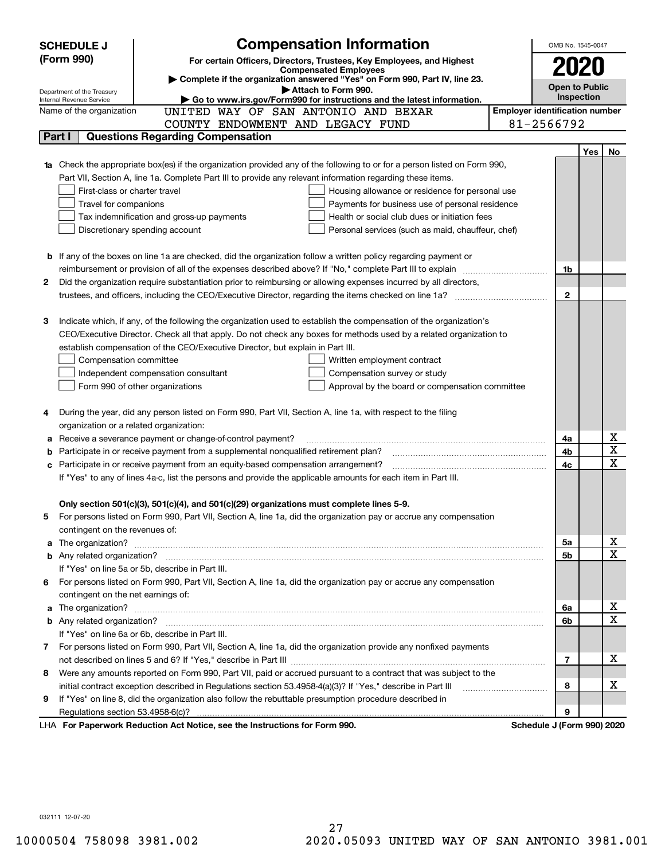|        | <b>Compensation Information</b><br><b>SCHEDULE J</b>                                                                             |                                       | OMB No. 1545-0047          |            |                         |  |  |
|--------|----------------------------------------------------------------------------------------------------------------------------------|---------------------------------------|----------------------------|------------|-------------------------|--|--|
|        | (Form 990)<br>For certain Officers, Directors, Trustees, Key Employees, and Highest                                              |                                       |                            |            |                         |  |  |
|        | <b>Compensated Employees</b>                                                                                                     |                                       | 2020                       |            |                         |  |  |
|        | Complete if the organization answered "Yes" on Form 990, Part IV, line 23.<br>Attach to Form 990.                                |                                       | <b>Open to Public</b>      |            |                         |  |  |
|        | Department of the Treasury<br>Go to www.irs.gov/Form990 for instructions and the latest information.<br>Internal Revenue Service |                                       | Inspection                 |            |                         |  |  |
|        | Name of the organization<br>UNITED WAY OF SAN ANTONIO AND BEXAR                                                                  | <b>Employer identification number</b> |                            |            |                         |  |  |
|        | COUNTY ENDOWMENT AND LEGACY FUND                                                                                                 |                                       | 81-2566792                 |            |                         |  |  |
|        | <b>Questions Regarding Compensation</b><br>Part I                                                                                |                                       |                            |            |                         |  |  |
|        |                                                                                                                                  |                                       |                            | <b>Yes</b> | No                      |  |  |
|        | <b>1a</b> Check the appropriate box(es) if the organization provided any of the following to or for a person listed on Form 990, |                                       |                            |            |                         |  |  |
|        | Part VII, Section A, line 1a. Complete Part III to provide any relevant information regarding these items.                       |                                       |                            |            |                         |  |  |
|        | First-class or charter travel<br>Housing allowance or residence for personal use                                                 |                                       |                            |            |                         |  |  |
|        | Payments for business use of personal residence<br>Travel for companions                                                         |                                       |                            |            |                         |  |  |
|        | Health or social club dues or initiation fees<br>Tax indemnification and gross-up payments                                       |                                       |                            |            |                         |  |  |
|        | Discretionary spending account<br>Personal services (such as maid, chauffeur, chef)                                              |                                       |                            |            |                         |  |  |
|        |                                                                                                                                  |                                       |                            |            |                         |  |  |
|        | <b>b</b> If any of the boxes on line 1a are checked, did the organization follow a written policy regarding payment or           |                                       |                            |            |                         |  |  |
|        | reimbursement or provision of all of the expenses described above? If "No," complete Part III to explain                         |                                       | 1b                         |            |                         |  |  |
| 2      | Did the organization require substantiation prior to reimbursing or allowing expenses incurred by all directors,                 |                                       |                            |            |                         |  |  |
|        |                                                                                                                                  |                                       | $\mathbf{2}$               |            |                         |  |  |
|        |                                                                                                                                  |                                       |                            |            |                         |  |  |
| З      | Indicate which, if any, of the following the organization used to establish the compensation of the organization's               |                                       |                            |            |                         |  |  |
|        | CEO/Executive Director. Check all that apply. Do not check any boxes for methods used by a related organization to               |                                       |                            |            |                         |  |  |
|        | establish compensation of the CEO/Executive Director, but explain in Part III.                                                   |                                       |                            |            |                         |  |  |
|        | Compensation committee<br>Written employment contract                                                                            |                                       |                            |            |                         |  |  |
|        | Compensation survey or study<br>Independent compensation consultant                                                              |                                       |                            |            |                         |  |  |
|        | Form 990 of other organizations<br>Approval by the board or compensation committee                                               |                                       |                            |            |                         |  |  |
|        |                                                                                                                                  |                                       |                            |            |                         |  |  |
|        | During the year, did any person listed on Form 990, Part VII, Section A, line 1a, with respect to the filing                     |                                       |                            |            |                         |  |  |
|        | organization or a related organization:<br>Receive a severance payment or change-of-control payment?                             |                                       | 4a                         |            | х                       |  |  |
| а<br>b | Participate in or receive payment from a supplemental nonqualified retirement plan?                                              |                                       | 4b                         |            | $\overline{\mathbf{x}}$ |  |  |
| c      | Participate in or receive payment from an equity-based compensation arrangement?                                                 |                                       | 4с                         |            | $\overline{\mathbf{x}}$ |  |  |
|        | If "Yes" to any of lines 4a-c, list the persons and provide the applicable amounts for each item in Part III.                    |                                       |                            |            |                         |  |  |
|        |                                                                                                                                  |                                       |                            |            |                         |  |  |
|        | Only section 501(c)(3), 501(c)(4), and 501(c)(29) organizations must complete lines 5-9.                                         |                                       |                            |            |                         |  |  |
|        | For persons listed on Form 990, Part VII, Section A, line 1a, did the organization pay or accrue any compensation                |                                       |                            |            |                         |  |  |
|        | contingent on the revenues of:                                                                                                   |                                       |                            |            |                         |  |  |
|        | a The organization? <b>Entitation</b> and the organization?                                                                      |                                       | 5a                         |            | x                       |  |  |
|        |                                                                                                                                  |                                       | 5b                         |            | $\mathbf x$             |  |  |
|        | If "Yes" on line 5a or 5b, describe in Part III.                                                                                 |                                       |                            |            |                         |  |  |
| 6.     | For persons listed on Form 990, Part VII, Section A, line 1a, did the organization pay or accrue any compensation                |                                       |                            |            |                         |  |  |
|        | contingent on the net earnings of:                                                                                               |                                       |                            |            |                         |  |  |
| a      |                                                                                                                                  |                                       | 6a                         |            | х                       |  |  |
|        |                                                                                                                                  |                                       | 6b                         |            | $\mathbf x$             |  |  |
|        | If "Yes" on line 6a or 6b, describe in Part III.                                                                                 |                                       |                            |            |                         |  |  |
|        | 7 For persons listed on Form 990, Part VII, Section A, line 1a, did the organization provide any nonfixed payments               |                                       |                            |            |                         |  |  |
|        |                                                                                                                                  |                                       | 7                          |            | х                       |  |  |
| 8      | Were any amounts reported on Form 990, Part VII, paid or accrued pursuant to a contract that was subject to the                  |                                       |                            |            |                         |  |  |
|        | initial contract exception described in Regulations section 53.4958-4(a)(3)? If "Yes," describe in Part III                      |                                       | 8                          |            | х                       |  |  |
| 9      | If "Yes" on line 8, did the organization also follow the rebuttable presumption procedure described in                           |                                       |                            |            |                         |  |  |
|        | Regulations section 53.4958-6(c)?                                                                                                |                                       | 9                          |            |                         |  |  |
|        | LHA For Paperwork Reduction Act Notice, see the Instructions for Form 990.                                                       |                                       | Schedule J (Form 990) 2020 |            |                         |  |  |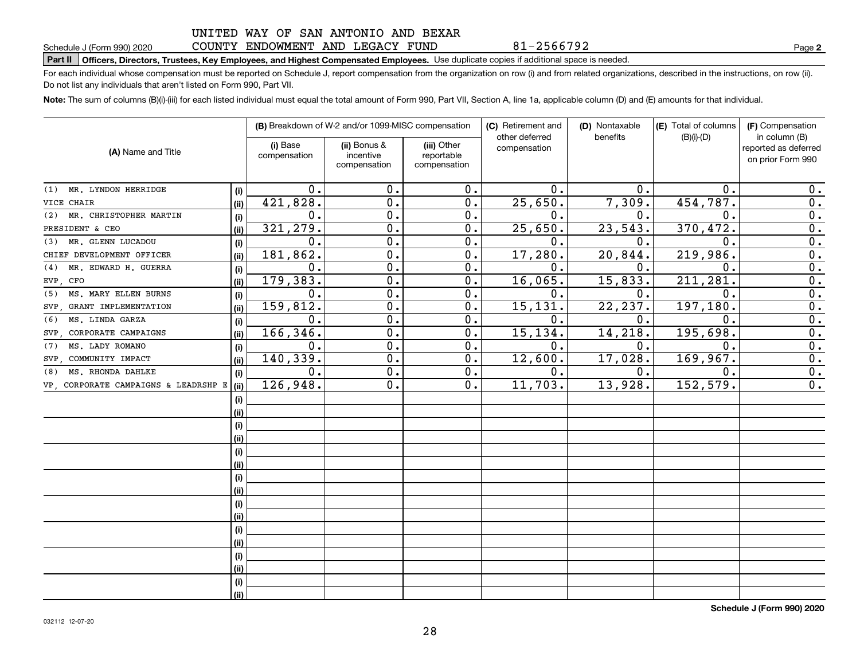#### COUNTY ENDOWMENT AND LEGACY FUND

81-2566792

**2**

# **Part II Officers, Directors, Trustees, Key Employees, and Highest Compensated Employees.**  Schedule J (Form 990) 2020 Page Use duplicate copies if additional space is needed.

For each individual whose compensation must be reported on Schedule J, report compensation from the organization on row (i) and from related organizations, described in the instructions, on row (ii). Do not list any individuals that aren't listed on Form 990, Part VII.

**Note:**  The sum of columns (B)(i)-(iii) for each listed individual must equal the total amount of Form 990, Part VII, Section A, line 1a, applicable column (D) and (E) amounts for that individual.

| (A) Name and Title                   |      | (B) Breakdown of W-2 and/or 1099-MISC compensation |                                           |                                           | (C) Retirement and<br>other deferred | (D) Nontaxable<br>benefits | (E) Total of columns<br>$(B)(i)-(D)$ | (F) Compensation<br>in column (B)         |
|--------------------------------------|------|----------------------------------------------------|-------------------------------------------|-------------------------------------------|--------------------------------------|----------------------------|--------------------------------------|-------------------------------------------|
|                                      |      | (i) Base<br>compensation                           | (ii) Bonus &<br>incentive<br>compensation | (iii) Other<br>reportable<br>compensation | compensation                         |                            |                                      | reported as deferred<br>on prior Form 990 |
|                                      |      |                                                    |                                           |                                           |                                      |                            |                                      |                                           |
| MR. LYNDON HERRIDGE<br>(1)           | (i)  | 0.                                                 | 0.                                        | 0.                                        | $\mathbf 0$ .                        | 0.                         | $\mathbf 0$ .                        | 0.                                        |
| VICE CHAIR                           | (ii) | 421,828.                                           | 0.                                        | 0.                                        | 25,650.                              | 7,309.                     | 454,787.                             | 0.                                        |
| MR. CHRISTOPHER MARTIN<br>(2)        | (i)  | 0.                                                 | 0.                                        | 0.                                        | 0.                                   | $\mathbf 0$ .              | $\mathbf 0$ .                        | 0.                                        |
| PRESIDENT & CEO                      | (ii) | 321, 279.                                          | 0.                                        | 0.                                        | 25,650.                              | 23,543.                    | 370, 472.                            | 0.                                        |
| MR. GLENN LUCADOU<br>(3)             | (i)  | 0.                                                 | $\overline{0}$ .                          | 0.                                        | $\mathbf{0}$ .                       | 0.                         | $\mathbf 0$ .                        | $\overline{0}$ .                          |
| CHIEF DEVELOPMENT OFFICER            | (ii) | 181,862.                                           | $\mathbf 0$ .                             | 0.                                        | 17,280.                              | 20,844.                    | 219,986.                             | $\overline{0}$ .                          |
| MR. EDWARD H. GUERRA<br>(4)          | (i)  | 0.                                                 | $\mathbf 0$ .                             | 0.                                        | 0.                                   | 0.                         | $\mathbf{0}$                         | $\overline{0}$ .                          |
| EVP, CFO                             | (ii) | 179,383.                                           | $\mathbf 0$ .                             | 0.                                        | 16,065.                              | 15,833.                    | 211,281                              | $\overline{0}$ .                          |
| MS. MARY ELLEN BURNS<br>(5)          | (i)  | 0.                                                 | $\mathbf 0$ .                             | 0.                                        | 0.                                   | 0.                         | $\mathbf{0}$                         | $\overline{0}$ .                          |
| SVP, GRANT IMPLEMENTATION            | (ii) | 159,812.                                           | $\mathbf 0$ .                             | 0.                                        | 15, 131.                             | 22, 237.                   | 197,180                              | $\overline{0}$ .                          |
| MS. LINDA GARZA<br>(6)               | (i)  | 0.                                                 | $\mathbf 0$ .                             | 0.                                        | $\mathbf 0$ .                        | $\mathbf 0$ .              | $\mathbf 0$                          | $\overline{0}$ .                          |
| SVP, CORPORATE CAMPAIGNS             | (ii) | 166,346.                                           | $\mathbf 0$ .                             | 0.                                        | 15, 134.                             | 14,218.                    | 195,698.                             | $\mathbf 0$ .                             |
| MS. LADY ROMANO<br>(7)               | (i)  | 0.                                                 | $\mathbf 0$ .                             | 0.                                        | 0.                                   | 0.                         | $\mathbf 0$ .                        | 0.                                        |
| SVP COMMUNITY IMPACT                 | (ii) | 140,339.                                           | $\mathbf 0$ .                             | 0.                                        | 12,600.                              | 17,028.                    | 169, 967.                            | 0.                                        |
| MS. RHONDA DAHLKE<br>(8)             | (i)  | $\overline{0}$ .                                   | $\overline{0}$ .                          | 0.                                        | $\overline{0}$ .                     | 0.                         | 0.                                   | $\overline{0}$ .                          |
| VP, CORPORATE CAMPAIGNS & LEADRSHP E | (ii) | 126,948.                                           | $\overline{0}$ .                          | 0.                                        | 11,703.                              | 13,928.                    | 152, 579.                            | $\overline{0}$ .                          |
|                                      | (i)  |                                                    |                                           |                                           |                                      |                            |                                      |                                           |
|                                      | (ii) |                                                    |                                           |                                           |                                      |                            |                                      |                                           |
|                                      | (i)  |                                                    |                                           |                                           |                                      |                            |                                      |                                           |
|                                      | (ii) |                                                    |                                           |                                           |                                      |                            |                                      |                                           |
|                                      | (i)  |                                                    |                                           |                                           |                                      |                            |                                      |                                           |
|                                      | (ii) |                                                    |                                           |                                           |                                      |                            |                                      |                                           |
|                                      | (i)  |                                                    |                                           |                                           |                                      |                            |                                      |                                           |
|                                      | (ii) |                                                    |                                           |                                           |                                      |                            |                                      |                                           |
|                                      | (i)  |                                                    |                                           |                                           |                                      |                            |                                      |                                           |
|                                      | (ii) |                                                    |                                           |                                           |                                      |                            |                                      |                                           |
|                                      | (i)  |                                                    |                                           |                                           |                                      |                            |                                      |                                           |
|                                      | (ii) |                                                    |                                           |                                           |                                      |                            |                                      |                                           |
|                                      | (i)  |                                                    |                                           |                                           |                                      |                            |                                      |                                           |
|                                      | (ii) |                                                    |                                           |                                           |                                      |                            |                                      |                                           |
|                                      | (i)  |                                                    |                                           |                                           |                                      |                            |                                      |                                           |
|                                      | (ii) |                                                    |                                           |                                           |                                      |                            |                                      |                                           |

**Schedule J (Form 990) 2020**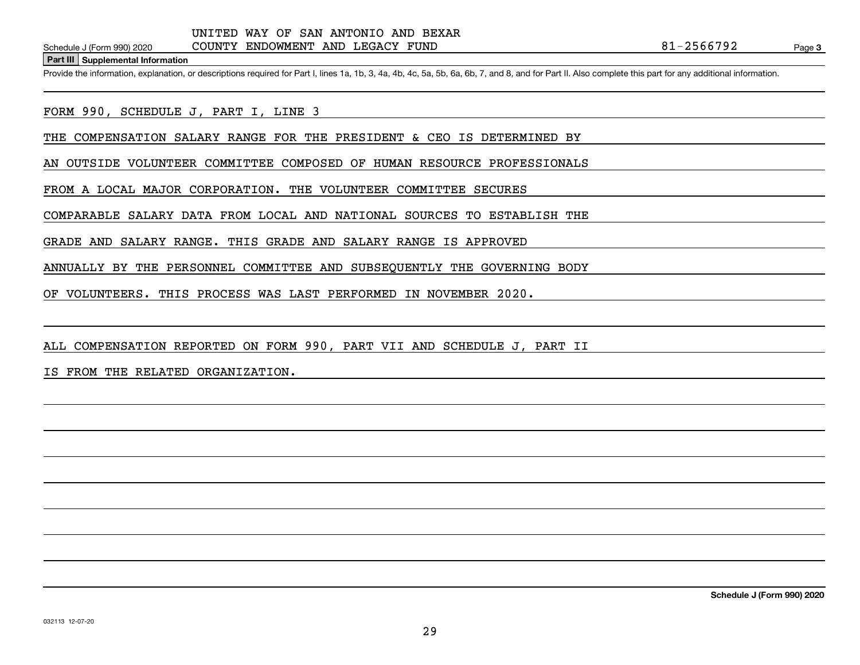**Part III Supplemental Information**

Schedule J (Form 990) 2020 COUNTY ENDOWMENT AND LEGACY FUND<br>Part III Supplemental Information<br>Provide the information, explanation, or descriptions required for Part I, lines 1a, 1b, 3, 4a, 4b, 4c, 5a, 5b, 6a, 6b, 7, and 8

FORM 990, SCHEDULE J, PART I, LINE 3

THE COMPENSATION SALARY RANGE FOR THE PRESIDENT & CEO IS DETERMINED BY

AN OUTSIDE VOLUNTEER COMMITTEE COMPOSED OF HUMAN RESOURCE PROFESSIONALS

FROM A LOCAL MAJOR CORPORATION. THE VOLUNTEER COMMITTEE SECURES

COMPARABLE SALARY DATA FROM LOCAL AND NATIONAL SOURCES TO ESTABLISH THE

GRADE AND SALARY RANGE. THIS GRADE AND SALARY RANGE IS APPROVED

ANNUALLY BY THE PERSONNEL COMMITTEE AND SUBSEQUENTLY THE GOVERNING BODY

OF VOLUNTEERS. THIS PROCESS WAS LAST PERFORMED IN NOVEMBER 2020.

ALL COMPENSATION REPORTED ON FORM 990, PART VII AND SCHEDULE J, PART II

IS FROM THE RELATED ORGANIZATION.

**Schedule J (Form 990) 2020**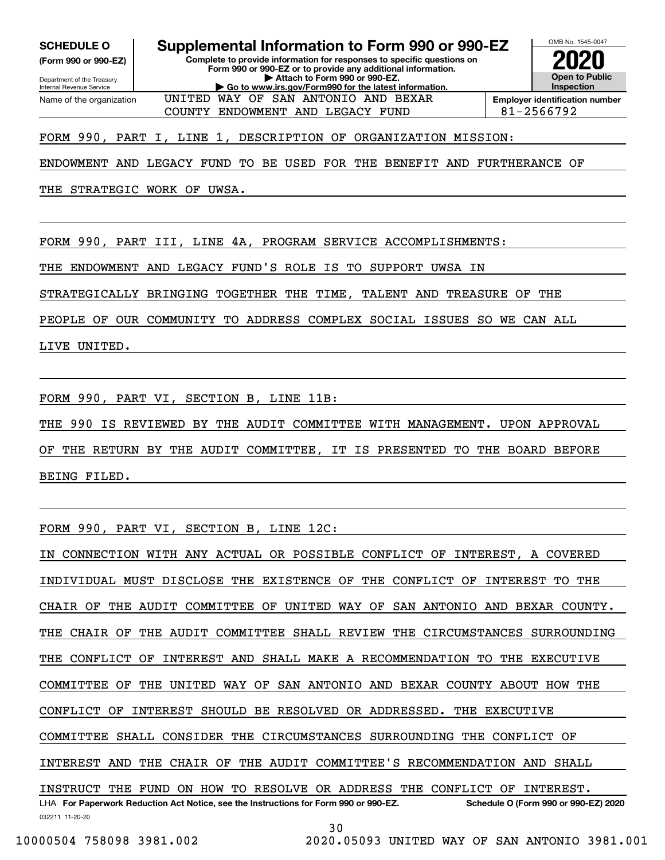Internal Revenue Service

Department of the Treasury **(Form 990 or 990-EZ)**

Name of the organization

**SCHEDULE O Supplemental Information to Form 990 or 990-EZ**

**Complete to provide information for responses to specific questions on Form 990 or 990-EZ or to provide any additional information. | Attach to Form 990 or 990-EZ. | Go to www.irs.gov/Form990 for the latest information.**

UNITED WAY OF SAN ANTONIO AND BEXAR



COUNTY ENDOWMENT AND LEGACY FUND  $\begin{array}{|l|}\n\hline\n\end{array}$  81-2566792

FORM 990, PART I, LINE 1, DESCRIPTION OF ORGANIZATION MISSION:

ENDOWMENT AND LEGACY FUND TO BE USED FOR THE BENEFIT AND FURTHERANCE OF

THE STRATEGIC WORK OF UWSA.

FORM 990, PART III, LINE 4A, PROGRAM SERVICE ACCOMPLISHMENTS:

THE ENDOWMENT AND LEGACY FUND'S ROLE IS TO SUPPORT UWSA IN

STRATEGICALLY BRINGING TOGETHER THE TIME, TALENT AND TREASURE OF THE

PEOPLE OF OUR COMMUNITY TO ADDRESS COMPLEX SOCIAL ISSUES SO WE CAN ALL

LIVE UNITED.

FORM 990, PART VI, SECTION B, LINE 11B:

THE 990 IS REVIEWED BY THE AUDIT COMMITTEE WITH MANAGEMENT. UPON APPROVAL

OF THE RETURN BY THE AUDIT COMMITTEE, IT IS PRESENTED TO THE BOARD BEFORE BEING FILED.

FORM 990, PART VI, SECTION B, LINE 12C:

032211 11-20-20 LHA For Paperwork Reduction Act Notice, see the Instructions for Form 990 or 990-EZ. Schedule O (Form 990 or 990-EZ) 2020 IN CONNECTION WITH ANY ACTUAL OR POSSIBLE CONFLICT OF INTEREST, A COVERED INDIVIDUAL MUST DISCLOSE THE EXISTENCE OF THE CONFLICT OF INTEREST TO THE CHAIR OF THE AUDIT COMMITTEE OF UNITED WAY OF SAN ANTONIO AND BEXAR COUNTY. THE CHAIR OF THE AUDIT COMMITTEE SHALL REVIEW THE CIRCUMSTANCES SURROUNDING THE CONFLICT OF INTEREST AND SHALL MAKE A RECOMMENDATION TO THE EXECUTIVE COMMITTEE OF THE UNITED WAY OF SAN ANTONIO AND BEXAR COUNTY ABOUT HOW THE CONFLICT OF INTEREST SHOULD BE RESOLVED OR ADDRESSED. THE EXECUTIVE COMMITTEE SHALL CONSIDER THE CIRCUMSTANCES SURROUNDING THE CONFLICT OF INTEREST AND THE CHAIR OF THE AUDIT COMMITTEE'S RECOMMENDATION AND SHALL INSTRUCT THE FUND ON HOW TO RESOLVE OR ADDRESS THE CONFLICT OF INTEREST.

30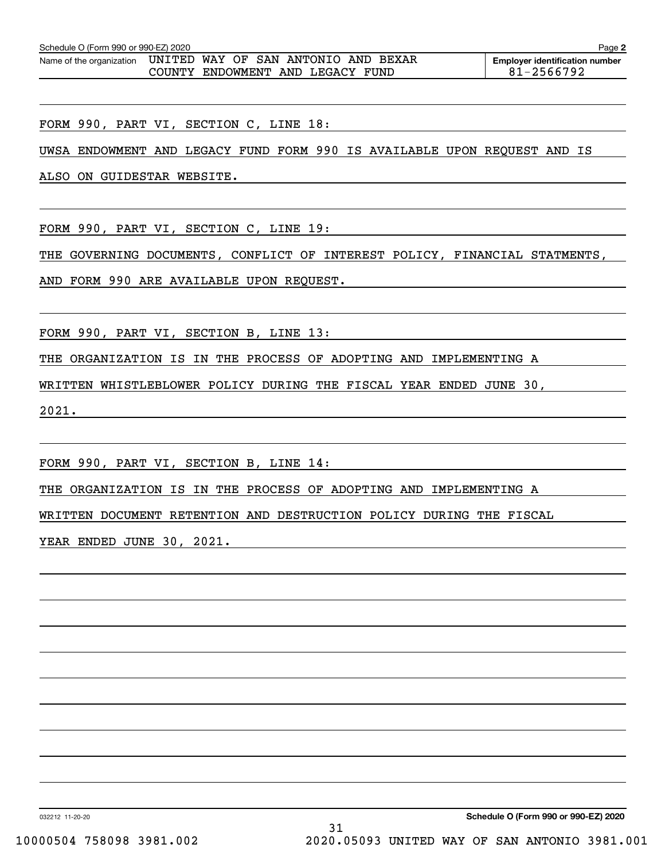| Schedule O (Form 990 or 990-EZ) 2020<br>Page <sub>►</sub> |  |  |                                     |  |  |                                       |  |
|-----------------------------------------------------------|--|--|-------------------------------------|--|--|---------------------------------------|--|
| Name of the organization                                  |  |  | UNITED WAY OF SAN ANTONIO AND BEXAR |  |  | <b>Employer identification number</b> |  |
|                                                           |  |  | COUNTY ENDOWMENT AND LEGACY FUND    |  |  | 81-2566792                            |  |

FORM 990, PART VI, SECTION C, LINE 18:

UWSA ENDOWMENT AND LEGACY FUND FORM 990 IS AVAILABLE UPON REQUEST AND IS

ALSO ON GUIDESTAR WEBSITE.

FORM 990, PART VI, SECTION C, LINE 19:

THE GOVERNING DOCUMENTS, CONFLICT OF INTEREST POLICY, FINANCIAL STATMENTS,

AND FORM 990 ARE AVAILABLE UPON REQUEST.

FORM 990, PART VI, SECTION B, LINE 13:

THE ORGANIZATION IS IN THE PROCESS OF ADOPTING AND IMPLEMENTING A

WRITTEN WHISTLEBLOWER POLICY DURING THE FISCAL YEAR ENDED JUNE 30,

2021.

FORM 990, PART VI, SECTION B, LINE 14:

THE ORGANIZATION IS IN THE PROCESS OF ADOPTING AND IMPLEMENTING A

WRITTEN DOCUMENT RETENTION AND DESTRUCTION POLICY DURING THE FISCAL

YEAR ENDED JUNE 30, 2021.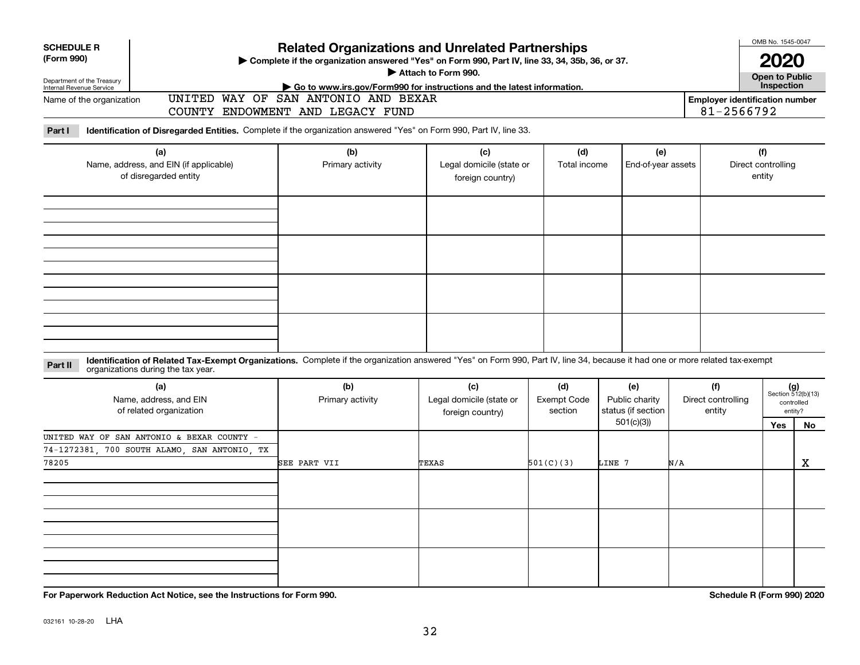| <b>SCHEDULE R</b>                                    |                                                                                                                                                                                                                    | <b>Related Organizations and Unrelated Partnerships</b>                                                                            |                                                     | OMB No. 1545-0047                    |                                             |                                       |            |                                                      |                    |
|------------------------------------------------------|--------------------------------------------------------------------------------------------------------------------------------------------------------------------------------------------------------------------|------------------------------------------------------------------------------------------------------------------------------------|-----------------------------------------------------|--------------------------------------|---------------------------------------------|---------------------------------------|------------|------------------------------------------------------|--------------------|
| (Form 990)<br>Department of the Treasury             |                                                                                                                                                                                                                    | Complete if the organization answered "Yes" on Form 990, Part IV, line 33, 34, 35b, 36, or 37.                                     | Attach to Form 990.                                 |                                      |                                             |                                       |            | 2020<br><b>Open to Public</b>                        |                    |
| Internal Revenue Service<br>Name of the organization |                                                                                                                                                                                                                    | Go to www.irs.gov/Form990 for instructions and the latest information.<br>UNITED WAY OF SAN ANTONIO AND BEXAR                      |                                                     |                                      |                                             | <b>Employer identification number</b> |            | Inspection                                           |                    |
|                                                      |                                                                                                                                                                                                                    | COUNTY ENDOWMENT AND LEGACY FUND                                                                                                   |                                                     |                                      |                                             |                                       | 81-2566792 |                                                      |                    |
| Part I                                               | Identification of Disregarded Entities. Complete if the organization answered "Yes" on Form 990, Part IV, line 33.                                                                                                 |                                                                                                                                    |                                                     |                                      |                                             |                                       |            |                                                      |                    |
|                                                      | (a)<br>Name, address, and EIN (if applicable)<br>of disregarded entity                                                                                                                                             | (b)<br>(c)<br>(d)<br>(e)<br>Primary activity<br>Legal domicile (state or<br>Total income<br>End-of-year assets<br>foreign country) |                                                     |                                      |                                             |                                       |            |                                                      | Direct controlling |
|                                                      |                                                                                                                                                                                                                    |                                                                                                                                    |                                                     |                                      |                                             |                                       | entity     |                                                      |                    |
|                                                      |                                                                                                                                                                                                                    |                                                                                                                                    |                                                     |                                      |                                             |                                       |            |                                                      |                    |
|                                                      |                                                                                                                                                                                                                    |                                                                                                                                    |                                                     |                                      |                                             |                                       |            |                                                      |                    |
|                                                      |                                                                                                                                                                                                                    |                                                                                                                                    |                                                     |                                      |                                             |                                       |            |                                                      |                    |
| Part II                                              | Identification of Related Tax-Exempt Organizations. Complete if the organization answered "Yes" on Form 990, Part IV, line 34, because it had one or more related tax-exempt<br>organizations during the tax year. |                                                                                                                                    |                                                     |                                      |                                             |                                       |            |                                                      |                    |
|                                                      | (a)<br>Name, address, and EIN<br>of related organization                                                                                                                                                           | (b)<br>Primary activity                                                                                                            | (c)<br>Legal domicile (state or<br>foreign country) | (d)<br><b>Exempt Code</b><br>section | (e)<br>Public charity<br>status (if section | (f)<br>Direct controlling<br>entity   |            | $(g)$<br>Section 512(b)(13)<br>controlled<br>entity? |                    |
|                                                      | UNITED WAY OF SAN ANTONIO & BEXAR COUNTY -                                                                                                                                                                         |                                                                                                                                    |                                                     |                                      | 501(c)(3)                                   |                                       |            | Yes                                                  | No                 |
| 78205                                                | 74-1272381, 700 SOUTH ALAMO, SAN ANTONIO, TX                                                                                                                                                                       | SEE PART VII                                                                                                                       | TEXAS                                               | 501(C)(3)                            | LINE 7                                      | N/A                                   |            |                                                      | X                  |
|                                                      |                                                                                                                                                                                                                    |                                                                                                                                    |                                                     |                                      |                                             |                                       |            |                                                      |                    |
|                                                      |                                                                                                                                                                                                                    |                                                                                                                                    |                                                     |                                      |                                             |                                       |            |                                                      |                    |
|                                                      |                                                                                                                                                                                                                    |                                                                                                                                    |                                                     |                                      |                                             |                                       |            |                                                      |                    |
|                                                      |                                                                                                                                                                                                                    |                                                                                                                                    |                                                     |                                      |                                             |                                       |            |                                                      |                    |

**For Paperwork Reduction Act Notice, see the Instructions for Form 990. Schedule R (Form 990) 2020**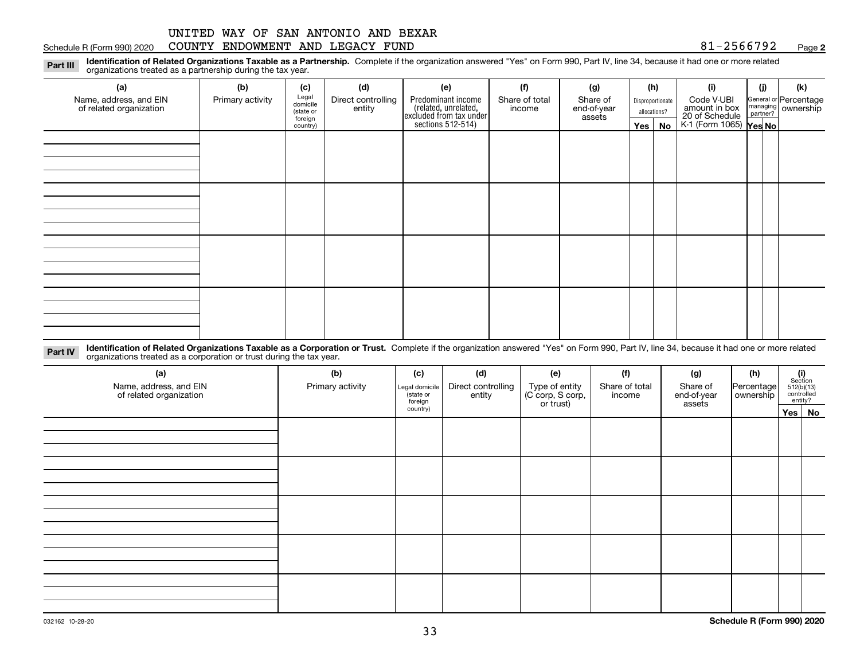#### Schedule R (Form 990) 2020 COUNTY ENDOWMENT AND LEGACY FUND 8 $1\text{--}2\text{566792}$  Page

**2**

**Identification of Related Organizations Taxable as a Partnership.** Complete if the organization answered "Yes" on Form 990, Part IV, line 34, because it had one or more related **Part III** organizations treated as a partnership during the tax year.

| ◡<br>ັ<br>$\overline{\phantom{a}}$                |                  |                      |                              |                                                                                            |                          |                                   |                                  |               |                                                           |     |                                                           |  |
|---------------------------------------------------|------------------|----------------------|------------------------------|--------------------------------------------------------------------------------------------|--------------------------|-----------------------------------|----------------------------------|---------------|-----------------------------------------------------------|-----|-----------------------------------------------------------|--|
| (a)                                               | (b)              | (c)                  | (d)                          | (e)                                                                                        | (f)                      | (g)                               |                                  | (h)           | (i)                                                       | (j) | (k)                                                       |  |
| Name, address, and EIN<br>of related organization | Primary activity | Legal<br>domicile    | Direct controlling<br>entity | Predominant income<br>(related, unrelated,<br>excluded from tax under<br>sections 512-514) | Share of total<br>income | Share of<br>end-of-year<br>assets | Disproportionate<br>allocations? |               | Code V-UBI                                                |     | General or Percentage<br>managing<br>partner?<br>partner? |  |
|                                                   |                  | (state or<br>foreign |                              |                                                                                            |                          |                                   |                                  |               | amount in box<br>20 of Schedule<br>K-1 (Form 1065) Yes No |     |                                                           |  |
|                                                   |                  | country)             |                              |                                                                                            |                          |                                   |                                  | $Yes \mid No$ |                                                           |     |                                                           |  |
|                                                   |                  |                      |                              |                                                                                            |                          |                                   |                                  |               |                                                           |     |                                                           |  |
|                                                   |                  |                      |                              |                                                                                            |                          |                                   |                                  |               |                                                           |     |                                                           |  |
|                                                   |                  |                      |                              |                                                                                            |                          |                                   |                                  |               |                                                           |     |                                                           |  |
|                                                   |                  |                      |                              |                                                                                            |                          |                                   |                                  |               |                                                           |     |                                                           |  |
|                                                   |                  |                      |                              |                                                                                            |                          |                                   |                                  |               |                                                           |     |                                                           |  |
|                                                   |                  |                      |                              |                                                                                            |                          |                                   |                                  |               |                                                           |     |                                                           |  |
|                                                   |                  |                      |                              |                                                                                            |                          |                                   |                                  |               |                                                           |     |                                                           |  |
|                                                   |                  |                      |                              |                                                                                            |                          |                                   |                                  |               |                                                           |     |                                                           |  |
|                                                   |                  |                      |                              |                                                                                            |                          |                                   |                                  |               |                                                           |     |                                                           |  |
|                                                   |                  |                      |                              |                                                                                            |                          |                                   |                                  |               |                                                           |     |                                                           |  |
|                                                   |                  |                      |                              |                                                                                            |                          |                                   |                                  |               |                                                           |     |                                                           |  |
|                                                   |                  |                      |                              |                                                                                            |                          |                                   |                                  |               |                                                           |     |                                                           |  |
|                                                   |                  |                      |                              |                                                                                            |                          |                                   |                                  |               |                                                           |     |                                                           |  |
|                                                   |                  |                      |                              |                                                                                            |                          |                                   |                                  |               |                                                           |     |                                                           |  |
|                                                   |                  |                      |                              |                                                                                            |                          |                                   |                                  |               |                                                           |     |                                                           |  |
|                                                   |                  |                      |                              |                                                                                            |                          |                                   |                                  |               |                                                           |     |                                                           |  |
|                                                   |                  |                      |                              |                                                                                            |                          |                                   |                                  |               |                                                           |     |                                                           |  |

**Identification of Related Organizations Taxable as a Corporation or Trust.** Complete if the organization answered "Yes" on Form 990, Part IV, line 34, because it had one or more related **Part IV** organizations treated as a corporation or trust during the tax year.

| (a)<br>Name, address, and EIN<br>of related organization | (b)<br>Primary activity | (c)<br>Legal domicile<br>state or<br>foreign | (d)<br>Direct controlling<br>entity | (e)<br>Type of entity<br>(C corp, S corp,<br>or trust) | (f)<br>Share of total<br>income | (g)<br>Share of<br>end-of-year<br>assets | (h)<br>Percentage<br>ownership | $(i)$ Section<br>512(b)(13)<br>controlled<br>entity? |        |
|----------------------------------------------------------|-------------------------|----------------------------------------------|-------------------------------------|--------------------------------------------------------|---------------------------------|------------------------------------------|--------------------------------|------------------------------------------------------|--------|
|                                                          |                         | country)                                     |                                     |                                                        |                                 |                                          |                                |                                                      | Yes No |
|                                                          |                         |                                              |                                     |                                                        |                                 |                                          |                                |                                                      |        |
|                                                          |                         |                                              |                                     |                                                        |                                 |                                          |                                |                                                      |        |
|                                                          |                         |                                              |                                     |                                                        |                                 |                                          |                                |                                                      |        |
|                                                          |                         |                                              |                                     |                                                        |                                 |                                          |                                |                                                      |        |
|                                                          |                         |                                              |                                     |                                                        |                                 |                                          |                                |                                                      |        |
|                                                          |                         |                                              |                                     |                                                        |                                 |                                          |                                |                                                      |        |
|                                                          |                         |                                              |                                     |                                                        |                                 |                                          |                                |                                                      |        |
|                                                          |                         |                                              |                                     |                                                        |                                 |                                          |                                |                                                      |        |
|                                                          |                         |                                              |                                     |                                                        |                                 |                                          |                                |                                                      |        |
|                                                          |                         |                                              |                                     |                                                        |                                 |                                          |                                |                                                      |        |
|                                                          |                         |                                              |                                     |                                                        |                                 |                                          |                                |                                                      |        |
|                                                          |                         |                                              |                                     |                                                        |                                 |                                          |                                |                                                      |        |
|                                                          |                         |                                              |                                     |                                                        |                                 |                                          |                                |                                                      |        |
|                                                          |                         |                                              |                                     |                                                        |                                 |                                          |                                |                                                      |        |
|                                                          |                         |                                              |                                     |                                                        |                                 |                                          |                                |                                                      |        |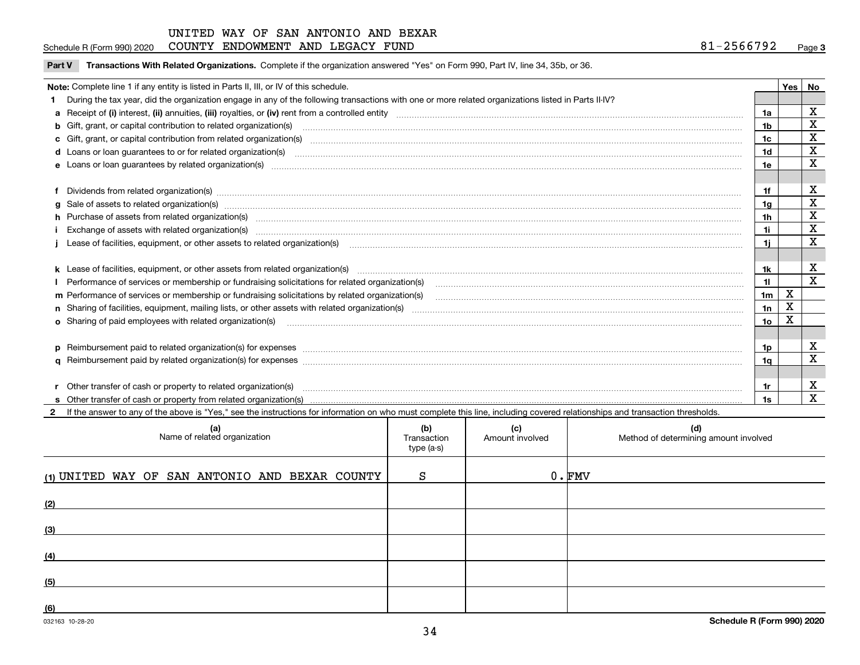#### Schedule R (Form 990) 2020 COUNTY ENDOWMENT AND LEGACY FUND 8 $1\text{--}2\text{566792}$  Page

| Part V Transactions With Related Organizations. Complete if the organization answered "Yes" on Form 990, Part IV, line 34, 35b, or 36 |  |
|---------------------------------------------------------------------------------------------------------------------------------------|--|
|                                                                                                                                       |  |

| Note: Complete line 1 if any entity is listed in Parts II, III, or IV of this schedule.                                                                                                                                        |                | Yes         | No                      |
|--------------------------------------------------------------------------------------------------------------------------------------------------------------------------------------------------------------------------------|----------------|-------------|-------------------------|
| During the tax year, did the organization engage in any of the following transactions with one or more related organizations listed in Parts II-IV?                                                                            |                |             |                         |
|                                                                                                                                                                                                                                | 1a             |             | x                       |
| <b>b</b> Gift, grant, or capital contribution to related organization(s)                                                                                                                                                       | 1b             |             | х                       |
| c Gift, grant, or capital contribution from related organization(s) manufaction content to content and contribution from related organization(s) manufaction content and contribution from related organization(s) manufaction | 1c             |             | X                       |
| d Loans or loan guarantees to or for related organization(s) committion contains and contains and contains a control or contained and contains a contained and contains a contact of the contact of the contact or contact or  | 1 <sub>d</sub> |             | X                       |
| e Loans or loan quarantees by related organization(s)                                                                                                                                                                          | 1e             |             | X                       |
|                                                                                                                                                                                                                                |                |             |                         |
| Dividends from related organization(s) manufactured and contract and contract or produced and contract and contract and contract and contract and contract and contract and contract and contract and contract and contract an | 1f             |             | х                       |
|                                                                                                                                                                                                                                | 1g             |             | X                       |
| h Purchase of assets from related organization(s) manufactured and content to content and content and content and content and content and content and content and content and content and content and content and content and  | 1h             |             | X                       |
|                                                                                                                                                                                                                                | 1i             |             | X                       |
| Lease of facilities, equipment, or other assets to related organization(s) [11] manufactured manufactured manufactured manufactured manufactured manufactured manufactured manufactured manufactured manufactured manufactured | 1i.            |             | $\overline{\mathbf{X}}$ |
|                                                                                                                                                                                                                                |                |             |                         |
|                                                                                                                                                                                                                                | 1k             |             | х                       |
| Performance of services or membership or fundraising solicitations for related organization(s)                                                                                                                                 | 11             |             | X                       |
| m Performance of services or membership or fundraising solicitations by related organization(s)                                                                                                                                | 1 <sub>m</sub> | $\mathbf X$ |                         |
|                                                                                                                                                                                                                                | 1n             | X           |                         |
|                                                                                                                                                                                                                                | 10             | Χ           |                         |
|                                                                                                                                                                                                                                |                |             |                         |
| p Reimbursement paid to related organization(s) for expenses [11111] [12] reasonal content of the separation (s) for expenses [11111] [12] reasonal content of the separation (s) for expenses [1111] [12] reasonal content of | 1p.            |             | х                       |
|                                                                                                                                                                                                                                | 1α             |             | X                       |
|                                                                                                                                                                                                                                |                |             |                         |
| r Other transfer of cash or property to related organization(s)                                                                                                                                                                | 1r             |             | х                       |
|                                                                                                                                                                                                                                | 1s             |             | X                       |

**2**If the answer to any of the above is "Yes," see the instructions for information on who must complete this line, including covered relationships and transaction thresholds.

| (a)<br>Name of related organization            | (b)<br>Transaction<br>type (a-s) | (c)<br>Amount involved | (d)<br>Method of determining amount involved |
|------------------------------------------------|----------------------------------|------------------------|----------------------------------------------|
| (1) UNITED WAY OF SAN ANTONIO AND BEXAR COUNTY | S                                |                        | $0 \cdot$ FMV                                |
| (2)                                            |                                  |                        |                                              |
| (3)                                            |                                  |                        |                                              |
| (4)                                            |                                  |                        |                                              |
| (5)                                            |                                  |                        |                                              |
| (6)                                            |                                  |                        |                                              |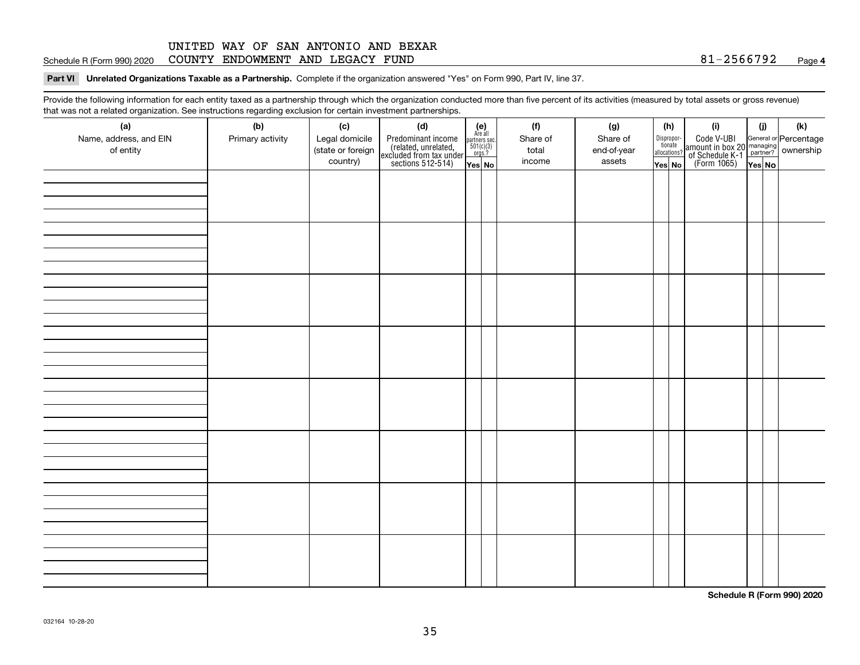#### **4**Schedule R (Form 990) 2020 COUNTY ENDOWMENT AND LEGACY FUND 8 $1\text{--}2\text{566792}$  Page

#### **Part VI Unrelated Organizations Taxable as a Partnership. Complete if the organization answered "Yes" on Form 990, Part IV, line 37.**

Provide the following information for each entity taxed as a partnership through which the organization conducted more than five percent of its activities (measured by total assets or gross revenue) that was not a related organization. See instructions regarding exclusion for certain investment partnerships.

| ັ                      | ັ<br>ັ           |                   |                                                                                            |                                      |  |          |             |  |                                       |                                                                                              |        |     |
|------------------------|------------------|-------------------|--------------------------------------------------------------------------------------------|--------------------------------------|--|----------|-------------|--|---------------------------------------|----------------------------------------------------------------------------------------------|--------|-----|
| (a)                    | (b)              | (c)               | (d)                                                                                        | (e)<br>Are all                       |  | (f)      | (g)         |  | (h)                                   | (i)                                                                                          | (i)    | (k) |
| Name, address, and EIN | Primary activity | Legal domicile    | Predominant income<br>(related, unrelated,<br>excluded from tax under<br>sections 512-514) | partners sec.<br>501(c)(3)<br>orgs.? |  | Share of | Share of    |  | Dispropor-<br>tionate<br>allocations? | Code V-UBI<br>amount in box 20 managing<br>of Schedule K-1 partner?<br>(Form 1065)<br>ves No |        |     |
| of entity              |                  | (state or foreign |                                                                                            |                                      |  | total    | end-of-year |  |                                       |                                                                                              |        |     |
|                        |                  | country)          |                                                                                            | Yes No                               |  | income   | assets      |  | Yes No                                |                                                                                              | Yes No |     |
|                        |                  |                   |                                                                                            |                                      |  |          |             |  |                                       |                                                                                              |        |     |
|                        |                  |                   |                                                                                            |                                      |  |          |             |  |                                       |                                                                                              |        |     |
|                        |                  |                   |                                                                                            |                                      |  |          |             |  |                                       |                                                                                              |        |     |
|                        |                  |                   |                                                                                            |                                      |  |          |             |  |                                       |                                                                                              |        |     |
|                        |                  |                   |                                                                                            |                                      |  |          |             |  |                                       |                                                                                              |        |     |
|                        |                  |                   |                                                                                            |                                      |  |          |             |  |                                       |                                                                                              |        |     |
|                        |                  |                   |                                                                                            |                                      |  |          |             |  |                                       |                                                                                              |        |     |
|                        |                  |                   |                                                                                            |                                      |  |          |             |  |                                       |                                                                                              |        |     |
|                        |                  |                   |                                                                                            |                                      |  |          |             |  |                                       |                                                                                              |        |     |
|                        |                  |                   |                                                                                            |                                      |  |          |             |  |                                       |                                                                                              |        |     |
|                        |                  |                   |                                                                                            |                                      |  |          |             |  |                                       |                                                                                              |        |     |
|                        |                  |                   |                                                                                            |                                      |  |          |             |  |                                       |                                                                                              |        |     |
|                        |                  |                   |                                                                                            |                                      |  |          |             |  |                                       |                                                                                              |        |     |
|                        |                  |                   |                                                                                            |                                      |  |          |             |  |                                       |                                                                                              |        |     |
|                        |                  |                   |                                                                                            |                                      |  |          |             |  |                                       |                                                                                              |        |     |
|                        |                  |                   |                                                                                            |                                      |  |          |             |  |                                       |                                                                                              |        |     |
|                        |                  |                   |                                                                                            |                                      |  |          |             |  |                                       |                                                                                              |        |     |
|                        |                  |                   |                                                                                            |                                      |  |          |             |  |                                       |                                                                                              |        |     |
|                        |                  |                   |                                                                                            |                                      |  |          |             |  |                                       |                                                                                              |        |     |
|                        |                  |                   |                                                                                            |                                      |  |          |             |  |                                       |                                                                                              |        |     |
|                        |                  |                   |                                                                                            |                                      |  |          |             |  |                                       |                                                                                              |        |     |
|                        |                  |                   |                                                                                            |                                      |  |          |             |  |                                       |                                                                                              |        |     |
|                        |                  |                   |                                                                                            |                                      |  |          |             |  |                                       |                                                                                              |        |     |
|                        |                  |                   |                                                                                            |                                      |  |          |             |  |                                       |                                                                                              |        |     |
|                        |                  |                   |                                                                                            |                                      |  |          |             |  |                                       |                                                                                              |        |     |
|                        |                  |                   |                                                                                            |                                      |  |          |             |  |                                       |                                                                                              |        |     |
|                        |                  |                   |                                                                                            |                                      |  |          |             |  |                                       |                                                                                              |        |     |
|                        |                  |                   |                                                                                            |                                      |  |          |             |  |                                       |                                                                                              |        |     |
|                        |                  |                   |                                                                                            |                                      |  |          |             |  |                                       |                                                                                              |        |     |
|                        |                  |                   |                                                                                            |                                      |  |          |             |  |                                       |                                                                                              |        |     |
|                        |                  |                   |                                                                                            |                                      |  |          |             |  |                                       |                                                                                              |        |     |
|                        |                  |                   |                                                                                            |                                      |  |          |             |  |                                       |                                                                                              |        |     |
|                        |                  |                   |                                                                                            |                                      |  |          |             |  |                                       |                                                                                              |        |     |
|                        |                  |                   |                                                                                            |                                      |  |          |             |  |                                       |                                                                                              |        |     |
|                        |                  |                   |                                                                                            |                                      |  |          |             |  |                                       |                                                                                              |        |     |
|                        |                  |                   |                                                                                            |                                      |  |          |             |  |                                       |                                                                                              |        |     |

**Schedule R (Form 990) 2020**